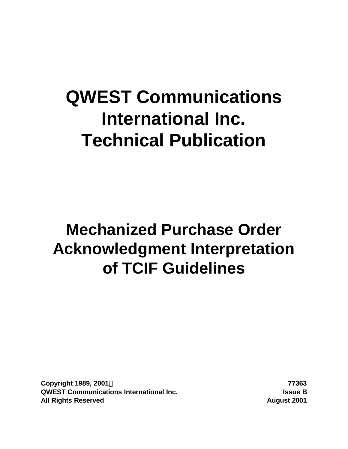# **QWEST Communications International Inc. Technical Publication**

# **Mechanized Purchase Order Acknowledgment Interpretation of TCIF Guidelines**

**Copyright 1989, 2001Ó 77363 QWEST Communications International Inc. Issue B All Rights Reserved August 2001**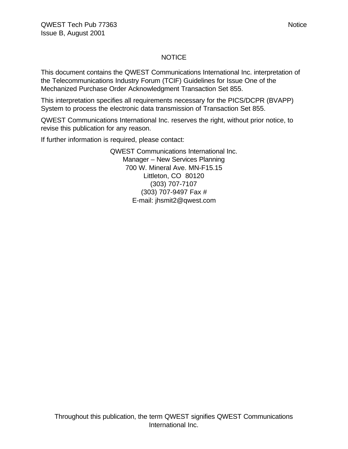#### NOTICE

This document contains the QWEST Communications International Inc. interpretation of the Telecommunications Industry Forum (TCIF) Guidelines for Issue One of the Mechanized Purchase Order Acknowledgment Transaction Set 855.

This interpretation specifies all requirements necessary for the PICS/DCPR (BVAPP) System to process the electronic data transmission of Transaction Set 855.

QWEST Communications International Inc. reserves the right, without prior notice, to revise this publication for any reason.

If further information is required, please contact:

QWEST Communications International Inc. Manager – New Services Planning 700 W. Mineral Ave. MN-F15.15 Littleton, CO 80120 (303) 707-7107 (303) 707-9497 Fax # E-mail: jhsmit2@qwest.com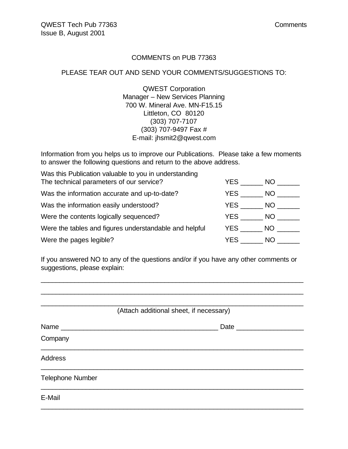#### COMMENTS on PUB 77363

#### PLEASE TEAR OUT AND SEND YOUR COMMENTS/SUGGESTIONS TO:

QWEST Corporation Manager – New Services Planning 700 W. Mineral Ave. MN-F15.15 Littleton, CO 80120 (303) 707-7107 (303) 707-9497 Fax # E-mail: jhsmit2@qwest.com

Information from you helps us to improve our Publications. Please take a few moments to answer the following questions and return to the above address.

| Was this Publication valuable to you in understanding  |      |     |
|--------------------------------------------------------|------|-----|
| The technical parameters of our service?               | YES. | NO. |
| Was the information accurate and up-to-date?           | YES. | NO. |
| Was the information easily understood?                 | YES. | NO. |
| Were the contents logically sequenced?                 | YES. | NO. |
| Were the tables and figures understandable and helpful | YES  | NO. |
| Were the pages legible?                                | YES. | NO. |

If you answered NO to any of the questions and/or if you have any other comments or suggestions, please explain:

\_\_\_\_\_\_\_\_\_\_\_\_\_\_\_\_\_\_\_\_\_\_\_\_\_\_\_\_\_\_\_\_\_\_\_\_\_\_\_\_\_\_\_\_\_\_\_\_\_\_\_\_\_\_\_\_\_\_\_\_\_\_\_\_\_\_\_\_\_\_

| (Attach additional sheet, if necessary) |                 |
|-----------------------------------------|-----------------|
|                                         |                 |
|                                         |                 |
|                                         |                 |
|                                         |                 |
|                                         |                 |
|                                         | Date __________ |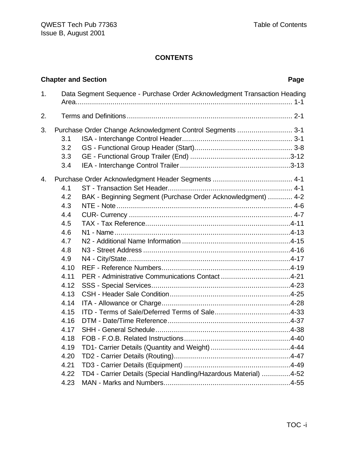# **CONTENTS**

| 1.<br>Data Segment Sequence - Purchase Order Acknowledgment Transaction Heading<br>2.<br>3.<br>Purchase Order Change Acknowledgment Control Segments  3-1<br>3.1<br>3.2                                                                                                                                       | Page |
|---------------------------------------------------------------------------------------------------------------------------------------------------------------------------------------------------------------------------------------------------------------------------------------------------------------|------|
|                                                                                                                                                                                                                                                                                                               |      |
|                                                                                                                                                                                                                                                                                                               |      |
| 3.3<br>3.4                                                                                                                                                                                                                                                                                                    |      |
| 4.<br>4.1<br>BAK - Beginning Segment (Purchase Order Acknowledgment)  4-2<br>4.2<br>4.3<br>4.4<br>4.5<br>4.6<br>4.7<br>4.8<br>4.9<br>4.10<br>4.11<br>4.12<br>4.13<br>4.14<br>4.15<br>4.16<br>4.17<br>4.18<br>4.19<br>4.20<br>4.21<br>TD4 - Carrier Details (Special Handling/Hazardous Material) 4-52<br>4.22 |      |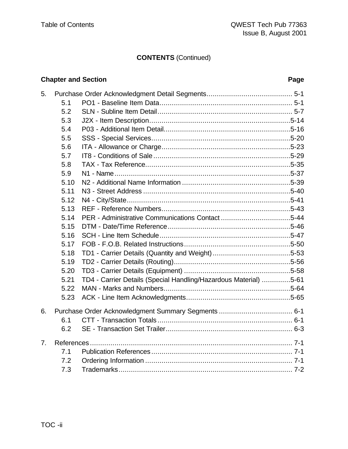# **CONTENTS** (Continued)

# **Chapter and Section Page**

| 5.             |      |                                                                  |  |
|----------------|------|------------------------------------------------------------------|--|
|                | 5.1  |                                                                  |  |
|                | 5.2  |                                                                  |  |
|                | 5.3  |                                                                  |  |
|                | 5.4  |                                                                  |  |
|                | 5.5  |                                                                  |  |
|                | 5.6  |                                                                  |  |
|                | 5.7  |                                                                  |  |
|                | 5.8  |                                                                  |  |
|                | 5.9  |                                                                  |  |
|                | 5.10 |                                                                  |  |
|                | 5.11 |                                                                  |  |
|                | 5.12 |                                                                  |  |
|                | 5.13 |                                                                  |  |
|                | 5.14 |                                                                  |  |
|                | 5.15 |                                                                  |  |
|                | 5.16 |                                                                  |  |
|                | 5.17 |                                                                  |  |
|                | 5.18 |                                                                  |  |
|                | 5.19 |                                                                  |  |
|                | 5.20 |                                                                  |  |
|                | 5.21 | TD4 - Carrier Details (Special Handling/Hazardous Material) 5-61 |  |
|                | 5.22 |                                                                  |  |
|                | 5.23 |                                                                  |  |
| 6.             |      |                                                                  |  |
|                | 6.1  |                                                                  |  |
|                | 6.2  |                                                                  |  |
| 7 <sub>1</sub> |      |                                                                  |  |
|                | 7.1  |                                                                  |  |
|                | 7.2  |                                                                  |  |
|                | 7.3  |                                                                  |  |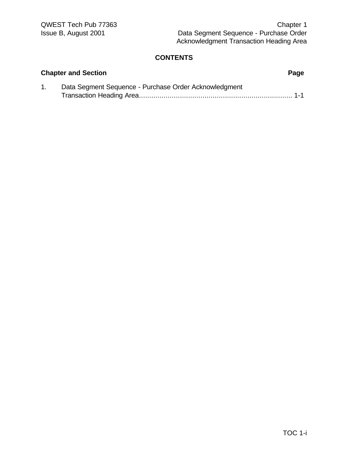# **CONTENTS**

| <b>Chapter and Section</b> |                                                       |  |  |  |  |
|----------------------------|-------------------------------------------------------|--|--|--|--|
|                            | Data Segment Sequence - Purchase Order Acknowledgment |  |  |  |  |
|                            |                                                       |  |  |  |  |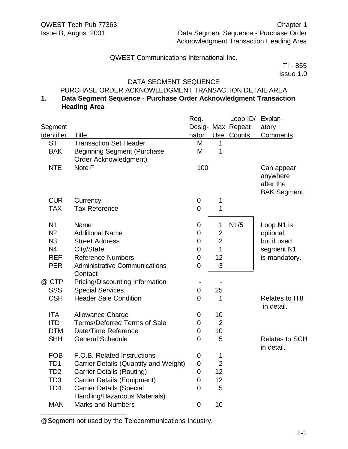TI - 855 Issue 1.0

#### DATA SEGMENT SEQUENCE

#### PURCHASE ORDER ACKNOWLEDGMENT TRANSACTION DETAIL AREA

#### **1. Data Segment Sequence - Purchase Order Acknowledgment Transaction Heading Area**

|                   |                                                                  | Req.           |                | Loop ID/          | Explan-                             |
|-------------------|------------------------------------------------------------------|----------------|----------------|-------------------|-------------------------------------|
| Segment           |                                                                  |                |                | Desig- Max Repeat | atory                               |
| <b>Identifier</b> | <b>Title</b>                                                     | nator          |                | Use Counts        | <b>Comments</b>                     |
| <b>ST</b>         | <b>Transaction Set Header</b>                                    | M              | $\mathbf{1}$   |                   |                                     |
| <b>BAK</b>        | <b>Beginning Segment (Purchase</b>                               | M              | 1              |                   |                                     |
|                   | Order Acknowledgment)                                            |                |                |                   |                                     |
| <b>NTE</b>        | Note F                                                           | 100            |                |                   | Can appear                          |
|                   |                                                                  |                |                |                   | anywhere                            |
|                   |                                                                  |                |                |                   | after the                           |
|                   |                                                                  |                |                |                   | <b>BAK Segment.</b>                 |
| <b>CUR</b>        | Currency                                                         | $\mathbf 0$    | 1              |                   |                                     |
| <b>TAX</b>        | <b>Tax Reference</b>                                             | $\overline{0}$ | 1              |                   |                                     |
| N <sub>1</sub>    | Name                                                             | 0              | 1              | N1/5              | Loop N1 is                          |
| N <sub>2</sub>    | <b>Additional Name</b>                                           | $\mathbf 0$    | $\overline{2}$ |                   | optional,                           |
| N <sub>3</sub>    | <b>Street Address</b>                                            | $\mathbf 0$    | $\overline{2}$ |                   | but if used                         |
| N4                | City/State                                                       | 0              | $\mathbf{1}$   |                   | segment N1                          |
| <b>REF</b>        | <b>Reference Numbers</b>                                         | $\mathbf 0$    | 12             |                   | is mandatory.                       |
| <b>PER</b>        | <b>Administrative Communications</b><br>Contact                  | $\mathbf 0$    | 3              |                   |                                     |
| @ CTP             | Pricing/Discounting Information                                  |                |                |                   |                                     |
| <b>SSS</b>        | <b>Special Services</b>                                          | $\mathbf 0$    | 25             |                   |                                     |
| <b>CSH</b>        | <b>Header Sale Condition</b>                                     | $\overline{0}$ | 1              |                   | Relates to IT8<br>in detail.        |
| <b>ITA</b>        | <b>Allowance Charge</b>                                          | 0              | 10             |                   |                                     |
| <b>ITD</b>        | <b>Terms/Deferred Terms of Sale</b>                              | 0              | $\overline{2}$ |                   |                                     |
| <b>DTM</b>        | Date/Time Reference                                              | $\overline{0}$ | 10             |                   |                                     |
| <b>SHH</b>        | <b>General Schedule</b>                                          | $\overline{0}$ | 5              |                   | <b>Relates to SCH</b><br>in detail. |
| <b>FOB</b>        | F.O.B. Related Instructions                                      | $\mathbf 0$    | 1              |                   |                                     |
| TD <sub>1</sub>   | Carrier Details (Quantity and Weight)                            | $\mathbf 0$    | $\overline{2}$ |                   |                                     |
| TD <sub>2</sub>   | <b>Carrier Details (Routing)</b>                                 | $\mathbf 0$    | 12             |                   |                                     |
| TD <sub>3</sub>   | <b>Carrier Details (Equipment)</b>                               | $\mathbf 0$    | 12             |                   |                                     |
| TD <sub>4</sub>   | <b>Carrier Details (Special</b><br>Handling/Hazardous Materials) | $\overline{0}$ | 5              |                   |                                     |
| <b>MAN</b>        | <b>Marks and Numbers</b>                                         | $\overline{0}$ | 10             |                   |                                     |

@Segment not used by the Telecommunications Industry.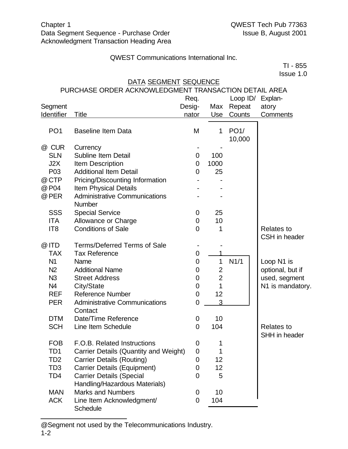TI - 855  $I$ ssue 1.0

| 1994 L.U        |                                                       |                |                |          |                   |  |
|-----------------|-------------------------------------------------------|----------------|----------------|----------|-------------------|--|
|                 | DATA SEGMENT SEQUENCE                                 |                |                |          |                   |  |
|                 | PURCHASE ORDER ACKNOWLEDGMENT TRANSACTION DETAIL AREA |                |                |          |                   |  |
|                 |                                                       | Req.           |                | Loop ID/ | Explan-           |  |
| Segment         |                                                       | Desig-         | Max            | Repeat   | atory             |  |
| Identifier      | <b>Title</b>                                          | nator          | Use            | Counts   | <b>Comments</b>   |  |
| PO <sub>1</sub> | <b>Baseline Item Data</b>                             | M              | 1              | PO1/     |                   |  |
|                 |                                                       |                |                | 10,000   |                   |  |
| @ CUR           | Currency                                              |                |                |          |                   |  |
| <b>SLN</b>      | <b>Subline Item Detail</b>                            | 0              | 100            |          |                   |  |
| J2X             | Item Description                                      | 0              | 1000           |          |                   |  |
| P03             | <b>Additional Item Detail</b>                         | 0              | 25             |          |                   |  |
| @ CTP           | Pricing/Discounting Information                       |                |                |          |                   |  |
| @ P04           | <b>Item Physical Details</b>                          |                |                |          |                   |  |
| @ PER           | <b>Administrative Communications</b>                  |                |                |          |                   |  |
|                 | <b>Number</b>                                         |                |                |          |                   |  |
| <b>SSS</b>      | <b>Special Service</b>                                | 0              | 25             |          |                   |  |
| <b>ITA</b>      | Allowance or Charge                                   | 0              | 10             |          |                   |  |
| IT <sub>8</sub> | <b>Conditions of Sale</b>                             | 0              | 1              |          | <b>Relates to</b> |  |
|                 |                                                       |                |                |          | CSH in header     |  |
| @ ITD           | <b>Terms/Deferred Terms of Sale</b>                   |                |                |          |                   |  |
| <b>TAX</b>      | <b>Tax Reference</b>                                  | 0              |                |          |                   |  |
| N <sub>1</sub>  | Name                                                  | $\overline{0}$ | 1              | N1/1     | Loop N1 is        |  |
| N <sub>2</sub>  | <b>Additional Name</b>                                | 0              | 2              |          | optional, but if  |  |
| N <sub>3</sub>  | <b>Street Address</b>                                 | $\mathbf 0$    | $\overline{2}$ |          | used, segment     |  |
| N <sub>4</sub>  | City/State                                            | 0              | 1              |          | N1 is mandatory.  |  |
| <b>REF</b>      | <b>Reference Number</b>                               | 0              | 12             |          |                   |  |
| <b>PER</b>      | <b>Administrative Communications</b>                  | 0              | 3              |          |                   |  |
|                 | Contact                                               |                |                |          |                   |  |
| <b>DTM</b>      | Date/Time Reference                                   | 0              | 10             |          |                   |  |
| <b>SCH</b>      | Line Item Schedule                                    | $\overline{0}$ | 104            |          | <b>Relates to</b> |  |
|                 |                                                       |                |                |          | SHH in header     |  |
| <b>FOB</b>      | F.O.B. Related Instructions                           | 0              | 1              |          |                   |  |
| TD1             | Carrier Details (Quantity and Weight)                 | $\mathbf 0$    | 1              |          |                   |  |
| TD <sub>2</sub> | <b>Carrier Details (Routing)</b>                      | 0              | 12             |          |                   |  |
| TD <sub>3</sub> | <b>Carrier Details (Equipment)</b>                    | 0              | 12             |          |                   |  |
| TD <sub>4</sub> | <b>Carrier Details (Special</b>                       | 0              | 5              |          |                   |  |
|                 | Handling/Hazardous Materials)                         |                |                |          |                   |  |
| <b>MAN</b>      | <b>Marks and Numbers</b>                              | 0              | 10             |          |                   |  |
| <b>ACK</b>      | Line Item Acknowledgment/                             | 0              | 104            |          |                   |  |

@Segment not used by the Telecommunications Industry.

**Schedule**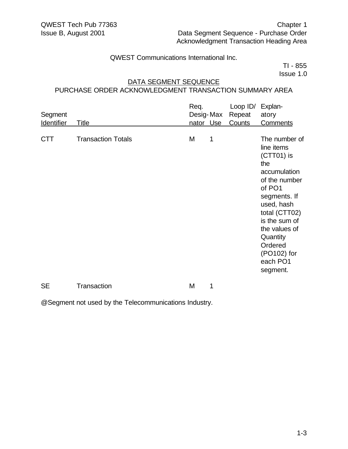TI - 855 Issue 1.0

#### DATA SEGMENT SEQUENCE

## PURCHASE ORDER ACKNOWLEDGMENT TRANSACTION SUMMARY AREA

| Segment<br><b>Identifier</b> | Title                     | Req. | Desig-Max<br>nator Use | Loop $ID/$<br>Repeat<br>Counts | Explan-<br>atory<br><b>Comments</b>                                                                                                                                                                                                          |
|------------------------------|---------------------------|------|------------------------|--------------------------------|----------------------------------------------------------------------------------------------------------------------------------------------------------------------------------------------------------------------------------------------|
| <b>CTT</b>                   | <b>Transaction Totals</b> | M    | 1                      |                                | The number of<br>line items<br>$(CTT01)$ is<br>the<br>accumulation<br>of the number<br>of PO1<br>segments. If<br>used, hash<br>total (CTT02)<br>is the sum of<br>the values of<br>Quantity<br>Ordered<br>(PO102) for<br>each PO1<br>segment. |
| <b>SE</b>                    | <b>Transaction</b>        | M    | 1                      |                                |                                                                                                                                                                                                                                              |

@Segment not used by the Telecommunications Industry.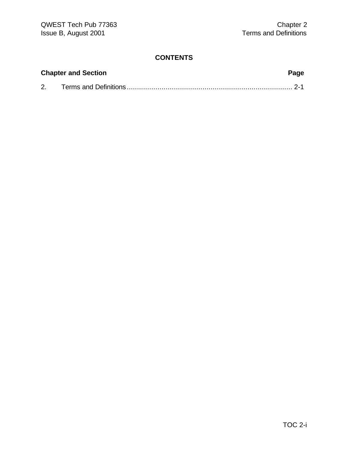# **CONTENTS**

| <b>Chapter and Section</b> | Page |
|----------------------------|------|
|                            |      |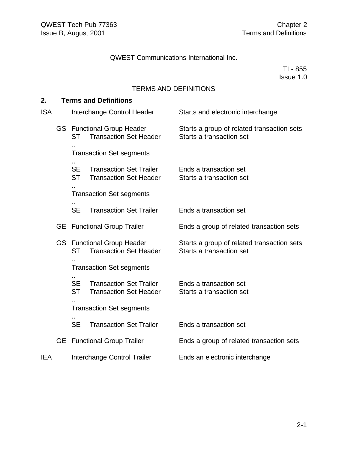TI - 855 Issue 1.0

# TERMS AND DEFINITIONS

#### **2. Terms and Definitions**

| <b>ISA</b> |     |                        | Interchange Control Header                                         | Starts and electronic interchange                                      |  |  |  |  |  |
|------------|-----|------------------------|--------------------------------------------------------------------|------------------------------------------------------------------------|--|--|--|--|--|
|            |     | <b>ST</b>              | <b>GS</b> Functional Group Header<br><b>Transaction Set Header</b> | Starts a group of related transaction sets<br>Starts a transaction set |  |  |  |  |  |
|            |     |                        | <b>Transaction Set segments</b>                                    |                                                                        |  |  |  |  |  |
|            |     | <b>SE</b><br><b>ST</b> | <b>Transaction Set Trailer</b><br><b>Transaction Set Header</b>    | Ends a transaction set<br>Starts a transaction set                     |  |  |  |  |  |
|            |     |                        | <b>Transaction Set segments</b>                                    |                                                                        |  |  |  |  |  |
|            |     | <b>SE</b>              | <b>Transaction Set Trailer</b>                                     | Ends a transaction set                                                 |  |  |  |  |  |
|            | GE. |                        | <b>Functional Group Trailer</b>                                    | Ends a group of related transaction sets                               |  |  |  |  |  |
|            |     | <b>ST</b>              | <b>GS</b> Functional Group Header<br><b>Transaction Set Header</b> | Starts a group of related transaction sets<br>Starts a transaction set |  |  |  |  |  |
|            |     |                        | <b>Transaction Set segments</b>                                    |                                                                        |  |  |  |  |  |
|            |     | <b>SE</b><br><b>ST</b> | <b>Transaction Set Trailer</b><br><b>Transaction Set Header</b>    | Ends a transaction set<br>Starts a transaction set                     |  |  |  |  |  |
|            |     |                        | <b>Transaction Set segments</b>                                    |                                                                        |  |  |  |  |  |
|            |     | <b>SE</b>              | <b>Transaction Set Trailer</b>                                     | Ends a transaction set                                                 |  |  |  |  |  |
|            | GE. |                        | <b>Functional Group Trailer</b>                                    | Ends a group of related transaction sets                               |  |  |  |  |  |
| IEA        |     |                        | Interchange Control Trailer                                        | Ends an electronic interchange                                         |  |  |  |  |  |
|            |     |                        |                                                                    |                                                                        |  |  |  |  |  |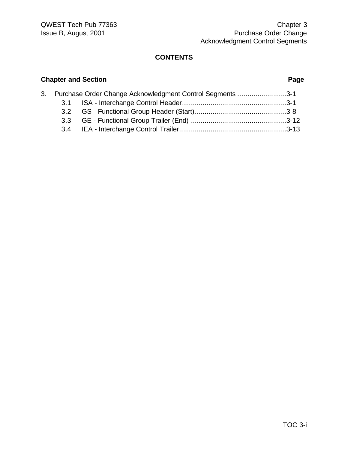#### **CONTENTS**

# **Chapter and Section Page** 3. Purchase Order Change Acknowledgment Control Segments ........................3-1 3.1 ISA - Interchange Control Header...................................................3-1 3.2 GS - Functional Group Header (Start).............................................3-8 3.3 GE - Functional Group Trailer (End) ...............................................3-12 3.4 IEA - Interchange Control Trailer....................................................3-13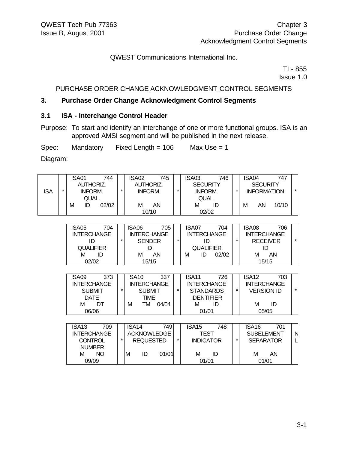TI - 855 Issue 1.0

#### PURCHASE ORDER CHANGE ACKNOWLEDGMENT CONTROL SEGMENTS

#### **3. Purchase Order Change Acknowledgment Control Segments**

#### **3.1 ISA - Interchange Control Header**

09/09

Purpose: To start and identify an interchange of one or more functional groups. ISA is an approved AMSI segment and will be published in the next release.

Spec: Mandatory Fixed Length = 106 Max Use = 1

Diagram:

| <b>ISA</b> | $\star$ | ISA01<br>744<br><b>AUTHORIZ.</b><br>INFORM.<br>QUAL.                              | $\star$ | ISA02<br><b>AUTHORIZ.</b><br><b>INFORM.</b>                             | 745      | $\star$ | ISA03<br><b>SECURITY</b><br>INFORM.<br>QUAL.                                                                                                                                                                                                  | 746 | $\star$ | ISA04             | 747<br><b>SECURITY</b><br><b>INFORMATION</b>       | $\star$ |
|------------|---------|-----------------------------------------------------------------------------------|---------|-------------------------------------------------------------------------|----------|---------|-----------------------------------------------------------------------------------------------------------------------------------------------------------------------------------------------------------------------------------------------|-----|---------|-------------------|----------------------------------------------------|---------|
|            |         | ID 02/02<br>м                                                                     |         | M AN<br>10/10                                                           |          |         | M ID<br>02/02                                                                                                                                                                                                                                 |     |         | м                 | AN -<br>10/10                                      |         |
|            |         |                                                                                   |         |                                                                         |          |         |                                                                                                                                                                                                                                               |     |         |                   |                                                    |         |
|            |         | 704<br>ISA05<br><b>INTERCHANGE</b><br>ID<br><b>QUALIFIER</b>                      | $\star$ | ISA06<br><b>INTERCHANGE</b><br><b>SENDER</b><br>ID                      | 705      | $\star$ | ISA07<br><b>INTERCHANGE</b><br>ID<br><b>QUALIFIER</b>                                                                                                                                                                                         | 704 | $\star$ | ISA08             | 706<br><b>INTERCHANGE</b><br><b>RECEIVER</b><br>ID | $\star$ |
|            |         | M ID<br>02/02                                                                     |         | M AN<br>15/15                                                           |          |         | ID<br>02/02<br>M and the set of the set of the set of the set of the set of the set of the set of the set of the set of the set of the set of the set of the set of the set of the set of the set of the set of the set of the set of the set |     |         |                   | M AN<br>15/15                                      |         |
|            |         |                                                                                   |         |                                                                         |          |         |                                                                                                                                                                                                                                               |     |         |                   |                                                    |         |
|            |         | 373<br>ISA09<br><b>INTERCHANGE</b><br><b>SUBMIT</b><br><b>DATE</b>                | $\star$ | ISA <sub>10</sub><br><b>INTERCHANGE</b><br><b>SUBMIT</b><br><b>TIME</b> | 337      | $\star$ | ISA <sub>11</sub><br><b>INTERCHANGE</b><br><b>STANDARDS</b><br><b>IDENTIFIER</b>                                                                                                                                                              | 726 | $\star$ | ISA12             | 703<br><b>INTERCHANGE</b><br><b>VERSION ID</b>     | $\star$ |
|            |         | M DT<br>06/06                                                                     |         | M                                                                       | TM 04/04 |         | M ID<br>01/01                                                                                                                                                                                                                                 |     |         | M                 | - ID<br>05/05                                      |         |
|            |         |                                                                                   |         |                                                                         |          |         |                                                                                                                                                                                                                                               |     |         |                   |                                                    |         |
|            |         | ISA <sub>13</sub><br>709<br><b>INTERCHANGE</b><br><b>CONTROL</b><br><b>NUMBER</b> | $\star$ | ISA14<br><b>ACKNOWLEDGE</b><br><b>REQUESTED</b>                         | 749      | $\star$ | ISA <sub>15</sub><br><b>TEST</b><br><b>INDICATOR</b>                                                                                                                                                                                          | 748 | *       | ISA <sub>16</sub> | 701<br><b>SUBELEMENT</b><br><b>SEPARATOR</b>       | N       |
|            |         | <b>NO</b><br>M                                                                    |         | M<br>ID                                                                 | 01/01    |         | м                                                                                                                                                                                                                                             | ID  |         | м                 | <b>AN</b>                                          |         |

01/01

01/01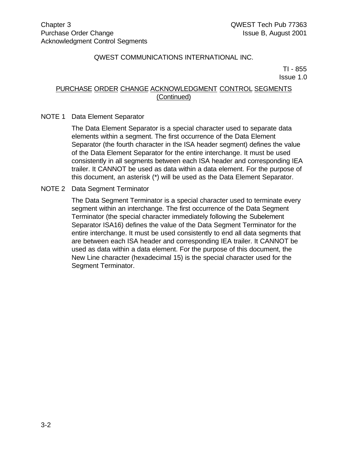TI - 855 Issue 1.0

#### PURCHASE ORDER CHANGE ACKNOWLEDGMENT CONTROL SEGMENTS (Continued)

#### NOTE 1 Data Element Separator

The Data Element Separator is a special character used to separate data elements within a segment. The first occurrence of the Data Element Separator (the fourth character in the ISA header segment) defines the value of the Data Element Separator for the entire interchange. It must be used consistently in all segments between each ISA header and corresponding IEA trailer. It CANNOT be used as data within a data element. For the purpose of this document, an asterisk (\*) will be used as the Data Element Separator.

#### NOTE 2 Data Segment Terminator

The Data Segment Terminator is a special character used to terminate every segment within an interchange. The first occurrence of the Data Segment Terminator (the special character immediately following the Subelement Separator ISA16) defines the value of the Data Segment Terminator for the entire interchange. It must be used consistently to end all data segments that are between each ISA header and corresponding IEA trailer. It CANNOT be used as data within a data element. For the purpose of this document, the New Line character (hexadecimal 15) is the special character used for the Segment Terminator.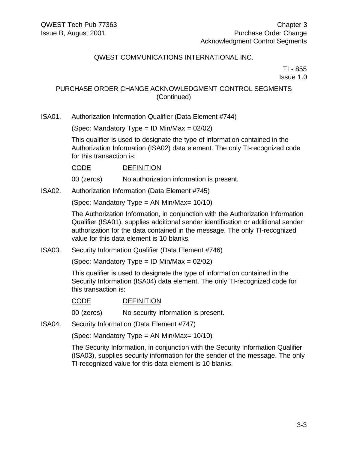TI - 855 Issue 1.0

#### PURCHASE ORDER CHANGE ACKNOWLEDGMENT CONTROL SEGMENTS (Continued)

ISA01. Authorization Information Qualifier (Data Element #744)

(Spec: Mandatory Type = ID Min/Max =  $02/02$ )

This qualifier is used to designate the type of information contained in the Authorization Information (ISA02) data element. The only TI-recognized code for this transaction is:

CODE DEFINITION

00 (zeros) No authorization information is present.

ISA02. Authorization Information (Data Element #745)

(Spec: Mandatory Type = AN Min/Max= 10/10)

The Authorization Information, in conjunction with the Authorization Information Qualifier (ISA01), supplies additional sender identification or additional sender authorization for the data contained in the message. The only TI-recognized value for this data element is 10 blanks.

ISA03. Security Information Qualifier (Data Element #746)

(Spec: Mandatory Type = ID Min/Max =  $02/02$ )

This qualifier is used to designate the type of information contained in the Security Information (ISA04) data element. The only TI-recognized code for this transaction is:

#### CODE DEFINITION

00 (zeros) No security information is present.

ISA04. Security Information (Data Element #747)

(Spec: Mandatory Type = AN Min/Max= 10/10)

The Security Information, in conjunction with the Security Information Qualifier (ISA03), supplies security information for the sender of the message. The only TI-recognized value for this data element is 10 blanks.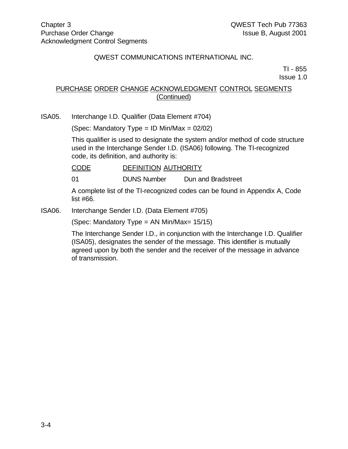TI - 855 Issue 1.0

## PURCHASE ORDER CHANGE ACKNOWLEDGMENT CONTROL SEGMENTS (Continued)

ISA05. Interchange I.D. Qualifier (Data Element #704)

(Spec: Mandatory Type = ID Min/Max = 02/02)

This qualifier is used to designate the system and/or method of code structure used in the Interchange Sender I.D. (ISA06) following. The TI-recognized code, its definition, and authority is:

CODE DEFINITION AUTHORITY

01 DUNS Number Dun and Bradstreet

A complete list of the TI-recognized codes can be found in Appendix A, Code list #66.

ISA06. Interchange Sender I.D. (Data Element #705)

(Spec: Mandatory Type = AN Min/Max= 15/15)

The Interchange Sender I.D., in conjunction with the Interchange I.D. Qualifier (ISA05), designates the sender of the message. This identifier is mutually agreed upon by both the sender and the receiver of the message in advance of transmission.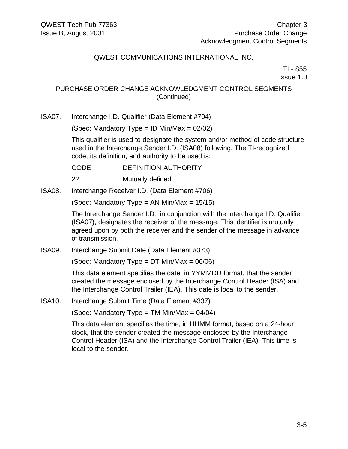TI - 855 Issue 1.0

#### PURCHASE ORDER CHANGE ACKNOWLEDGMENT CONTROL SEGMENTS (Continued)

ISA07. Interchange I.D. Qualifier (Data Element #704)

(Spec: Mandatory Type = ID Min/Max =  $02/02$ )

This qualifier is used to designate the system and/or method of code structure used in the Interchange Sender I.D. (ISA08) following. The TI-recognized code, its definition, and authority to be used is:

CODE DEFINITION AUTHORITY

22 Mutually defined

ISA08. Interchange Receiver I.D. (Data Element #706)

(Spec: Mandatory Type = AN Min/Max = 15/15)

The Interchange Sender I.D., in conjunction with the Interchange I.D. Qualifier (ISA07), designates the receiver of the message. This identifier is mutually agreed upon by both the receiver and the sender of the message in advance of transmission.

ISA09. Interchange Submit Date (Data Element #373)

(Spec: Mandatory Type =  $DT$  Min/Max = 06/06)

This data element specifies the date, in YYMMDD format, that the sender created the message enclosed by the Interchange Control Header (ISA) and the Interchange Control Trailer (IEA). This date is local to the sender.

ISA10. Interchange Submit Time (Data Element #337)

(Spec: Mandatory Type = TM Min/Max =  $04/04$ )

This data element specifies the time, in HHMM format, based on a 24-hour clock, that the sender created the message enclosed by the Interchange Control Header (ISA) and the Interchange Control Trailer (IEA). This time is local to the sender.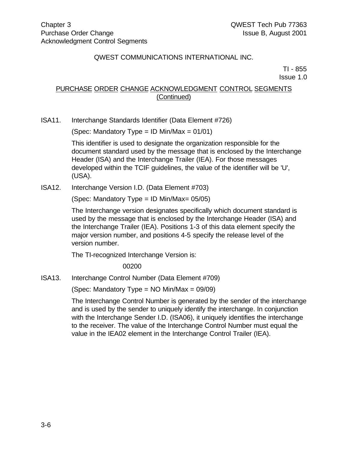TI - 855 Issue 1.0

## PURCHASE ORDER CHANGE ACKNOWLEDGMENT CONTROL SEGMENTS (Continued)

ISA11. Interchange Standards Identifier (Data Element #726)

(Spec: Mandatory Type = ID Min/Max =  $01/01$ )

This identifier is used to designate the organization responsible for the document standard used by the message that is enclosed by the Interchange Header (ISA) and the Interchange Trailer (IEA). For those messages developed within the TCIF guidelines, the value of the identifier will be 'U', (USA).

ISA12. Interchange Version I.D. (Data Element #703)

(Spec: Mandatory Type = ID Min/Max= 05/05)

The Interchange version designates specifically which document standard is used by the message that is enclosed by the Interchange Header (ISA) and the Interchange Trailer (IEA). Positions 1-3 of this data element specify the major version number, and positions 4-5 specify the release level of the version number.

The TI-recognized Interchange Version is:

00200

ISA13. Interchange Control Number (Data Element #709)

(Spec: Mandatory Type = NO Min/Max = 09/09)

The Interchange Control Number is generated by the sender of the interchange and is used by the sender to uniquely identify the interchange. In conjunction with the Interchange Sender I.D. (ISA06), it uniquely identifies the interchange to the receiver. The value of the Interchange Control Number must equal the value in the IEA02 element in the Interchange Control Trailer (IEA).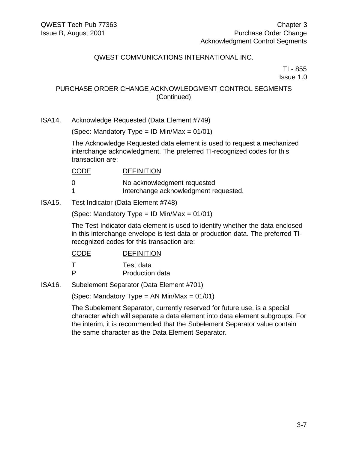TI - 855 Issue 1.0

## PURCHASE ORDER CHANGE ACKNOWLEDGMENT CONTROL SEGMENTS (Continued)

ISA14. Acknowledge Requested (Data Element #749)

(Spec: Mandatory Type = ID Min/Max =  $01/01$ )

The Acknowledge Requested data element is used to request a mechanized interchange acknowledgment. The preferred TI-recognized codes for this transaction are:

#### CODE DEFINITION

| No acknowledgment requested |
|-----------------------------|
|                             |

- 1 **Interchange acknowledgment requested.**
- ISA15. Test Indicator (Data Element #748)

(Spec: Mandatory Type = ID Min/Max =  $01/01$ )

The Test Indicator data element is used to identify whether the data enclosed in this interchange envelope is test data or production data. The preferred TIrecognized codes for this transaction are:

| $\mathsf{T}$ | Test data       |
|--------------|-----------------|
| P            | Production data |

ISA16. Subelement Separator (Data Element #701)

(Spec: Mandatory Type = AN Min/Max =  $01/01$ )

The Subelement Separator, currently reserved for future use, is a special character which will separate a data element into data element subgroups. For the interim, it is recommended that the Subelement Separator value contain the same character as the Data Element Separator.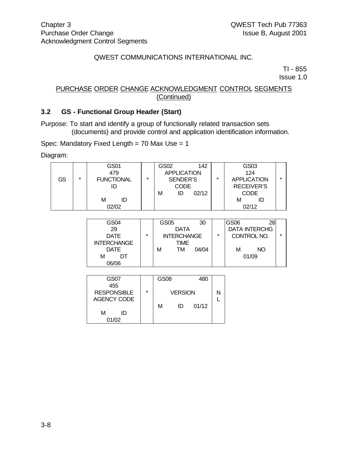TI - 855

Issue 1.0

#### PURCHASE ORDER CHANGE ACKNOWLEDGMENT CONTROL SEGMENTS (Continued)

#### **3.2 GS - Functional Group Header (Start)**

Purpose: To start and identify a group of functionally related transaction sets (documents) and provide control and application identification information.

Spec: Mandatory Fixed Length = 70 Max Use = 1

Diagram:

|    |                              | GS01  |         | GS02               | 142   |   | GS03               |         |
|----|------------------------------|-------|---------|--------------------|-------|---|--------------------|---------|
|    |                              | 479   |         | <b>APPLICATION</b> |       |   | 124                |         |
| GS | $\star$<br><b>FUNCTIONAL</b> |       | $\star$ | SENDER'S           |       | ÷ | <b>APPLICATION</b> | $\star$ |
|    |                              |       |         | CODE               |       |   | <b>RECEIVER'S</b>  |         |
|    |                              |       |         | М<br>ID            | 02/12 |   | CODE               |         |
|    |                              | М     |         |                    |       |   | м                  |         |
|    |                              | በ2/በ2 |         |                    |       |   | 02/12              |         |

| GS04               |   | GS05 |                    | 30    |         | GS <sub>06</sub>     |    |         |
|--------------------|---|------|--------------------|-------|---------|----------------------|----|---------|
| 29                 |   |      | <b>DATA</b>        |       |         | <b>DATA INTERCHG</b> |    |         |
| <b>DATE</b>        | ÷ |      | <b>INTERCHANGE</b> |       | $\star$ | CONTROL NO.          |    | $\star$ |
| <b>INTERCHANGE</b> |   |      | TIME               |       |         |                      |    |         |
| <b>DATE</b>        |   | м    | TM                 | 04/04 |         | м                    | NO |         |
| М<br>DТ            |   |      |                    |       |         | 01/09                |    |         |
| 06/06              |   |      |                    |       |         |                      |    |         |

| GS07               |         | GS08 |                | 480   |  |
|--------------------|---------|------|----------------|-------|--|
| 455                |         |      |                |       |  |
| <b>RESPONSIBLE</b> | $\star$ |      | <b>VERSION</b> |       |  |
| AGENCY CODE        |         |      |                |       |  |
|                    |         | м    | ID             | 01/12 |  |
| м<br>ID            |         |      |                |       |  |
| 01/02              |         |      |                |       |  |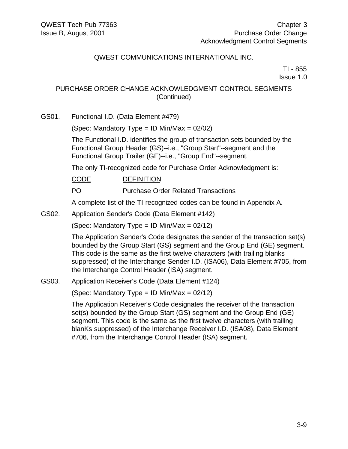TI - 855 Issue 1.0

### PURCHASE ORDER CHANGE ACKNOWLEDGMENT CONTROL SEGMENTS (Continued)

GS01. Functional I.D. (Data Element #479)

(Spec: Mandatory Type = ID Min/Max =  $02/02$ )

The Functional I.D. identifies the group of transaction sets bounded by the Functional Group Header (GS)--i.e., "Group Start"--segment and the Functional Group Trailer (GE)--i.e., "Group End"--segment.

The only TI-recognized code for Purchase Order Acknowledgment is:

CODE DEFINITION

PO Purchase Order Related Transactions

A complete list of the TI-recognized codes can be found in Appendix A.

GS02. Application Sender's Code (Data Element #142)

(Spec: Mandatory Type = ID Min/Max =  $02/12$ )

The Application Sender's Code designates the sender of the transaction set(s) bounded by the Group Start (GS) segment and the Group End (GE) segment. This code is the same as the first twelve characters (with trailing blanks suppressed) of the Interchange Sender I.D. (ISA06), Data Element #705, from the Interchange Control Header (ISA) segment.

GS03. Application Receiver's Code (Data Element #124)

(Spec: Mandatory Type = ID Min/Max =  $02/12$ )

The Application Receiver's Code designates the receiver of the transaction set(s) bounded by the Group Start (GS) segment and the Group End (GE) segment. This code is the same as the first twelve characters (with trailing blanKs suppressed) of the Interchange Receiver I.D. (ISA08), Data Element #706, from the Interchange Control Header (ISA) segment.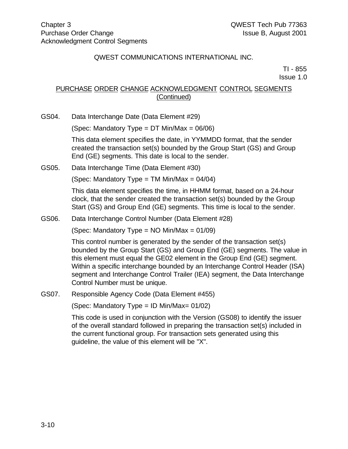TI - 855 Issue 1.0

## PURCHASE ORDER CHANGE ACKNOWLEDGMENT CONTROL SEGMENTS (Continued)

GS04. Data Interchange Date (Data Element #29)

(Spec: Mandatory Type =  $DT$  Min/Max = 06/06)

This data element specifies the date, in YYMMDD format, that the sender created the transaction set(s) bounded by the Group Start (GS) and Group End (GE) segments. This date is local to the sender.

GS05. Data Interchange Time (Data Element #30)

(Spec: Mandatory Type = TM Min/Max =  $04/04$ )

This data element specifies the time, in HHMM format, based on a 24-hour clock, that the sender created the transaction set(s) bounded by the Group Start (GS) and Group End (GE) segments. This time is local to the sender.

GS06. Data Interchange Control Number (Data Element #28)

(Spec: Mandatory Type =  $NO$  Min/Max =  $01/09$ )

This control number is generated by the sender of the transaction set(s) bounded by the Group Start (GS) and Group End (GE) segments. The value in this element must equal the GE02 element in the Group End (GE) segment. Within a specific interchange bounded by an Interchange Control Header (ISA) segment and Interchange Control Trailer (IEA) segment, the Data Interchange Control Number must be unique.

GS07. Responsible Agency Code (Data Element #455)

(Spec: Mandatory Type = ID Min/Max= 01/02)

This code is used in conjunction with the Version (GS08) to identify the issuer of the overall standard followed in preparing the transaction set(s) included in the current functional group. For transaction sets generated using this guideline, the value of this element will be "X".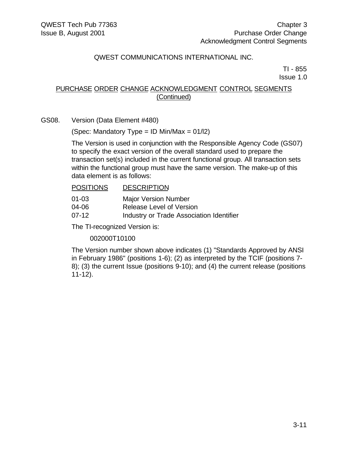TI - 855 Issue 1.0

### PURCHASE ORDER CHANGE ACKNOWLEDGMENT CONTROL SEGMENTS (Continued)

GS08. Version (Data Element #480)

(Spec: Mandatory Type = ID Min/Max =  $01/12$ )

The Version is used in conjunction with the Responsible Agency Code (GS07) to specify the exact version of the overall standard used to prepare the transaction set(s) included in the current functional group. All transaction sets within the functional group must have the same version. The make-up of this data element is as follows:

#### POSITIONS DESCRIPTION

- 01-03 Major Version Number
- 04-06 Release Level of Version
- 07-12 Industry or Trade Association Identifier

The TI-recognized Version is:

002000T10100

The Version number shown above indicates (1) "Standards Approved by ANSI in February 1986" (positions 1-6); (2) as interpreted by the TCIF (positions 7- 8); (3) the current Issue (positions 9-10); and (4) the current release (positions 11-12).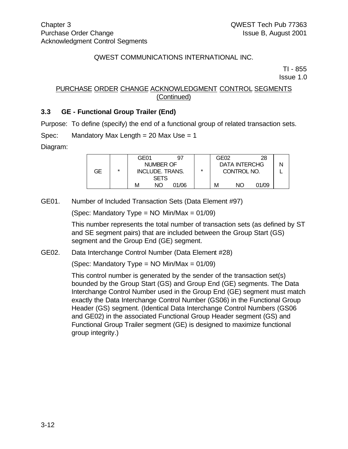TI - 855

Issue 1.0

#### PURCHASE ORDER CHANGE ACKNOWLEDGMENT CONTROL SEGMENTS (Continued)

### **3.3 GE - Functional Group Trailer (End)**

Purpose: To define (specify) the end of a functional group of related transaction sets.

Spec: Mandatory Max Length = 20 Max Use = 1

Diagram:

|    |         | GE01 |                 | 97    |         | GE02        |                      | 28    |  |
|----|---------|------|-----------------|-------|---------|-------------|----------------------|-------|--|
|    |         |      | NUMBER OF       |       |         |             | <b>DATA INTERCHG</b> |       |  |
| GE | $\star$ |      | INCLUDE. TRANS. |       | $\star$ | CONTROL NO. |                      |       |  |
|    |         |      | <b>SETS</b>     |       |         |             |                      |       |  |
|    |         | м    | NΟ              | 01/06 |         | м           | NΟ                   | 01/09 |  |

GE01. Number of Included Transaction Sets (Data Element #97)

(Spec: Mandatory Type =  $NO$  Min/Max =  $01/09$ )

This number represents the total number of transaction sets (as defined by ST and SE segment pairs) that are included between the Group Start (GS) segment and the Group End (GE) segment.

#### GE02. Data Interchange Control Number (Data Element #28)

(Spec: Mandatory Type =  $NO$  Min/Max =  $01/09$ )

This control number is generated by the sender of the transaction set(s) bounded by the Group Start (GS) and Group End (GE) segments. The Data Interchange Control Number used in the Group End (GE) segment must match exactly the Data Interchange Control Number (GS06) in the Functional Group Header (GS) segment. (Identical Data Interchange Control Numbers (GS06 and GE02) in the associated Functional Group Header segment (GS) and Functional Group Trailer segment (GE) is designed to maximize functional group integrity.)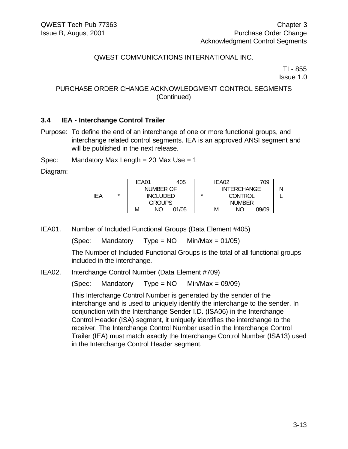TI - 855 Issue 1.0

#### PURCHASE ORDER CHANGE ACKNOWLEDGMENT CONTROL SEGMENTS (Continued)

#### **3.4 IEA - Interchange Control Trailer**

Purpose: To define the end of an interchange of one or more functional groups, and interchange related control segments. IEA is an approved ANSI segment and will be published in the next release.

Spec: Mandatory Max Length = 20 Max Use = 1

Diagram:

|     |               | IEA01                        |    | 405   |         | IEA02          |                    | 709   |  |
|-----|---------------|------------------------------|----|-------|---------|----------------|--------------------|-------|--|
|     |               | NUMBER OF<br><b>INCLUDED</b> |    |       |         |                | <b>INTERCHANGE</b> |       |  |
| IEA | ÷             |                              |    |       | $\star$ | <b>CONTROL</b> |                    |       |  |
|     | <b>GROUPS</b> |                              |    |       |         | <b>NUMBER</b>  |                    |       |  |
|     |               | м                            | NΟ | 01/05 |         | М              | NΟ                 | 09/09 |  |

IEA01. Number of Included Functional Groups (Data Element #405)

(Spec: Mandatory Type =  $NO$  Min/Max = 01/05)

The Number of Included Functional Groups is the total of all functional groups included in the interchange.

IEA02. Interchange Control Number (Data Element #709)

(Spec: Mandatory Type =  $NO$  Min/Max = 09/09)

This Interchange Control Number is generated by the sender of the interchange and is used to uniquely identify the interchange to the sender. In conjunction with the Interchange Sender I.D. (ISA06) in the Interchange Control Header (ISA) segment, it uniquely identifies the interchange to the receiver. The Interchange Control Number used in the Interchange Control Trailer (IEA) must match exactly the Interchange Control Number (ISA13) used in the Interchange Control Header segment.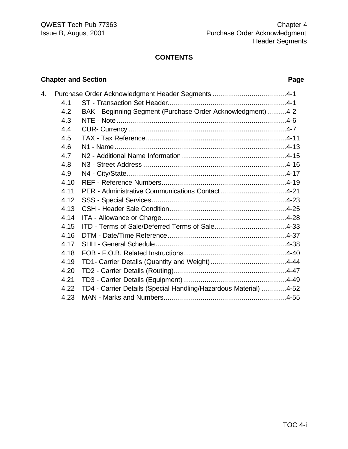# **CONTENTS**

# **Chapter and Section Page**

| 4. |      | Purchase Order Acknowledgment Header Segments 4-1                |  |
|----|------|------------------------------------------------------------------|--|
|    | 4.1  |                                                                  |  |
|    | 4.2  | BAK - Beginning Segment (Purchase Order Acknowledgment) 4-2      |  |
|    | 4.3  |                                                                  |  |
|    | 4.4  |                                                                  |  |
|    | 4.5  |                                                                  |  |
|    | 4.6  |                                                                  |  |
|    | 4.7  |                                                                  |  |
|    | 4.8  |                                                                  |  |
|    | 4.9  |                                                                  |  |
|    | 4.10 |                                                                  |  |
|    | 4.11 | PER - Administrative Communications Contact 4-21                 |  |
|    | 4.12 |                                                                  |  |
|    | 4.13 |                                                                  |  |
|    | 4.14 |                                                                  |  |
|    | 4.15 |                                                                  |  |
|    | 4.16 |                                                                  |  |
|    | 4.17 |                                                                  |  |
|    | 4.18 |                                                                  |  |
|    | 4.19 |                                                                  |  |
|    | 4.20 |                                                                  |  |
|    | 4.21 |                                                                  |  |
|    | 4.22 | TD4 - Carrier Details (Special Handling/Hazardous Material) 4-52 |  |
|    | 4.23 |                                                                  |  |
|    |      |                                                                  |  |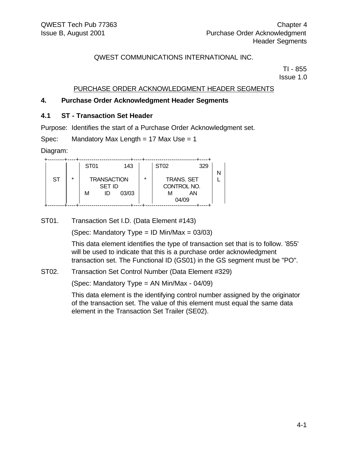TI - 855 Issue 1.0

#### PURCHASE ORDER ACKNOWLEDGMENT HEADER SEGMENTS

#### **4. Purchase Order Acknowledgment Header Segments**

#### **4.1 ST - Transaction Set Header**

Purpose: Identifies the start of a Purchase Order Acknowledgment set.

Spec: Mandatory Max Length = 17 Max Use = 1

Diagram:

|           |         | ST <sub>01</sub> |                                           | 143   |         | <b>ST02</b> | 329                                    |  |
|-----------|---------|------------------|-------------------------------------------|-------|---------|-------------|----------------------------------------|--|
| <b>ST</b> | $\star$ | М                | <b>TRANSACTION</b><br><b>SET ID</b><br>ID | 03/03 | $\star$ | ιvι         | <b>TRANS. SET</b><br>CONTROL NO.<br>ΑN |  |
|           |         |                  |                                           |       |         |             | 04/09                                  |  |

ST01. Transaction Set I.D. (Data Element #143)

(Spec: Mandatory Type = ID Min/Max =  $03/03$ )

This data element identifies the type of transaction set that is to follow. '855' will be used to indicate that this is a purchase order acknowledgment transaction set. The Functional ID (GS01) in the GS segment must be "PO".

ST02. Transaction Set Control Number (Data Element #329)

(Spec: Mandatory Type = AN Min/Max - 04/09)

This data element is the identifying control number assigned by the originator of the transaction set. The value of this element must equal the same data element in the Transaction Set Trailer (SE02).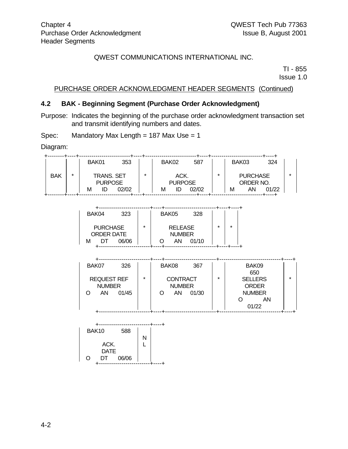TI - 855 Issue 1.0

#### PURCHASE ORDER ACKNOWLEDGMENT HEADER SEGMENTS (Continued)

#### **4.2 BAK - Beginning Segment (Purchase Order Acknowledgment)**

Purpose: Indicates the beginning of the purchase order acknowledgment transaction set and transmit identifying numbers and dates.

Spec: Mandatory Max Length = 187 Max Use = 1

Diagram:

|            |         | BAK01                               | 353   |         | BAK02                  | 587   |   | BAK03 |                              | 324   |   |
|------------|---------|-------------------------------------|-------|---------|------------------------|-------|---|-------|------------------------------|-------|---|
| <b>BAK</b> | $\star$ | <b>TRANS, SET</b><br><b>PURPOSE</b> |       | $\star$ | ACK.<br><b>PURPOSE</b> |       | ÷ |       | <b>PURCHASE</b><br>ORDER NO. |       | 大 |
|            |         | ID<br>м                             | 02/02 |         | ID<br>М                | 02/02 |   | М     | ΑN                           | 01/22 |   |
|            |         |                                     |       |         |                        |       |   |       |                              |       |   |

| BAK04           | 323   |         | BAK05 | 328            |   |   |
|-----------------|-------|---------|-------|----------------|---|---|
|                 |       |         |       |                |   |   |
|                 |       |         |       |                |   |   |
| <b>PURCHASE</b> |       | $\star$ |       | <b>RELEASE</b> | ÷ | ÷ |
| ORDER DATE      |       |         |       | <b>NUMBER</b>  |   |   |
| M               | 06/06 |         | ΑN    | 01/10          |   |   |
|                 |       |         |       |                |   |   |

| BAK07              | 326     |               | BAK08           |    | 367     |              |                | BAK09         |  |
|--------------------|---------|---------------|-----------------|----|---------|--------------|----------------|---------------|--|
|                    |         |               |                 |    |         |              |                | 650           |  |
| <b>REQUEST REF</b> | $\star$ |               | <b>CONTRACT</b> |    | $\star$ |              | <b>SELLERS</b> | $\star$       |  |
| <b>NUMBER</b>      |         | <b>NUMBER</b> |                 |    |         | <b>ORDER</b> |                |               |  |
| ΑN                 | 01/45   |               |                 | AN | 01/30   |              |                | <b>NUMBER</b> |  |
|                    |         |               |                 |    |         |              |                | AN            |  |
|                    |         |               |                 |    |         |              |                | 01/22         |  |
|                    |         |               |                 |    |         |              |                |               |  |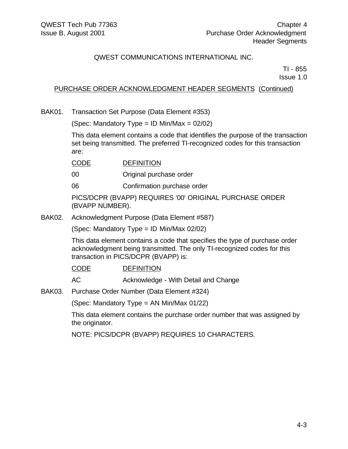TI - 855 Issue 1.0

#### PURCHASE ORDER ACKNOWLEDGMENT HEADER SEGMENTS (Continued)

BAK01. Transaction Set Purpose (Data Element #353)

(Spec: Mandatory Type = ID Min/Max =  $02/02$ )

This data element contains a code that identifies the purpose of the transaction set being transmitted. The preferred TI-recognized codes for this transaction are:

CODE DEFINITION

00 Original purchase order

06 Confirmation purchase order

PICS/DCPR (BVAPP) REQUIRES '00' ORIGINAL PURCHASE ORDER (BVAPP NUMBER).

BAK02. Acknowledgment Purpose (Data Element #587)

(Spec: Mandatory Type = ID Min/Max 02/02)

This data element contains a code that specifies the type of purchase order acknowledgment being transmitted. The only TI-recognized codes for this transaction in PICS/DCPR (BVAPP) is:

CODE DEFINITION

AC Acknowledge - With Detail and Change

BAK03. Purchase Order Number (Data Element #324)

(Spec: Mandatory Type = AN Min/Max 01/22)

This data element contains the purchase order number that was assigned by the originator.

NOTE: PICS/DCPR (BVAPP) REQUIRES 10 CHARACTERS.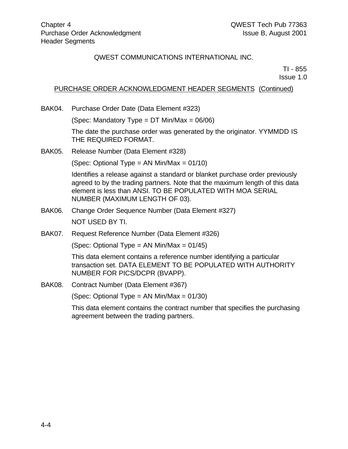TI - 855

Issue 1.0

#### PURCHASE ORDER ACKNOWLEDGMENT HEADER SEGMENTS (Continued)

BAK04. Purchase Order Date (Data Element #323)

(Spec: Mandatory Type = DT Min/Max = 06/06)

The date the purchase order was generated by the originator. YYMMDD IS THE REQUIRED FORMAT.

BAK05. Release Number (Data Element #328)

(Spec: Optional Type =  $AN Min/Max = 01/10$ )

Identifies a release against a standard or blanket purchase order previously agreed to by the trading partners. Note that the maximum length of this data element is less than ANSI. TO BE POPULATED WITH MOA SERIAL NUMBER (MAXIMUM LENGTH OF 03).

- BAK06. Change Order Sequence Number (Data Element #327) NOT USED BY TI.
- BAK07. Request Reference Number (Data Element #326)

(Spec: Optional Type = AN Min/Max =  $01/45$ )

This data element contains a reference number identifying a particular transaction set. DATA ELEMENT TO BE POPULATED WITH AUTHORITY NUMBER FOR PICS/DCPR (BVAPP).

BAK08. Contract Number (Data Element #367)

(Spec: Optional Type = AN Min/Max = 01/30)

This data element contains the contract number that specifies the purchasing agreement between the trading partners.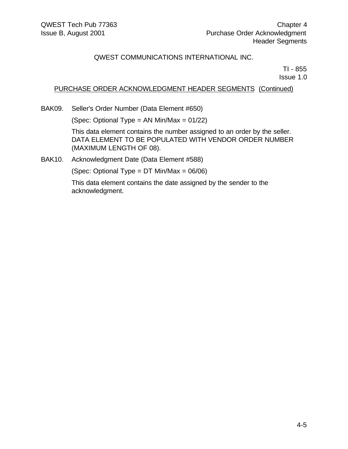TI - 855 Issue 1.0

#### PURCHASE ORDER ACKNOWLEDGMENT HEADER SEGMENTS (Continued)

BAK09. Seller's Order Number (Data Element #650)

(Spec: Optional Type = AN Min/Max =  $01/22$ )

This data element contains the number assigned to an order by the seller. DATA ELEMENT TO BE POPULATED WITH VENDOR ORDER NUMBER (MAXIMUM LENGTH OF 08).

BAK10. Acknowledgment Date (Data Element #588)

(Spec: Optional Type =  $DT$  Min/Max = 06/06)

This data element contains the date assigned by the sender to the acknowledgment.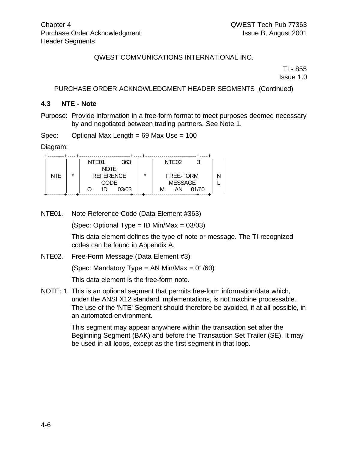TI - 855

Issue 1.0

#### PURCHASE ORDER ACKNOWLEDGMENT HEADER SEGMENTS (Continued)

#### **4.3 NTE - Note**

Purpose: Provide information in a free-form format to meet purposes deemed necessary by and negotiated between trading partners. See Note 1.

Spec: Optional Max Length = 69 Max Use = 100

Diagram:

|            |         | NTE <sub>01</sub> |             | 363                  |  | NTE <sub>02</sub> |       |  |
|------------|---------|-------------------|-------------|----------------------|--|-------------------|-------|--|
|            |         |                   | <b>NOTE</b> |                      |  |                   |       |  |
| <b>NTF</b> | $\star$ | <b>REFERENCE</b>  |             | $\star$<br>FREE-FORM |  |                   |       |  |
|            |         |                   | CODE        |                      |  | <b>MESSAGE</b>    |       |  |
|            |         |                   | ID          | 03/03                |  | AN                | 01/60 |  |
|            |         |                   |             |                      |  |                   |       |  |

NTE01. Note Reference Code (Data Element #363)

(Spec: Optional Type = ID Min/Max = 03/03)

This data element defines the type of note or message. The TI-recognized codes can be found in Appendix A.

NTE02. Free-Form Message (Data Element #3)

(Spec: Mandatory Type = AN Min/Max =  $01/60$ )

This data element is the free-form note.

NOTE: 1. This is an optional segment that permits free-form information/data which, under the ANSI X12 standard implementations, is not machine processable. The use of the 'NTE' Segment should therefore be avoided, if at all possible, in an automated environment.

> This segment may appear anywhere within the transaction set after the Beginning Segment (BAK) and before the Transaction Set Trailer (SE). It may be used in all loops, except as the first segment in that loop.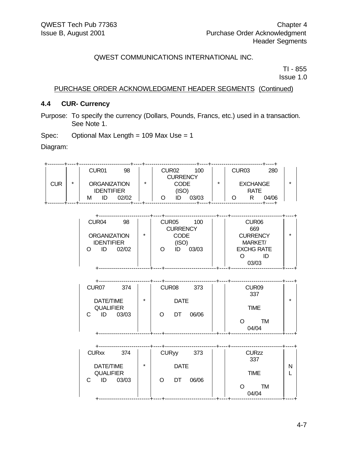TIME

#### QWEST COMMUNICATIONS INTERNATIONAL INC.

TI - 855 Issue 1.0

PURCHASE ORDER ACKNOWLEDGMENT HEADER SEGMENTS (Continued)

#### **4.4 CUR- Currency**

Purpose: To specify the currency (Dollars, Pounds, Francs, etc.) used in a transaction. See Note 1.

Spec: Optional Max Length = 109 Max Use = 1

QUALIFIER

Diagram:

| $\star$<br><b>CUR</b> |  | CUR01<br>98<br><b>ORGANIZATION</b>                                          | *       | CUR <sub>02</sub><br>100<br><b>CURRENCY</b><br><b>CODE</b>                              |  | CUR <sub>03</sub><br>280<br><b>EXCHANGE</b>                                                            | $\star$ |
|-----------------------|--|-----------------------------------------------------------------------------|---------|-----------------------------------------------------------------------------------------|--|--------------------------------------------------------------------------------------------------------|---------|
|                       |  | <b>IDENTIFIER</b><br>ID<br>02/02<br>м                                       |         | (ISO)<br>03/03<br>ID<br>O                                                               |  | <b>RATE</b><br>R.<br>04/06<br>Ω<br>----+                                                               |         |
|                       |  |                                                                             |         |                                                                                         |  |                                                                                                        |         |
|                       |  | CUR04<br>98<br><b>ORGANIZATION</b><br><b>IDENTIFIER</b><br>ID<br>02/02<br>O | $\star$ | CUR <sub>05</sub><br>100<br><b>CURRENCY</b><br><b>CODE</b><br>(ISO)<br>03/03<br>O<br>ID |  | CUR <sub>06</sub><br>669<br><b>CURRENCY</b><br><b>MARKET/</b><br><b>EXCHG RATE</b><br>ID<br>Ω<br>03/03 | $\star$ |
|                       |  |                                                                             |         |                                                                                         |  |                                                                                                        |         |
|                       |  | CUR <sub>07</sub><br>374                                                    |         | CUR <sub>08</sub><br>373                                                                |  | CUR09<br>337                                                                                           |         |
| DATE/TIME             |  |                                                                             | $\star$ | <b>DATE</b>                                                                             |  |                                                                                                        | $\star$ |

| C<br>03/03<br>ID                                  |         | 06/06<br>O<br>DT                | TM<br>O<br>04/04<br>-+--<br>--+- |        |
|---------------------------------------------------|---------|---------------------------------|----------------------------------|--------|
|                                                   |         |                                 |                                  |        |
| <b>CURxx</b><br>374                               |         | <b>CURyy</b><br>373             | <b>CURzz</b><br>337              |        |
| DATE/TIME<br><b>QUALIFIER</b><br>03/03<br>C<br>ID | $\star$ | <b>DATE</b><br>06/06<br>DT<br>O | <b>TIME</b>                      | N<br>L |
|                                                   |         |                                 | <b>TM</b><br>O<br>04/04          |        |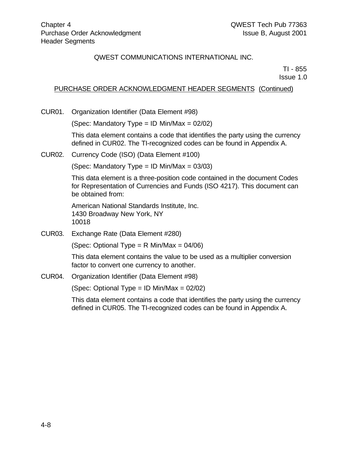TI - 855 Issue 1.0

# PURCHASE ORDER ACKNOWLEDGMENT HEADER SEGMENTS (Continued)

CUR01. Organization Identifier (Data Element #98)

(Spec: Mandatory Type = ID Min/Max =  $02/02$ )

This data element contains a code that identifies the party using the currency defined in CUR02. The TI-recognized codes can be found in Appendix A.

CUR02. Currency Code (ISO) (Data Element #100)

(Spec: Mandatory Type = ID Min/Max =  $03/03$ )

This data element is a three-position code contained in the document Codes for Representation of Currencies and Funds (ISO 4217). This document can be obtained from:

American National Standards Institute, Inc. 1430 Broadway New York, NY 10018

CUR03. Exchange Rate (Data Element #280)

(Spec: Optional Type =  $R$  Min/Max = 04/06)

This data element contains the value to be used as a multiplier conversion factor to convert one currency to another.

CUR04. Organization Identifier (Data Element #98)

(Spec: Optional Type =  $ID$  Min/Max =  $02/02$ )

This data element contains a code that identifies the party using the currency defined in CUR05. The TI-recognized codes can be found in Appendix A.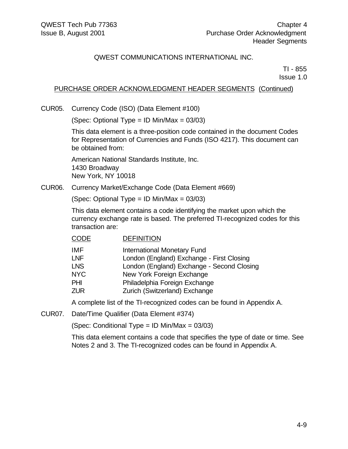TI - 855 Issue 1.0

#### PURCHASE ORDER ACKNOWLEDGMENT HEADER SEGMENTS (Continued)

CUR05. Currency Code (ISO) (Data Element #100)

(Spec: Optional Type = ID Min/Max = 03/03)

This data element is a three-position code contained in the document Codes for Representation of Currencies and Funds (ISO 4217). This document can be obtained from:

American National Standards Institute, Inc. 1430 Broadway New York, NY 10018

CUR06. Currency Market/Exchange Code (Data Element #669)

(Spec: Optional Type = ID Min/Max = 03/03)

This data element contains a code identifying the market upon which the currency exchange rate is based. The preferred TI-recognized codes for this transaction are:

#### CODE DEFINITION

| IMF        | <b>International Monetary Fund</b>         |
|------------|--------------------------------------------|
| LNF        | London (England) Exchange - First Closing  |
| <b>LNS</b> | London (England) Exchange - Second Closing |
| <b>NYC</b> | New York Foreign Exchange                  |
| PHI        | Philadelphia Foreign Exchange              |
| ZUR        | Zurich (Switzerland) Exchange              |
|            |                                            |

A complete list of the TI-recognized codes can be found in Appendix A.

CUR07. Date/Time Qualifier (Data Element #374)

(Spec: Conditional Type = ID Min/Max = 03/03)

This data element contains a code that specifies the type of date or time. See Notes 2 and 3. The TI-recognized codes can be found in Appendix A.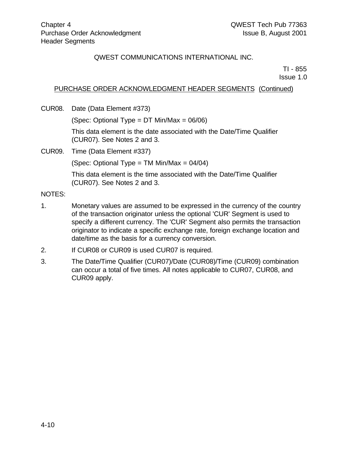TI - 855

Issue 1.0

#### PURCHASE ORDER ACKNOWLEDGMENT HEADER SEGMENTS (Continued)

CUR08. Date (Data Element #373)

(Spec: Optional Type = DT Min/Max = 06/06)

This data element is the date associated with the Date/Time Qualifier (CUR07). See Notes 2 and 3.

CUR09. Time (Data Element #337)

(Spec: Optional Type = TM Min/Max = 04/04)

This data element is the time associated with the Date/Time Qualifier (CUR07). See Notes 2 and 3.

#### NOTES:

- 1. Monetary values are assumed to be expressed in the currency of the country of the transaction originator unless the optional 'CUR' Segment is used to specify a different currency. The 'CUR' Segment also permits the transaction originator to indicate a specific exchange rate, foreign exchange location and date/time as the basis for a currency conversion.
- 2. If CUR08 or CUR09 is used CUR07 is required.
- 3. The Date/Time Qualifier (CUR07)/Date (CUR08)/Time (CUR09) combination can occur a total of five times. All notes applicable to CUR07, CUR08, and CUR09 apply.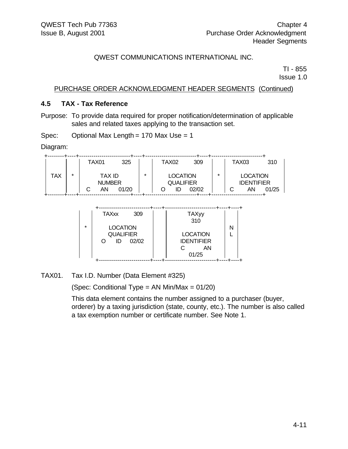TI - 855 Issue 1.0

#### PURCHASE ORDER ACKNOWLEDGMENT HEADER SEGMENTS (Continued)

#### **4.5 TAX - Tax Reference**

Purpose: To provide data required for proper notification/determination of applicable sales and related taxes applying to the transaction set.

Spec: Optional Max Length = 170 Max Use = 1

Diagram:

|            |         | TAX01    | 325                                     |         | TAX <sub>02</sub> | 309                                          |    |   | TAX03                                      | 310   |
|------------|---------|----------|-----------------------------------------|---------|-------------------|----------------------------------------------|----|---|--------------------------------------------|-------|
| <b>TAX</b> | $\star$ | AN.<br>С | <b>TAX ID</b><br><b>NUMBER</b><br>01/20 | $\star$ | ID                | <b>LOCATION</b><br><b>QUALIFIER</b><br>02/02 | *  | С | <b>LOCATION</b><br><b>IDENTIFIER</b><br>AN | 01/25 |
|            |         |          |                                         |         |                   |                                              |    |   | ------------+                              |       |
|            |         |          | <b>TAXxx</b>                            | 309     |                   | <b>TAXyy</b><br>310                          |    |   |                                            |       |
|            |         | $\star$  | <b>LOCATION</b><br><b>QUALIFIER</b>     |         |                   | <b>LOCATION</b>                              |    | N |                                            |       |
|            |         | O        | 02/02<br>ID                             |         |                   | <b>IDENTIFIER</b><br>С                       | AN |   |                                            |       |

TAX01. Tax I.D. Number (Data Element #325)

(Spec: Conditional Type = AN Min/Max = 01/20)

+-------------------------+----+-------------------------+----+----+

This data element contains the number assigned to a purchaser (buyer, orderer) by a taxing jurisdiction (state, county, etc.). The number is also called a tax exemption number or certificate number. See Note 1.

01/25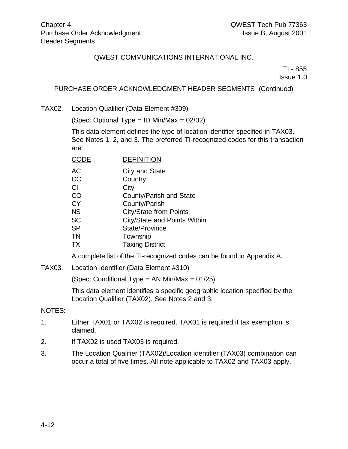TI - 855 Issue 1.0

## PURCHASE ORDER ACKNOWLEDGMENT HEADER SEGMENTS (Continued)

TAX02. Location Qualifier (Data Element #309)

(Spec: Optional Type = ID Min/Max = 02/02)

This data element defines the type of location identifier specified in TAX03. See Notes 1, 2, and 3. The preferred TI-recognized codes for this transaction are:

CODE DEFINITION

| City and State |
|----------------|
|                |

- CC Country
- CI City
- CO County/Parish and State
- CY County/Parish
- NS City/State from Points
- SC City/State and Points Within
- SP State/Province
- TN Township
- TX Taxing District

A complete list of the TI-recognized codes can be found in Appendix A.

TAX03. Location Identifier (Data Element #310)

(Spec: Conditional Type = AN Min/Max = 01/25)

This data element identifies a specific geographic location specified by the Location Qualifier (TAX02). See Notes 2 and 3.

#### NOTES:

- 1. Either TAX01 or TAX02 is required. TAX01 is required if tax exemption is claimed.
- 2. If TAX02 is used TAX03 is required.
- 3. The Location Qualifier (TAX02)/Location identifier (TAX03) combination can occur a total of five times. All note applicable to TAX02 and TAX03 apply.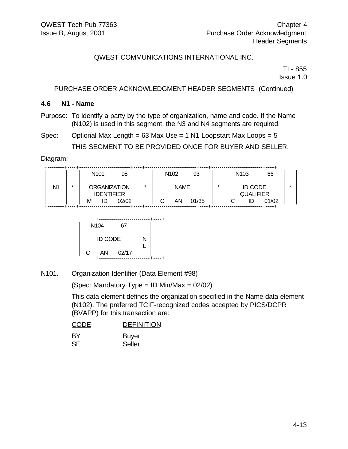TI - 855 Issue 1.0

#### PURCHASE ORDER ACKNOWLEDGMENT HEADER SEGMENTS (Continued)

#### **4.6 N1 - Name**

- Purpose: To identify a party by the type of organization, name and code. If the Name (N102) is used in this segment, the N3 and N4 segments are required.
- Spec: Optional Max Length =  $63$  Max Use = 1 N1 Loopstart Max Loops =  $5$ THIS SEGMENT TO BE PROVIDED ONCE FOR BUYER AND SELLER.

Diagram:

|    |   | N <sub>101</sub>    | 98    |         | N <sub>102</sub> | 93    |         | N <sub>103</sub> | 66               |         |
|----|---|---------------------|-------|---------|------------------|-------|---------|------------------|------------------|---------|
|    |   |                     |       |         |                  |       |         |                  |                  |         |
| N1 | * | <b>ORGANIZATION</b> |       | $\star$ | <b>NAME</b>      |       | $\star$ |                  | <b>ID CODE</b>   | $\star$ |
|    |   | <b>IDENTIFIER</b>   |       |         |                  |       |         |                  | <b>QUALIFIER</b> |         |
|    |   | ID<br>М             | 02/02 |         | ΑN               | 01/35 |         |                  | 01/02            |         |
|    |   |                     |       |         |                  |       |         |                  |                  |         |



N101. Organization Identifier (Data Element #98)

(Spec: Mandatory Type = ID Min/Max =  $02/02$ )

This data element defines the organization specified in the Name data element (N102). The preferred TCIF-recognized codes accepted by PICS/DCPR (BVAPP) for this transaction are:

| <b>CODE</b> | <b>DEFINITION</b> |
|-------------|-------------------|
| <b>BY</b>   | <b>Buyer</b>      |
| SE.         | Seller            |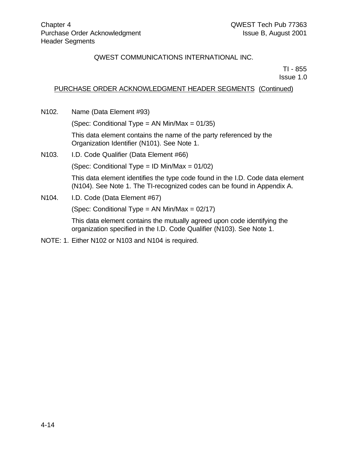TI - 855

Issue 1.0

### PURCHASE ORDER ACKNOWLEDGMENT HEADER SEGMENTS (Continued)

N102. Name (Data Element #93)

(Spec: Conditional Type = AN Min/Max = 01/35)

This data element contains the name of the party referenced by the Organization Identifier (N101). See Note 1.

N103. I.D. Code Qualifier (Data Element #66)

(Spec: Conditional Type = ID Min/Max = 01/02)

This data element identifies the type code found in the I.D. Code data element (N104). See Note 1. The TI-recognized codes can be found in Appendix A.

N<sub>104</sub>. I.D. Code (Data Element #67)

(Spec: Conditional Type = AN Min/Max = 02/17)

This data element contains the mutually agreed upon code identifying the organization specified in the I.D. Code Qualifier (N103). See Note 1.

NOTE: 1. Either N102 or N103 and N104 is required.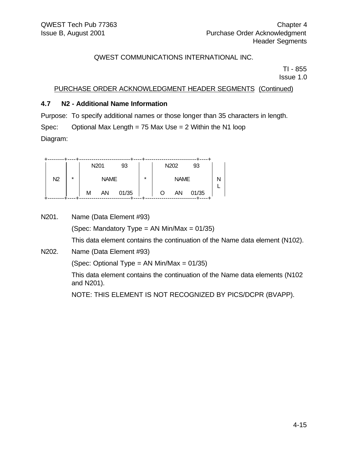TI - 855 Issue 1.0

## PURCHASE ORDER ACKNOWLEDGMENT HEADER SEGMENTS (Continued)

## **4.7 N2 - Additional Name Information**

Purpose: To specify additional names or those longer than 35 characters in length.

Spec: Optional Max Length = 75 Max Use = 2 Within the N1 loop

Diagram:

|                |         |   | N <sub>201</sub> | 93    |         |   | N <sub>202</sub> | 93    |  |
|----------------|---------|---|------------------|-------|---------|---|------------------|-------|--|
| N <sub>2</sub> | $\star$ |   | <b>NAME</b>      |       | $\star$ |   | <b>NAME</b>      |       |  |
|                |         | М | AΝ               | 01/35 |         | O | AΝ               | 01/35 |  |

| N201. | Name (Data Element #93)                                                                    |
|-------|--------------------------------------------------------------------------------------------|
|       | (Spec: Mandatory Type = AN Min/Max = $01/35$ )                                             |
|       | This data element contains the continuation of the Name data element (N102).               |
| N202. | Name (Data Element #93)                                                                    |
|       | (Spec: Optional Type = AN Min/Max = $01/35$ )                                              |
|       | This data element contains the continuation of the Name data elements (N102)<br>and N201). |
|       | NOTE: THIS ELEMENT IS NOT RECOGNIZED BY PICS/DCPR (BVAPP).                                 |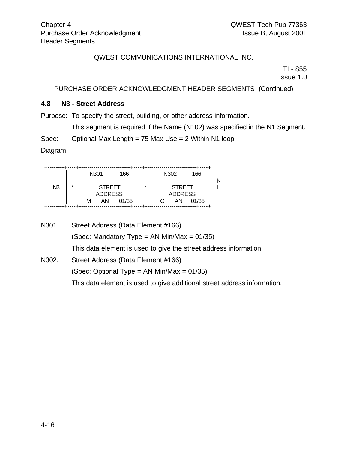TI - 855 Issue 1.0

### PURCHASE ORDER ACKNOWLEDGMENT HEADER SEGMENTS (Continued)

#### **4.8 N3 - Street Address**

Purpose: To specify the street, building, or other address information.

This segment is required if the Name (N102) was specified in the N1 Segment.

Spec: Optional Max Length = 75 Max Use = 2 Within N1 loop

Diagram:

|                |         | N301           | 166   |         | N302 |                | 166   |  |
|----------------|---------|----------------|-------|---------|------|----------------|-------|--|
|                |         |                |       |         |      |                |       |  |
| N <sub>3</sub> | $\star$ | <b>STREET</b>  |       | $\star$ |      | <b>STREET</b>  |       |  |
|                |         | <b>ADDRESS</b> |       |         |      | <b>ADDRESS</b> |       |  |
|                |         | ΑN<br>М        | 01/35 |         |      | AN             | 01/35 |  |
|                |         |                |       |         |      |                |       |  |

N301. Street Address (Data Element #166) (Spec: Mandatory Type = AN Min/Max =  $01/35$ ) This data element is used to give the street address information.

N302. Street Address (Data Element #166) (Spec: Optional Type =  $AN Min/Max = 01/35$ ) This data element is used to give additional street address information.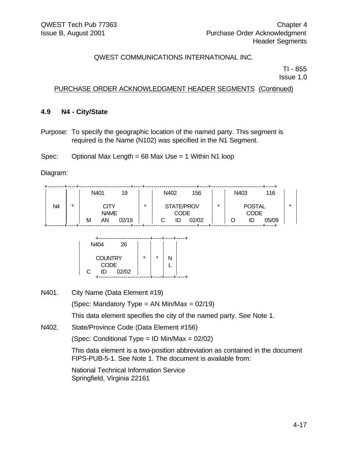TI - 855

Issue 1.0

### PURCHASE ORDER ACKNOWLEDGMENT HEADER SEGMENTS (Continued)

#### **4.9 N4 - City/State**

Purpose: To specify the geographic location of the named party. This segment is required is the Name (N102) was specified in the N1 Segment.

Spec: Optional Max Length = 68 Max Use = 1 Within N1 loop

Diagram:

|    |         | N401 |             | 19    |         | N402       | 156   |   | N403 |               | 116   |
|----|---------|------|-------------|-------|---------|------------|-------|---|------|---------------|-------|
| N4 | $\star$ |      | CITY        |       | $\star$ | STATE/PROV |       | ÷ |      | <b>POSTAL</b> |       |
|    |         |      | <b>NAME</b> |       |         | CODE       |       |   |      | <b>CODE</b>   |       |
|    |         | М    | AN          | 02/19 |         |            | 02/02 |   |      | ΙL            | 05/09 |

| N404                                     | 26    |         |         |  |
|------------------------------------------|-------|---------|---------|--|
| <b>COUNTRY</b><br><b>CODE</b><br>С<br>ID | 02/02 | $\star$ | $\star$ |  |
|                                          |       |         |         |  |

N401. City Name (Data Element #19)

(Spec: Mandatory Type = AN Min/Max =  $02/19$ )

This data element specifies the city of the named party. See Note 1.

N402. State/Province Code (Data Element #156)

(Spec: Conditional Type = ID Min/Max = 02/02)

This data element is a two-position abbreviation as contained in the document FIPS-PUB-5-1. See Note 1. The document is available from:

National Technical Information Service Springfield, Virginia 22161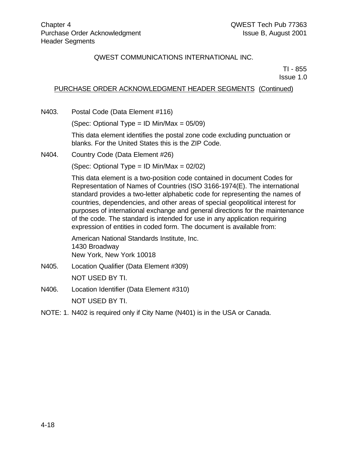TI - 855 Issue 1.0

## PURCHASE ORDER ACKNOWLEDGMENT HEADER SEGMENTS (Continued)

N403. Postal Code (Data Element #116)

(Spec: Optional Type = ID Min/Max =  $05/09$ )

This data element identifies the postal zone code excluding punctuation or blanks. For the United States this is the ZIP Code.

N404. Country Code (Data Element #26)

(Spec: Optional Type = ID Min/Max =  $02/02$ )

This data element is a two-position code contained in document Codes for Representation of Names of Countries (ISO 3166-1974(E). The international standard provides a two-letter alphabetic code for representing the names of countries, dependencies, and other areas of special geopolitical interest for purposes of international exchange and general directions for the maintenance of the code. The standard is intended for use in any application requiring expression of entities in coded form. The document is available from:

American National Standards Institute, Inc. 1430 Broadway New York, New York 10018

- N405. Location Qualifier (Data Element #309) NOT USED BY TI.
- N406. Location Identifier (Data Element #310) NOT USED BY TI.
- NOTE: 1. N402 is required only if City Name (N401) is in the USA or Canada.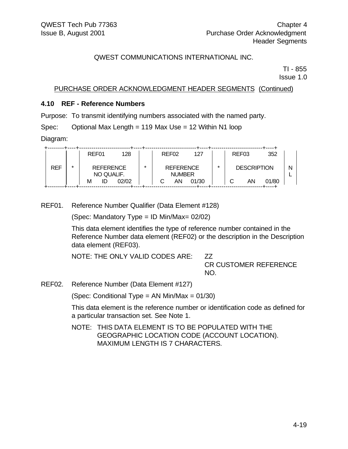TI - 855 Issue 1.0

PURCHASE ORDER ACKNOWLEDGMENT HEADER SEGMENTS (Continued)

#### **4.10 REF - Reference Numbers**

Purpose: To transmit identifying numbers associated with the named party.

Spec: Optional Max Length = 119 Max Use = 12 Within N1 loop

Diagram:

|            |   | REF01                          | 128   |         | REF <sub>02</sub>                 | 127   |   | REF <sub>03</sub>  | 352   |   |
|------------|---|--------------------------------|-------|---------|-----------------------------------|-------|---|--------------------|-------|---|
| <b>REF</b> | ÷ | <b>REFERENCE</b><br>NO QUALIF. |       | $\star$ | <b>REFERENCE</b><br><b>NUMBER</b> |       | ÷ | <b>DESCRIPTION</b> |       | Ν |
|            |   | М<br>ID                        | 02/02 |         | AN                                | 01/30 |   | AN                 | 01/80 |   |

REF01. Reference Number Qualifier (Data Element #128)

(Spec: Mandatory Type = ID Min/Max= 02/02)

This data element identifies the type of reference number contained in the Reference Number data element (REF02) or the description in the Description data element (REF03).

NOTE: THE ONLY VALID CODES ARE: ZZ

CR CUSTOMER REFERENCE NO.

REF02. Reference Number (Data Element #127)

(Spec: Conditional Type = AN Min/Max = 01/30)

This data element is the reference number or identification code as defined for a particular transaction set. See Note 1.

NOTE: THIS DATA ELEMENT IS TO BE POPULATED WITH THE GEOGRAPHIC LOCATION CODE (ACCOUNT LOCATION). MAXIMUM LENGTH IS 7 CHARACTERS.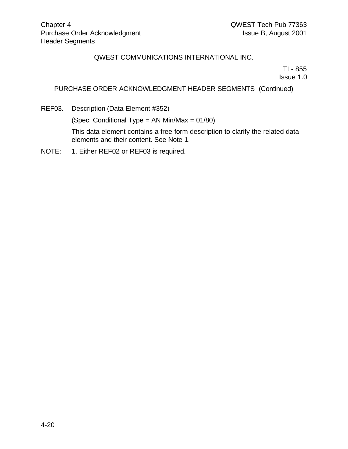TI - 855

Issue 1.0

## PURCHASE ORDER ACKNOWLEDGMENT HEADER SEGMENTS (Continued)

REF03. Description (Data Element #352)

(Spec: Conditional Type = AN Min/Max = 01/80)

This data element contains a free-form description to clarify the related data elements and their content. See Note 1.

NOTE: 1. Either REF02 or REF03 is required.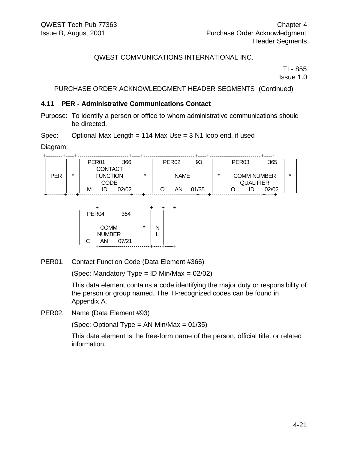TI - 855 Issue 1.0

#### PURCHASE ORDER ACKNOWLEDGMENT HEADER SEGMENTS (Continued)

#### **4.11 PER - Administrative Communications Contact**

Purpose: To identify a person or office to whom administrative communications should be directed.

Spec: Optional Max Length = 114 Max Use = 3 N1 loop end, if used

Diagram:

|            |   | PER <sub>01</sub> | 366   |         | PER <sub>02</sub> | 93    |   | PER <sub>03</sub> |                  | 365                |         |
|------------|---|-------------------|-------|---------|-------------------|-------|---|-------------------|------------------|--------------------|---------|
|            |   | <b>CONTACT</b>    |       |         |                   |       |   |                   |                  |                    |         |
| <b>PER</b> | * | <b>FUNCTION</b>   |       | $\star$ | <b>NAME</b>       |       | * |                   |                  | <b>COMM NUMBER</b> | $\star$ |
|            |   | CODE              |       |         |                   |       |   |                   | <b>QUALIFIER</b> |                    |         |
|            |   | М<br>ID           | 02/02 |         | AΝ                | 01/35 |   |                   |                  | 02/02              |         |
|            |   |                   |       |         |                   |       |   |                   |                  |                    |         |



PER01. Contact Function Code (Data Element #366)

(Spec: Mandatory Type = ID Min/Max = 02/02)

This data element contains a code identifying the major duty or responsibility of the person or group named. The TI-recognized codes can be found in Appendix A.

PER02. Name (Data Element #93)

(Spec: Optional Type = AN Min/Max = 01/35)

This data element is the free-form name of the person, official title, or related information.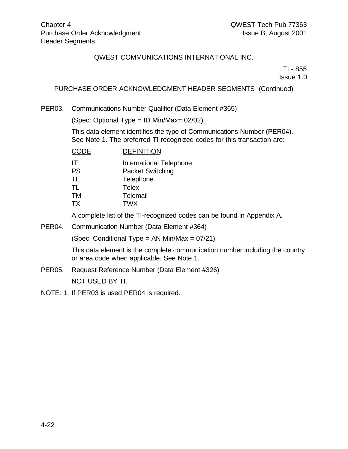TI - 855

Issue 1.0

#### PURCHASE ORDER ACKNOWLEDGMENT HEADER SEGMENTS (Continued)

PER03. Communications Number Qualifier (Data Element #365)

(Spec: Optional Type = ID Min/Max= 02/02)

This data element identifies the type of Communications Number (PER04). See Note 1. The preferred TI-recognized codes for this transaction are:

| <b>CODE</b>     | <b>DEFINITION</b>                                  |
|-----------------|----------------------------------------------------|
| IT<br><b>PS</b> | International Telephone<br><b>Packet Switching</b> |
| TE.<br>TL       | Telephone<br><b>Telex</b>                          |
| TM              | Telemail                                           |
| ТX              | <b>TWX</b>                                         |

A complete list of the TI-recognized codes can be found in Appendix A.

PER04. Communication Number (Data Element #364)

(Spec: Conditional Type = AN Min/Max = 07/21)

This data element is the complete communication number including the country or area code when applicable. See Note 1.

- PER05. Request Reference Number (Data Element #326) NOT USED BY TI.
- NOTE: 1. If PER03 is used PER04 is required.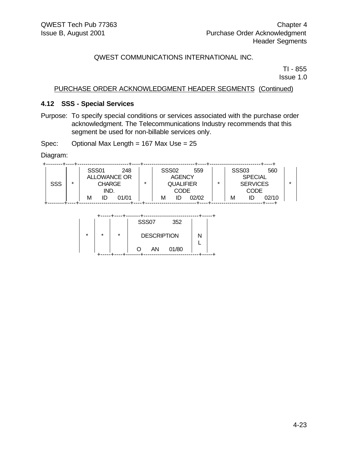TI - 855 Issue 1.0

#### PURCHASE ORDER ACKNOWLEDGMENT HEADER SEGMENTS (Continued)

#### **4.12 SSS - Special Services**

Purpose: To specify special conditions or services associated with the purchase order acknowledgment. The Telecommunications Industry recommends that this segment be used for non-billable services only.

Spec: Optional Max Length = 167 Max Use = 25

Diagram:

|            |         | <b>SSS01</b>          |  | 248                 |                  |      | <b>SSS02</b>  | 559   |                 | <b>SSS03</b>   |  | 560   |  |
|------------|---------|-----------------------|--|---------------------|------------------|------|---------------|-------|-----------------|----------------|--|-------|--|
|            |         |                       |  | <b>ALLOWANCE OR</b> |                  |      | <b>AGENCY</b> |       |                 | <b>SPECIAL</b> |  |       |  |
| <b>SSS</b> | $\star$ | <b>CHARGE</b><br>IND. |  | $\star$             | <b>QUALIFIER</b> |      | $\star$       |       | <b>SERVICES</b> |                |  |       |  |
|            |         |                       |  |                     |                  | CODE |               |       |                 | <b>CODE</b>    |  |       |  |
|            |         | М                     |  | 01/01               |                  | М    | ID            | 02/02 |                 | м              |  | 02/10 |  |
|            |         |                       |  |                     |                  |      |               |       |                 |                |  |       |  |

|         |         |         | <b>SSS07</b>       |    | 352   |  |
|---------|---------|---------|--------------------|----|-------|--|
| $\star$ | $\star$ | $\star$ | <b>DESCRIPTION</b> |    |       |  |
|         |         |         |                    | AN | 01/80 |  |
|         |         |         |                    |    |       |  |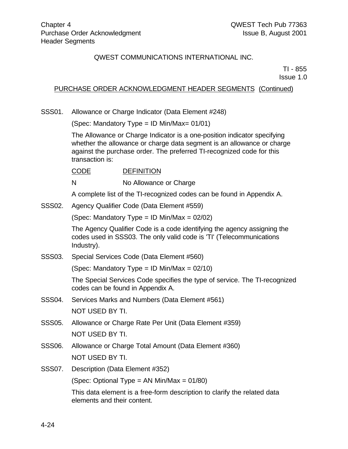TI - 855 Issue 1.0

#### PURCHASE ORDER ACKNOWLEDGMENT HEADER SEGMENTS (Continued)

SSS01. Allowance or Charge Indicator (Data Element #248)

(Spec: Mandatory Type = ID Min/Max= 01/01)

The Allowance or Charge Indicator is a one-position indicator specifying whether the allowance or charge data segment is an allowance or charge against the purchase order. The preferred TI-recognized code for this transaction is:

CODE DEFINITION

N No Allowance or Charge

A complete list of the TI-recognized codes can be found in Appendix A.

#### SSS02. Agency Qualifier Code (Data Element #559)

(Spec: Mandatory Type = ID Min/Max = 02/02)

The Agency Qualifier Code is a code identifying the agency assigning the codes used in SSS03. The only valid code is 'TI' (Telecommunications Industry).

SSS03. Special Services Code (Data Element #560)

(Spec: Mandatory Type = ID Min/Max =  $02/10$ )

The Special Services Code specifies the type of service. The TI-recognized codes can be found in Appendix A.

- SSS04. Services Marks and Numbers (Data Element #561) NOT USED BY TI.
- SSS05. Allowance or Charge Rate Per Unit (Data Element #359) NOT USED BY TI.
- SSS06. Allowance or Charge Total Amount (Data Element #360) NOT USED BY TI.
- SSS07. Description (Data Element #352)

(Spec: Optional Type = AN Min/Max = 01/80)

This data element is a free-form description to clarify the related data elements and their content.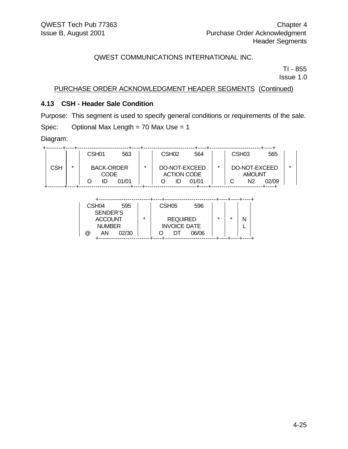TI - 855 Issue 1.0

PURCHASE ORDER ACKNOWLEDGMENT HEADER SEGMENTS (Continued)

### **4.13 CSH - Header Sale Condition**

Purpose: This segment is used to specify general conditions or requirements of the sale. Spec: Optional Max Length = 70 Max Use = 1

Diagram:

|     |   | CSH <sub>01</sub> | 563   |  | CSH <sub>02</sub> | 564                |               | CSH <sub>03</sub> | 565   |  |
|-----|---|-------------------|-------|--|-------------------|--------------------|---------------|-------------------|-------|--|
|     |   |                   |       |  |                   |                    |               |                   |       |  |
| CSH | ÷ | <b>BACK-ORDER</b> |       |  | DO-NOT-EXCEED     | $\star$            | DO-NOT-EXCEED | $\star$           |       |  |
|     |   |                   | CODE  |  |                   | <b>ACTION CODE</b> |               | <b>AMOUNT</b>     |       |  |
|     |   |                   | 01/01 |  |                   | 01/01              |               | N2                | 02/09 |  |
|     |   |                   |       |  |                   |                    |               |                   |       |  |

| CSH <sub>04</sub><br>595<br>SENDER'S                 |   | CSH <sub>05</sub><br>596     |         |         |   |
|------------------------------------------------------|---|------------------------------|---------|---------|---|
| <b>ACCOUNT</b>                                       | ÷ | <b>REQUIRED</b>              | $\star$ | $\star$ | N |
| <b>NUMBER</b><br>02/30<br>$^{\textregistered}$<br>ΑN |   | <b>INVOICE DATE</b><br>06/06 |         |         |   |
|                                                      |   |                              |         |         |   |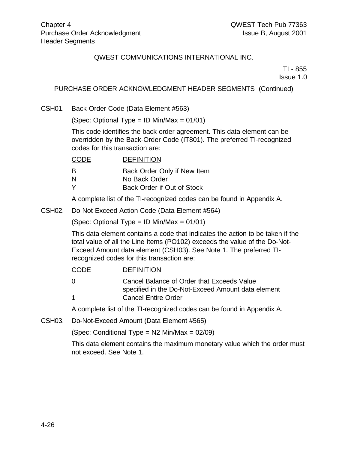TI - 855 Issue 1.0

## PURCHASE ORDER ACKNOWLEDGMENT HEADER SEGMENTS (Continued)

CSH01. Back-Order Code (Data Element #563)

(Spec: Optional Type = ID Min/Max =  $01/01$ )

This code identifies the back-order agreement. This data element can be overridden by the Back-Order Code (IT801). The preferred TI-recognized codes for this transaction are:

| <b>DEFINITION</b>           |
|-----------------------------|
| Back Order Only if New Item |
| No Back Order               |
| Back Order if Out of Stock  |
|                             |

A complete list of the TI-recognized codes can be found in Appendix A.

CSH02. Do-Not-Exceed Action Code (Data Element #564)

(Spec: Optional Type = ID Min/Max = 01/01)

This data element contains a code that indicates the action to be taken if the total value of all the Line Items (PO102) exceeds the value of the Do-Not-Exceed Amount data element (CSH03). See Note 1. The preferred TIrecognized codes for this transaction are:

| <b>CODE</b> | <b>DEFINITION</b>                                                                                |
|-------------|--------------------------------------------------------------------------------------------------|
| $\Omega$    | Cancel Balance of Order that Exceeds Value<br>specified in the Do-Not-Exceed Amount data element |
| $\mathbf 1$ | <b>Cancel Entire Order</b>                                                                       |
|             | A complete list of the TI researched codes can be found in Annondiv A                            |

A complete list of the TI-recognized codes can be found in Appendix A.

CSH03. Do-Not-Exceed Amount (Data Element #565)

(Spec: Conditional Type =  $N2$  Min/Max =  $02/09$ )

This data element contains the maximum monetary value which the order must not exceed. See Note 1.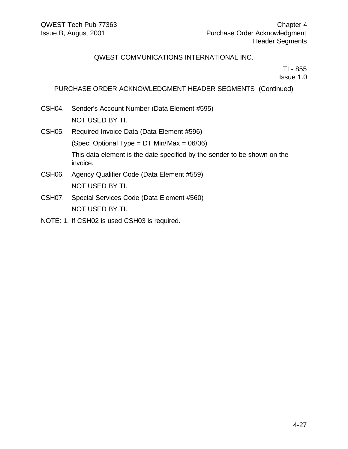TI - 855 Issue 1.0

### PURCHASE ORDER ACKNOWLEDGMENT HEADER SEGMENTS (Continued)

- CSH04. Sender's Account Number (Data Element #595) NOT USED BY TI.
- CSH05. Required Invoice Data (Data Element #596) (Spec: Optional Type =  $DT$  Min/Max =  $06/06$ ) This data element is the date specified by the sender to be shown on the invoice. CSH06. Agency Qualifier Code (Data Element #559) NOT USED BY TI. CSH07. Special Services Code (Data Element #560)

NOT USED BY TI.

NOTE: 1. If CSH02 is used CSH03 is required.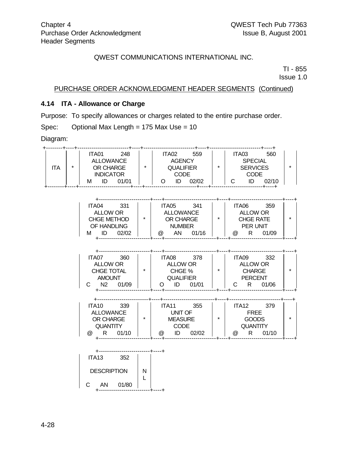TI - 855

Issue 1.0

### PURCHASE ORDER ACKNOWLEDGMENT HEADER SEGMENTS (Continued)

### **4.14 ITA - Allowance or Charge**

Purpose: To specify allowances or charges related to the entire purchase order.

Spec: Optional Max Length = 175 Max Use = 10

Diagram:

| ITA |                                            |     |                                                                                                                                                                     |           | $\star$ |
|-----|--------------------------------------------|-----|---------------------------------------------------------------------------------------------------------------------------------------------------------------------|-----------|---------|
|     |                                            |     | ITA04 331     ITA05 341     ITA06 359                                                                                                                               |           | $\star$ |
|     | ITA07 360<br>$C$ N2 01/09                  |     | TAO7 360<br>ALLOW OR<br>CHGE TOTAL<br>AMOUNT QUALIFIER PERCENT<br>AMOUNT QUALIFIER PERCENT<br>AMOUNT QUALIFIER PERCENT<br>AMOUNT QUALIFIER PERCENT<br>C R 01/06     | ITA09 332 | $\star$ |
|     |                                            |     | TTA10 339<br>ALLOWANCE OR CHARGE<br>OR CHARGE VINIT OF TREE<br>OR CHARGE MEASURE (SOODS<br>QUANTITY (@ R 01/10   @ ID 02/02   @ R 01/10<br>@ R 01/10     @ ID 02/02 |           | $\star$ |
|     | ITA13 352<br>DESCRIPTION   N<br>C AN 01/80 | - L |                                                                                                                                                                     |           |         |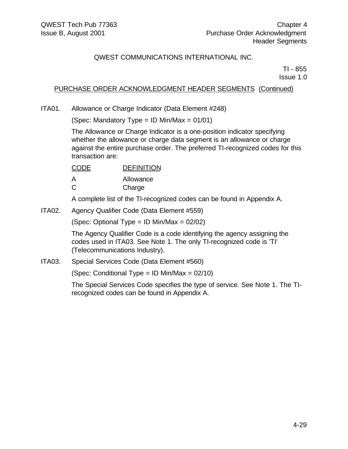TI - 855 Issue 1.0

### PURCHASE ORDER ACKNOWLEDGMENT HEADER SEGMENTS (Continued)

ITA01. Allowance or Charge Indicator (Data Element #248)

(Spec: Mandatory Type = ID Min/Max =  $01/01$ )

The Allowance or Charge Indicator is a one-position indicator specifying whether the allowance or charge data segment is an allowance or charge against the entire purchase order. The preferred TI-recognized codes for this transaction are:

| CODE | <b>DEFINITION</b> |
|------|-------------------|
| А    | Allowance         |
| C    | Charge            |

A complete list of the TI-recognized codes can be found in Appendix A.

ITA02. Agency Qualifier Code (Data Element #559)

(Spec: Optional Type = ID Min/Max = 02/02)

The Agency Qualifier Code is a code identifying the agency assigning the codes used in ITA03. See Note 1. The only TI-recognized code is 'TI' (Telecommunications Industry).

ITA03. Special Services Code (Data Element #560)

(Spec: Conditional Type = ID Min/Max =  $02/10$ )

The Special Services Code specifies the type of service. See Note 1. The TIrecognized codes can be found in Appendix A.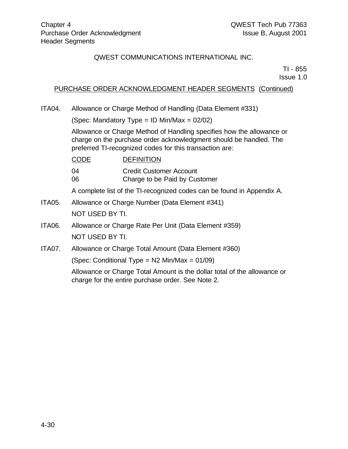TI - 855 Issue 1.0

### PURCHASE ORDER ACKNOWLEDGMENT HEADER SEGMENTS (Continued)

ITA04. Allowance or Charge Method of Handling (Data Element #331)

(Spec: Mandatory Type = ID Min/Max =  $02/02$ )

Allowance or Charge Method of Handling specifies how the allowance or charge on the purchase order acknowledgment should be handled. The preferred TI-recognized codes for this transaction are:

| <b>CODE</b> | <b>DEFINITION</b>              |
|-------------|--------------------------------|
| 04          | <b>Credit Customer Account</b> |
| 06          | Charge to be Paid by Customer  |

A complete list of the TI-recognized codes can be found in Appendix A.

- ITA05. Allowance or Charge Number (Data Element #341) NOT USED BY TI.
- ITA06. Allowance or Charge Rate Per Unit (Data Element #359) NOT USED BY TI.
- ITA07. Allowance or Charge Total Amount (Data Element #360)

(Spec: Conditional Type = N2 Min/Max = 01/09)

Allowance or Charge Total Amount is the dollar total of the allowance or charge for the entire purchase order. See Note 2.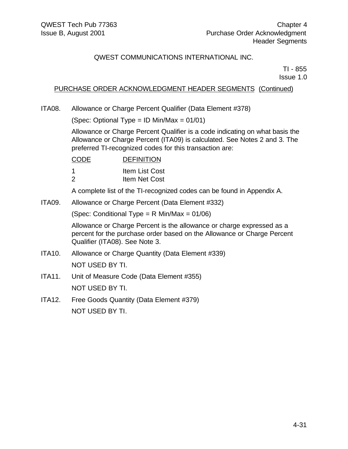TI - 855 Issue 1.0

### PURCHASE ORDER ACKNOWLEDGMENT HEADER SEGMENTS (Continued)

ITA08. Allowance or Charge Percent Qualifier (Data Element #378)

(Spec: Optional Type = ID Min/Max = 01/01)

Allowance or Charge Percent Qualifier is a code indicating on what basis the Allowance or Charge Percent (ITA09) is calculated. See Notes 2 and 3. The preferred TI-recognized codes for this transaction are:

| <b>CODE</b> | <b>DEFINITION</b> |
|-------------|-------------------|
| -1          | Item List Cost    |
| -2          | Item Net Cost     |

A complete list of the TI-recognized codes can be found in Appendix A.

ITA09. Allowance or Charge Percent (Data Element #332)

(Spec: Conditional Type = R Min/Max = 01/06)

Allowance or Charge Percent is the allowance or charge expressed as a percent for the purchase order based on the Allowance or Charge Percent Qualifier (ITA08). See Note 3.

- ITA10. Allowance or Charge Quantity (Data Element #339) NOT USED BY TI.
- ITA11. Unit of Measure Code (Data Element #355) NOT USED BY TI.
- ITA12. Free Goods Quantity (Data Element #379) NOT USED BY TI.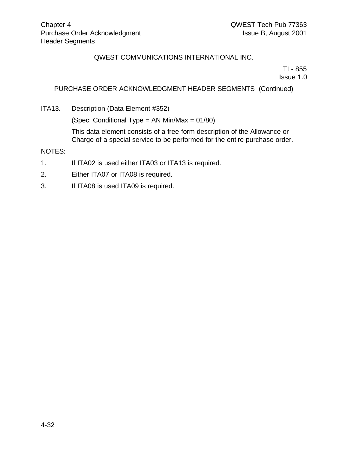TI - 855 Issue 1.0

#### PURCHASE ORDER ACKNOWLEDGMENT HEADER SEGMENTS (Continued)

ITA13. Description (Data Element #352)

(Spec: Conditional Type = AN Min/Max = 01/80)

This data element consists of a free-form description of the Allowance or Charge of a special service to be performed for the entire purchase order.

NOTES:

- 1. If ITA02 is used either ITA03 or ITA13 is required.
- 2. Either ITA07 or ITA08 is required.
- 3. If ITA08 is used ITA09 is required.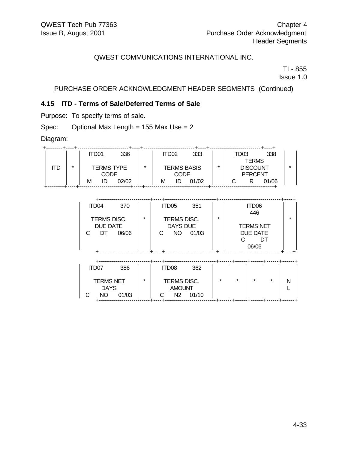TI - 855

Issue 1.0

## PURCHASE ORDER ACKNOWLEDGMENT HEADER SEGMENTS (Continued)

## **4.15 ITD - Terms of Sale/Deferred Terms of Sale**

Purpose: To specify terms of sale.

Spec: Optional Max Length = 155 Max Use = 2

Diagram:

|    |   | ITD01             | 336   |   | ITD02              |    | 333   |                 | TD03 |  | 338   |  |
|----|---|-------------------|-------|---|--------------------|----|-------|-----------------|------|--|-------|--|
|    |   |                   |       |   |                    |    |       | <b>TERMS</b>    |      |  |       |  |
| TD | ÷ | <b>TERMS TYPE</b> |       | ÷ | <b>TERMS BASIS</b> |    | ÷     | <b>DISCOUNT</b> |      |  |       |  |
|    |   | CODE              |       |   | CODE               |    |       | <b>PERCENT</b>  |      |  |       |  |
|    |   | IC<br>М           | 02/02 |   | М                  | ID | 01/02 |                 |      |  | 01/06 |  |
|    |   |                   |       |   |                    |    |       |                 |      |  |       |  |

| ITD04<br>370<br><b>TERMS DISC.</b><br><b>DUE DATE</b><br>06/06<br>C<br>DT  | $\star$ | ITD <sub>05</sub><br>351<br>TERMS DISC.<br><b>DAYS DUE</b><br>NO<br>01/03<br>C    | +<br>$\star$ |         | ITD06<br>446<br><b>TERMS NET</b><br>DUE DATE<br>06/06 | DT      | $\star$ |
|----------------------------------------------------------------------------|---------|-----------------------------------------------------------------------------------|--------------|---------|-------------------------------------------------------|---------|---------|
| ITD07<br>386<br><b>TERMS NET</b><br><b>DAYS</b><br>С<br>01/03<br><b>NO</b> | $\star$ | ITD <sub>08</sub><br>362<br>TERMS DISC.<br><b>AMOUNT</b><br>N2<br>01/10<br>С<br>٠ | $\star$<br>٠ | $\star$ | $\star$                                               | $\star$ | N       |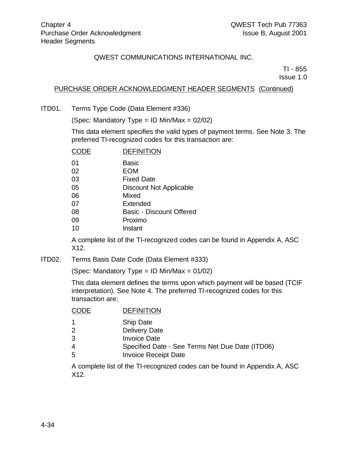TI - 855

Issue 1.0

#### PURCHASE ORDER ACKNOWLEDGMENT HEADER SEGMENTS (Continued)

ITD01. Terms Type Code (Data Element #336)

(Spec: Mandatory Type = ID Min/Max = 02/02)

This data element specifies the valid types of payment terms. See Note 3. The preferred TI-recognized codes for this transaction are:

| CODE | <b>DEFINITION</b>               |
|------|---------------------------------|
| 01   | Basic                           |
| 02   | <b>EOM</b>                      |
| 03   | <b>Fixed Date</b>               |
| 05   | <b>Discount Not Applicable</b>  |
| 06   | Mixed                           |
| 07   | Extended                        |
| 08   | <b>Basic - Discount Offered</b> |
| 09   | Proximo                         |
| 10   | Instant                         |
|      |                                 |

A complete list of the TI-recognized codes can be found in Appendix A, ASC X12.

ITD02. Terms Basis Date Code (Data Element #333)

(Spec: Mandatory Type = ID Min/Max = 01/02)

This data element defines the terms upon which payment will be based (TCIF interpretation). See Note 4. The preferred TI-recognized codes for this transaction are:

### CODE DEFINITION

- 1 Ship Date
- 2 Delivery Date
- 3 Invoice Date
- 4 Specified Date See Terms Net Due Date (ITD06)
- 5 Invoice Receipt Date

A complete list of the TI-recognized codes can be found in Appendix A, ASC X12.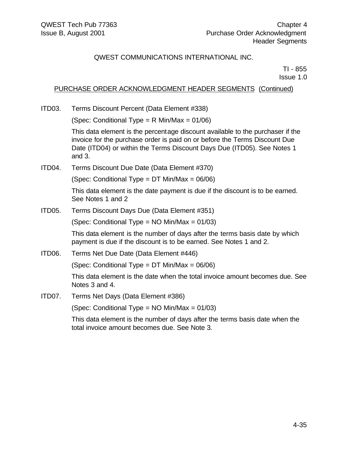TI - 855 Issue 1.0

#### PURCHASE ORDER ACKNOWLEDGMENT HEADER SEGMENTS (Continued)

ITD03. Terms Discount Percent (Data Element #338)

(Spec: Conditional Type = R Min/Max = 01/06)

This data element is the percentage discount available to the purchaser if the invoice for the purchase order is paid on or before the Terms Discount Due Date (ITD04) or within the Terms Discount Days Due (ITD05). See Notes 1 and 3.

ITD04. Terms Discount Due Date (Data Element #370)

(Spec: Conditional Type = DT Min/Max = 06/06)

This data element is the date payment is due if the discount is to be earned. See Notes 1 and 2

ITD05. Terms Discount Days Due (Data Element #351)

(Spec: Conditional Type = NO Min/Max = 01/03)

This data element is the number of days after the terms basis date by which payment is due if the discount is to be earned. See Notes 1 and 2.

ITD06. Terms Net Due Date (Data Element #446)

(Spec: Conditional Type = DT Min/Max = 06/06)

This data element is the date when the total invoice amount becomes due. See Notes 3 and 4.

ITD07. Terms Net Days (Data Element #386)

(Spec: Conditional Type = NO Min/Max = 01/03)

This data element is the number of days after the terms basis date when the total invoice amount becomes due. See Note 3.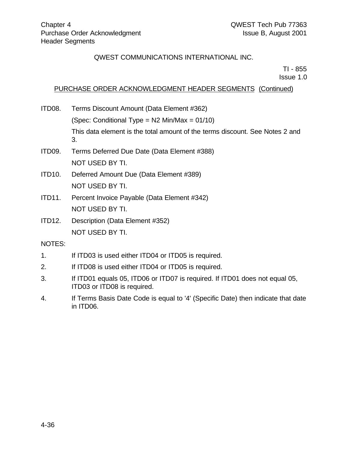TI - 855

Issue 1.0

### PURCHASE ORDER ACKNOWLEDGMENT HEADER SEGMENTS (Continued)

- ITD08. Terms Discount Amount (Data Element #362) (Spec: Conditional Type =  $N2$  Min/Max = 01/10) This data element is the total amount of the terms discount. See Notes 2 and 3.
- ITD09. Terms Deferred Due Date (Data Element #388) NOT USED BY TI.
- ITD10. Deferred Amount Due (Data Element #389) NOT USED BY TI.
- ITD11. Percent Invoice Payable (Data Element #342) NOT USED BY TI.
- ITD12. Description (Data Element #352) NOT USED BY TI.

NOTES:

- 1. If ITD03 is used either ITD04 or ITD05 is required.
- 2. If ITD08 is used either ITD04 or ITD05 is required.
- 3. If ITD01 equals 05, ITD06 or ITD07 is required. If ITD01 does not equal 05, ITD03 or ITD08 is required.
- 4. If Terms Basis Date Code is equal to '4' (Specific Date) then indicate that date in ITD06.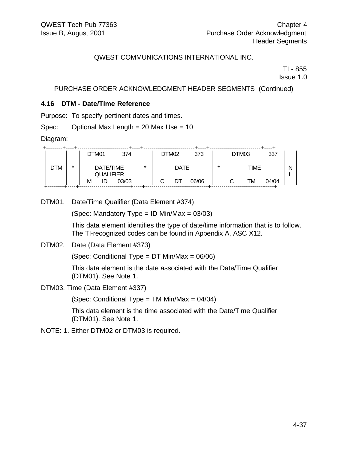TI - 855

Issue 1.0

#### PURCHASE ORDER ACKNOWLEDGMENT HEADER SEGMENTS (Continued)

#### **4.16 DTM - Date/Time Reference**

Purpose: To specify pertinent dates and times.

Spec: Optional Max Length = 20 Max Use = 10

Diagram:

|     |         | DTM01                         | 374   |         | DTM <sub>02</sub> |             | 373   |         | DTM03 |             | 337   |   |
|-----|---------|-------------------------------|-------|---------|-------------------|-------------|-------|---------|-------|-------------|-------|---|
| DTM | $\star$ | DATE/TIME<br><b>QUALIFIER</b> |       | $\star$ |                   | <b>DATE</b> |       | $\star$ |       | <b>TIME</b> |       | Ν |
|     |         | М<br>ID                       | 03/03 |         |                   | DT          | 06/06 |         |       | TM          | 04/04 |   |

DTM01. Date/Time Qualifier (Data Element #374)

(Spec: Mandatory Type = ID Min/Max =  $03/03$ )

This data element identifies the type of date/time information that is to follow. The TI-recognized codes can be found in Appendix A, ASC X12.

DTM02. Date (Data Element #373)

(Spec: Conditional Type = DT Min/Max = 06/06)

This data element is the date associated with the Date/Time Qualifier (DTM01). See Note 1.

DTM03. Time (Data Element #337)

(Spec: Conditional Type = TM Min/Max = 04/04)

This data element is the time associated with the Date/Time Qualifier (DTM01). See Note 1.

NOTE: 1. Either DTM02 or DTM03 is required.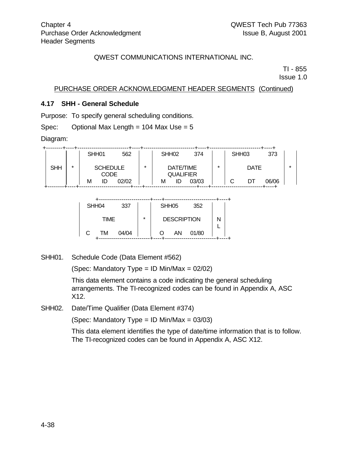TI - 855

Issue 1.0

#### PURCHASE ORDER ACKNOWLEDGMENT HEADER SEGMENTS (Continued)

#### **4.17 SHH - General Schedule**

Purpose: To specify general scheduling conditions.

Spec: Optional Max Length =  $104$  Max Use =  $5$ 

Diagram:

|            |         | SHH <sub>01</sub>       | 562   |         | SHH <sub>02</sub> | 374                           |   |   | SHH <sub>03</sub> | 373   |   |
|------------|---------|-------------------------|-------|---------|-------------------|-------------------------------|---|---|-------------------|-------|---|
| <b>SHH</b> | $\star$ | <b>SCHEDULE</b><br>CODE |       | $\star$ |                   | DATE/TIME<br><b>QUALIFIER</b> | ÷ |   | <b>DATE</b>       |       | ÷ |
|            |         | ID<br>М                 | 02/02 |         | м                 | 03/03                         |   | ⌒ |                   | 06/06 |   |

| SHH04 |             | 337   |         | SHH <sub>05</sub>  | 352   |  |
|-------|-------------|-------|---------|--------------------|-------|--|
|       | <b>TIME</b> |       | $\star$ | <b>DESCRIPTION</b> |       |  |
| C     | TM          | 04/04 |         | AN                 | 01/80 |  |

SHH01. Schedule Code (Data Element #562)

(Spec: Mandatory Type = ID Min/Max = 02/02)

This data element contains a code indicating the general scheduling arrangements. The TI-recognized codes can be found in Appendix A, ASC X12.

SHH02. Date/Time Qualifier (Data Element #374)

(Spec: Mandatory Type = ID Min/Max = 03/03)

This data element identifies the type of date/time information that is to follow. The TI-recognized codes can be found in Appendix A, ASC X12.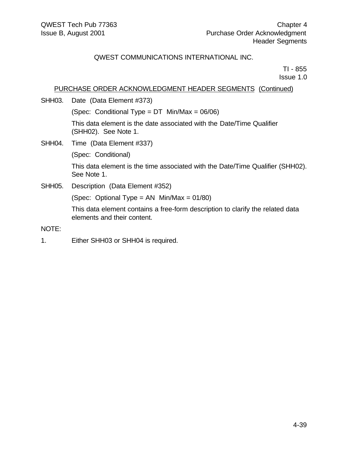TI - 855 Issue 1.0

#### PURCHASE ORDER ACKNOWLEDGMENT HEADER SEGMENTS (Continued)

SHH03. Date (Data Element #373)

(Spec: Conditional Type =  $DT$  Min/Max = 06/06)

This data element is the date associated with the Date/Time Qualifier (SHH02). See Note 1.

SHH04. Time (Data Element #337)

(Spec: Conditional)

This data element is the time associated with the Date/Time Qualifier (SHH02). See Note 1.

SHH05. Description (Data Element #352)

(Spec: Optional Type = AN Min/Max = 01/80)

This data element contains a free-form description to clarify the related data elements and their content.

#### NOTE:

1. Either SHH03 or SHH04 is required.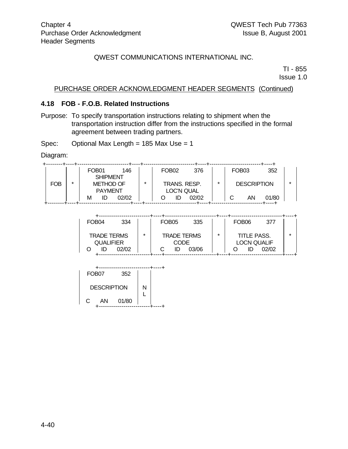TI - 855 Issue 1.0

#### PURCHASE ORDER ACKNOWLEDGMENT HEADER SEGMENTS (Continued)

#### **4.18 FOB - F.O.B. Related Instructions**

Purpose: To specify transportation instructions relating to shipment when the transportation instruction differ from the instructions specified in the formal agreement between trading partners.

Spec: Optional Max Length =  $185$  Max Use =  $1$ 

Diagram:

|                 |   | FOB <sub>01</sub>                  | 146   |         | FOB <sub>02</sub> | 376          |   | FOB <sub>03</sub> |                    | 352   |   |
|-----------------|---|------------------------------------|-------|---------|-------------------|--------------|---|-------------------|--------------------|-------|---|
| <b>SHIPMENT</b> |   |                                    |       |         |                   |              |   |                   |                    |       |   |
| FOB             | ÷ | <b>METHOD OF</b><br><b>PAYMENT</b> |       | $\star$ |                   | TRANS. RESP. | ÷ |                   | <b>DESCRIPTION</b> |       | ÷ |
|                 |   |                                    |       |         | LOC'N QUAL        |              |   |                   |                    |       |   |
|                 |   | ID<br>М                            | 02/02 |         |                   | 02/02        |   |                   | AN                 | 01/80 |   |
|                 |   |                                    |       |         |                   |              |   |                   |                    |       |   |

| FOB <sub>04</sub>                            | 334   |         | FOB <sub>05</sub> | 335                                        |         | FOB <sub>06</sub>                        | 377   |         |
|----------------------------------------------|-------|---------|-------------------|--------------------------------------------|---------|------------------------------------------|-------|---------|
| <b>TRADE TERMS</b><br><b>QUALIFIER</b><br>ID | 02/02 | $\star$ |                   | <b>TRADE TERMS</b><br><b>CODE</b><br>03/06 | $\star$ | <b>TITLE PASS.</b><br><b>LOCN QUALIF</b> | 02/02 | $\star$ |
|                                              |       |         |                   |                                            |         |                                          |       |         |

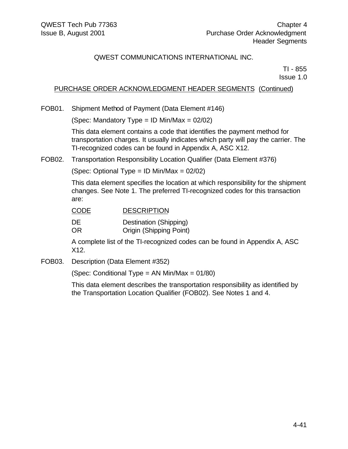TI - 855 Issue 1.0

### PURCHASE ORDER ACKNOWLEDGMENT HEADER SEGMENTS (Continued)

FOB01. Shipment Method of Payment (Data Element #146)

(Spec: Mandatory Type = ID Min/Max =  $02/02$ )

This data element contains a code that identifies the payment method for transportation charges. It usually indicates which party will pay the carrier. The TI-recognized codes can be found in Appendix A, ASC X12.

FOB02. Transportation Responsibility Location Qualifier (Data Element #376)

(Spec: Optional Type = ID Min/Max = 02/02)

This data element specifies the location at which responsibility for the shipment changes. See Note 1. The preferred TI-recognized codes for this transaction are:

| <b>CODE</b> | <b>DESCRIPTION</b>             |
|-------------|--------------------------------|
| DE          | Destination (Shipping)         |
| OR.         | <b>Origin (Shipping Point)</b> |

A complete list of the TI-recognized codes can be found in Appendix A, ASC X12.

FOB03. Description (Data Element #352)

(Spec: Conditional Type = AN Min/Max = 01/80)

This data element describes the transportation responsibility as identified by the Transportation Location Qualifier (FOB02). See Notes 1 and 4.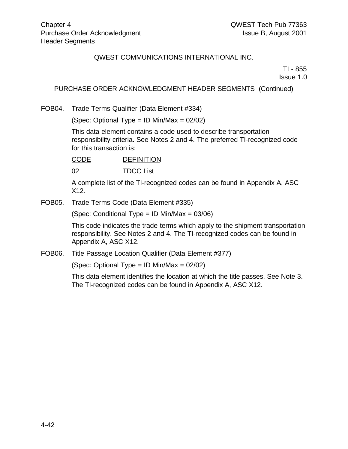TI - 855

Issue 1.0

#### PURCHASE ORDER ACKNOWLEDGMENT HEADER SEGMENTS (Continued)

FOB04. Trade Terms Qualifier (Data Element #334)

(Spec: Optional Type = ID Min/Max = 02/02)

This data element contains a code used to describe transportation responsibility criteria. See Notes 2 and 4. The preferred TI-recognized code for this transaction is:

CODE DEFINITION

02 TDCC List

A complete list of the TI-recognized codes can be found in Appendix A, ASC X12.

FOB05. Trade Terms Code (Data Element #335)

(Spec: Conditional Type = ID Min/Max =  $03/06$ )

This code indicates the trade terms which apply to the shipment transportation responsibility. See Notes 2 and 4. The TI-recognized codes can be found in Appendix A, ASC X12.

FOB06. Title Passage Location Qualifier (Data Element #377)

(Spec: Optional Type = ID Min/Max = 02/02)

This data element identifies the location at which the title passes. See Note 3. The TI-recognized codes can be found in Appendix A, ASC X12.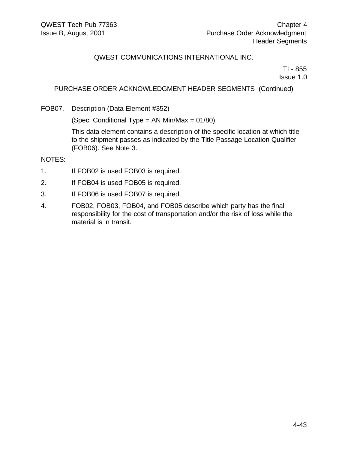TI - 855 Issue 1.0

#### PURCHASE ORDER ACKNOWLEDGMENT HEADER SEGMENTS (Continued)

FOB07. Description (Data Element #352)

(Spec: Conditional Type = AN Min/Max = 01/80)

This data element contains a description of the specific location at which title to the shipment passes as indicated by the Title Passage Location Qualifier (FOB06). See Note 3.

NOTES:

- 1. If FOB02 is used FOB03 is required.
- 2. If FOB04 is used FOB05 is required.
- 3. If FOB06 is used FOB07 is required.
- 4. FOB02, FOB03, FOB04, and FOB05 describe which party has the final responsibility for the cost of transportation and/or the risk of loss while the material is in transit.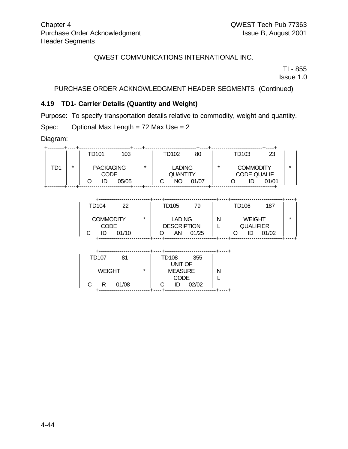TI - 855 Issue 1.0

## PURCHASE ORDER ACKNOWLEDGMENT HEADER SEGMENTS (Continued)

### **4.19 TD1- Carrier Details (Quantity and Weight)**

Purpose: To specify transportation details relative to commodity, weight and quantity.

Spec: Optional Max Length = 72 Max Use = 2

Diagram:

|     |   | TD101            | 103   |         | TD102           | 80    |   | TD103 |                    | 23    |  |
|-----|---|------------------|-------|---------|-----------------|-------|---|-------|--------------------|-------|--|
| TD1 | ÷ | <b>PACKAGING</b> |       | $\star$ | <b>LADING</b>   |       | ÷ |       | <b>COMMODITY</b>   |       |  |
|     |   | <b>CODE</b>      |       |         | <b>QUANTITY</b> |       |   |       | <b>CODE QUALIF</b> |       |  |
|     |   | IC               | 05/05 |         | NO              | 01/07 |   |       |                    | 01/01 |  |

| TD104                           | 22    |         | TD105 | 79                                           |   | TD106                             | 187   |  |
|---------------------------------|-------|---------|-------|----------------------------------------------|---|-----------------------------------|-------|--|
| <b>COMMODITY</b><br><b>CODE</b> | 01/10 | $\star$ | AN    | <b>LADING</b><br><b>DESCRIPTION</b><br>01/25 | Ν | <b>WEIGHT</b><br><b>QUALIFIER</b> | 01/02 |  |
|                                 |       |         |       |                                              |   |                                   |       |  |

| TD107 | 81            |         | TD108          | 355   |   |  |
|-------|---------------|---------|----------------|-------|---|--|
|       |               |         | <b>UNIT OF</b> |       |   |  |
|       | <b>WEIGHT</b> | $\star$ | <b>MEASURE</b> |       | N |  |
|       |               |         | <b>CODE</b>    |       |   |  |
|       | 01/08<br>R    |         | ID             | 02/02 |   |  |
|       |               |         |                |       |   |  |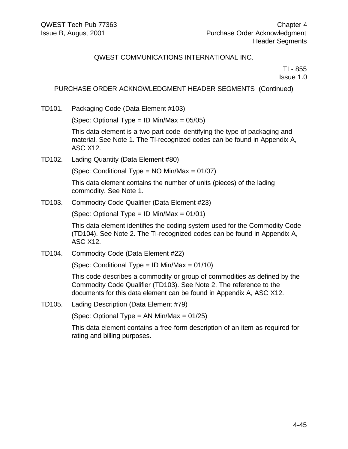TI - 855 Issue 1.0

### PURCHASE ORDER ACKNOWLEDGMENT HEADER SEGMENTS (Continued)

TD101. Packaging Code (Data Element #103)

(Spec: Optional Type = ID Min/Max = 05/05)

This data element is a two-part code identifying the type of packaging and material. See Note 1. The TI-recognized codes can be found in Appendix A, ASC X12.

TD102. Lading Quantity (Data Element #80)

(Spec: Conditional Type = NO Min/Max = 01/07)

This data element contains the number of units (pieces) of the lading commodity. See Note 1.

TD103. Commodity Code Qualifier (Data Element #23)

(Spec: Optional Type = ID Min/Max =  $01/01$ )

This data element identifies the coding system used for the Commodity Code (TD104). See Note 2. The TI-recognized codes can be found in Appendix A, ASC X12.

TD104. Commodity Code (Data Element #22)

(Spec: Conditional Type = ID Min/Max =  $01/10$ )

This code describes a commodity or group of commodities as defined by the Commodity Code Qualifier (TD103). See Note 2. The reference to the documents for this data element can be found in Appendix A, ASC X12.

TD105. Lading Description (Data Element #79)

(Spec: Optional Type = AN Min/Max =  $01/25$ )

This data element contains a free-form description of an item as required for rating and billing purposes.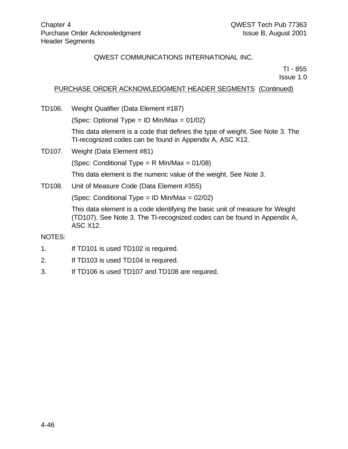TI - 855 Issue 1.0

# PURCHASE ORDER ACKNOWLEDGMENT HEADER SEGMENTS (Continued)

TD106. Weight Qualifier (Data Element #187)

(Spec: Optional Type = ID Min/Max = 01/02)

This data element is a code that defines the type of weight. See Note 3. The TI-recognized codes can be found in Appendix A, ASC X12.

TD107. Weight (Data Element #81)

(Spec: Conditional Type = R Min/Max = 01/08)

This data element is the numeric value of the weight. See Note 3.

TD108. Unit of Measure Code (Data Element #355)

(Spec: Conditional Type = ID Min/Max = 02/02)

This data element is a code identifying the basic unit of measure for Weight (TD107). See Note 3. The TI-recognized codes can be found in Appendix A, ASC X12.

#### NOTES:

- 1. If TD101 is used TD102 is required.
- 2. If TD103 is used TD104 is required.
- 3. If TD106 is used TD107 and TD108 are required.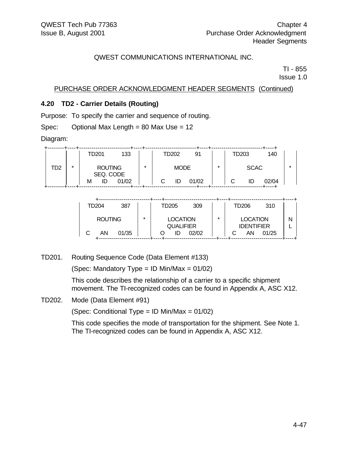TI - 855

Issue 1.0

### PURCHASE ORDER ACKNOWLEDGMENT HEADER SEGMENTS (Continued)

### **4.20 TD2 - Carrier Details (Routing)**

Purpose: To specify the carrier and sequence of routing.

Spec: Optional Max Length = 80 Max Use = 12

Diagram:

|     |         | TD201                       |       | TD202   | 91          |       | TD203 |  | 140         |       |  |
|-----|---------|-----------------------------|-------|---------|-------------|-------|-------|--|-------------|-------|--|
| TD2 | $\star$ | <b>ROUTING</b><br>SEQ. CODE |       | $\star$ | <b>MODE</b> |       | *     |  | <b>SCAC</b> |       |  |
|     |         | IC<br>M                     | 01/02 |         | ID          | 01/02 |       |  |             | 02/04 |  |

| TD204<br>309<br>310<br>387<br>TD205<br>TD206<br>$\star$<br><b>ROUTING</b><br><b>LOCATION</b><br>$\star$<br><b>LOCATION</b><br>N<br><b>QUALIFIER</b><br><b>IDENTIFIER</b> |  |  |  |  |  |  |  |
|--------------------------------------------------------------------------------------------------------------------------------------------------------------------------|--|--|--|--|--|--|--|
|                                                                                                                                                                          |  |  |  |  |  |  |  |
| 01/35<br>01/25<br>AΝ<br>02/02<br>AN<br>ID                                                                                                                                |  |  |  |  |  |  |  |

TD201. Routing Sequence Code (Data Element #133)

(Spec: Mandatory Type = ID Min/Max =  $01/02$ )

This code describes the relationship of a carrier to a specific shipment movement. The TI-recognized codes can be found in Appendix A, ASC X12.

TD202. Mode (Data Element #91)

(Spec: Conditional Type = ID Min/Max = 01/02)

This code specifies the mode of transportation for the shipment. See Note 1. The TI-recognized codes can be found in Appendix A, ASC X12.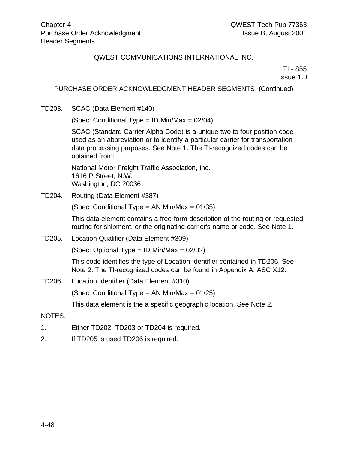TI - 855 Issue 1.0

## PURCHASE ORDER ACKNOWLEDGMENT HEADER SEGMENTS (Continued)

TD203. SCAC (Data Element #140)

(Spec: Conditional Type = ID Min/Max =  $02/04$ )

SCAC (Standard Carrier Alpha Code) is a unique two to four position code used as an abbreviation or to identify a particular carrier for transportation data processing purposes. See Note 1. The TI-recognized codes can be obtained from:

National Motor Freight Traffic Association, Inc. 1616 P Street, N.W. Washington, DC 20036

TD204. Routing (Data Element #387)

(Spec: Conditional Type = AN Min/Max = 01/35)

This data element contains a free-form description of the routing or requested routing for shipment, or the originating carrier's name or code. See Note 1.

TD205. Location Qualifier (Data Element #309)

(Spec: Optional Type = ID Min/Max = 02/02)

This code identifies the type of Location Identifier contained in TD206. See Note 2. The TI-recognized codes can be found in Appendix A, ASC X12.

TD206. Location Identifier (Data Element #310)

(Spec: Conditional Type = AN Min/Max = 01/25)

This data element is the a specific geographic location. See Note 2.

#### NOTES:

- 1. Either TD202, TD203 or TD204 is required.
- 2. If TD205 is used TD206 is required.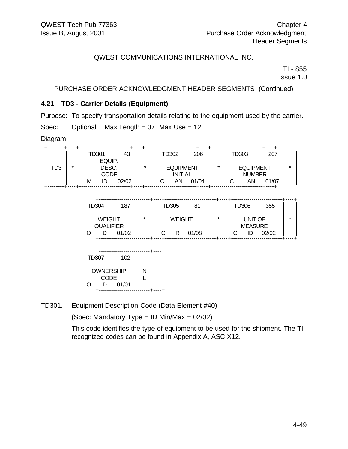TI - 855 Issue 1.0

### PURCHASE ORDER ACKNOWLEDGMENT HEADER SEGMENTS (Continued)

### **4.21 TD3 - Carrier Details (Equipment)**

Purpose: To specify transportation details relating to the equipment used by the carrier. Spec: Optional Max Length = 37 Max Use = 12

Diagram:

|     |            | TD301       |        | 43      |                  |  | TD302          | 206   |                  | TD303 |               | 207   |  |
|-----|------------|-------------|--------|---------|------------------|--|----------------|-------|------------------|-------|---------------|-------|--|
|     |            |             | EQUIP. |         |                  |  |                |       |                  |       |               |       |  |
| TD3 | ÷<br>DESC. |             |        | $\star$ | <b>EQUIPMENT</b> |  |                | ÷     | <b>EQUIPMENT</b> |       |               |       |  |
|     |            | <b>CODE</b> |        |         |                  |  | <b>INITIAL</b> |       |                  |       | <b>NUMBER</b> |       |  |
|     |            | M           | IC     | 02/02   |                  |  | AN             | 01/04 |                  |       | AN            | 01/07 |  |
|     |            |             |        |         |                  |  |                |       |                  |       |               |       |  |

| TD304<br>187                                     |  |  |   | TD305              | 81    |         | TD306                     | 355   |   |
|--------------------------------------------------|--|--|---|--------------------|-------|---------|---------------------------|-------|---|
| <b>WEIGHT</b><br><b>QUALIFIER</b><br>01/02<br>ID |  |  | C | <b>WEIGHT</b><br>R | 01/08 | $\star$ | UNIT OF<br><b>MEASURE</b> | 02/02 | × |
|                                                  |  |  |   |                    |       |         |                           |       |   |

| <b>TD307</b>     |             | 102   |  |  |
|------------------|-------------|-------|--|--|
| <b>OWNERSHIP</b> | N           |       |  |  |
|                  | <b>CODE</b> |       |  |  |
| ( )              | ID          | 01/01 |  |  |
|                  |             |       |  |  |

TD301. Equipment Description Code (Data Element #40)

(Spec: Mandatory Type = ID Min/Max =  $02/02$ )

This code identifies the type of equipment to be used for the shipment. The TIrecognized codes can be found in Appendix A, ASC X12.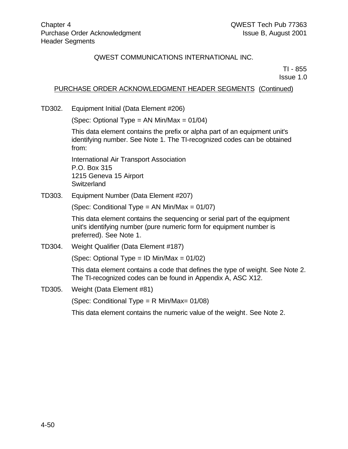TI - 855 Issue 1.0

# PURCHASE ORDER ACKNOWLEDGMENT HEADER SEGMENTS (Continued)

TD302. Equipment Initial (Data Element #206)

(Spec: Optional Type = AN Min/Max =  $01/04$ )

This data element contains the prefix or alpha part of an equipment unit's identifying number. See Note 1. The TI-recognized codes can be obtained from:

International Air Transport Association P.O. Box 315 1215 Geneva 15 Airport **Switzerland** 

TD303. Equipment Number (Data Element #207)

(Spec: Conditional Type = AN Min/Max = 01/07)

This data element contains the sequencing or serial part of the equipment unit's identifying number (pure numeric form for equipment number is preferred). See Note 1.

TD304. Weight Qualifier (Data Element #187)

(Spec: Optional Type = ID Min/Max = 01/02)

This data element contains a code that defines the type of weight. See Note 2. The TI-recognized codes can be found in Appendix A, ASC X12.

TD305. Weight (Data Element #81)

(Spec: Conditional Type = R Min/Max= 01/08)

This data element contains the numeric value of the weight. See Note 2.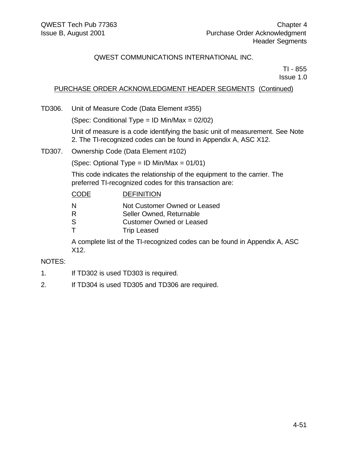TI - 855 Issue 1.0

# PURCHASE ORDER ACKNOWLEDGMENT HEADER SEGMENTS (Continued)

TD306. Unit of Measure Code (Data Element #355)

(Spec: Conditional Type = ID Min/Max = 02/02)

Unit of measure is a code identifying the basic unit of measurement. See Note 2. The TI-recognized codes can be found in Appendix A, ASC X12.

TD307. Ownership Code (Data Element #102)

(Spec: Optional Type = ID Min/Max =  $01/01$ )

This code indicates the relationship of the equipment to the carrier. The preferred TI-recognized codes for this transaction are:

| <b>CODE</b> | <b>DEFINITION</b>               |
|-------------|---------------------------------|
| N           | Not Customer Owned or Leased    |
| R           | Seller Owned, Returnable        |
| -S          | <b>Customer Owned or Leased</b> |
|             | <b>Trip Leased</b>              |

A complete list of the TI-recognized codes can be found in Appendix A, ASC X12.

#### NOTES:

- 1. If TD302 is used TD303 is required.
- 2. If TD304 is used TD305 and TD306 are required.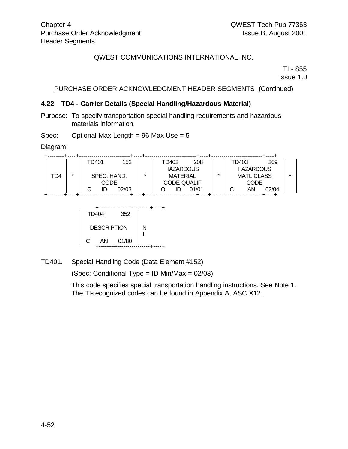TI - 855

Issue 1.0

## PURCHASE ORDER ACKNOWLEDGMENT HEADER SEGMENTS (Continued)

#### **4.22 TD4 - Carrier Details (Special Handling/Hazardous Material)**

Purpose: To specify transportation special handling requirements and hazardous materials information.

Spec: Optional Max Length =  $96$  Max Use =  $5$ 

Diagram:

|     |   | 152<br>TD401 |         |                  | TD402           |                    | 208   |                  | TD403             |    | 209   |  |  |  |
|-----|---|--------------|---------|------------------|-----------------|--------------------|-------|------------------|-------------------|----|-------|--|--|--|
|     |   |              |         | <b>HAZARDOUS</b> |                 |                    |       | <b>HAZARDOUS</b> |                   |    |       |  |  |  |
| TD4 | ÷ | SPEC. HAND.  | $\star$ |                  | <b>MATERIAL</b> |                    | ÷     |                  | <b>MATL CLASS</b> |    |       |  |  |  |
|     |   | CODE         |         |                  |                 | <b>CODE QUALIF</b> |       |                  | <b>CODE</b>       |    |       |  |  |  |
|     |   | ID           | 02/03   |                  |                 | ID                 | 01/01 |                  |                   | AN | 02/04 |  |  |  |
|     |   |              |         |                  |                 |                    |       |                  |                   |    |       |  |  |  |



TD401. Special Handling Code (Data Element #152)

(Spec: Conditional Type = ID Min/Max = 02/03)

This code specifies special transportation handling instructions. See Note 1. The TI-recognized codes can be found in Appendix A, ASC X12.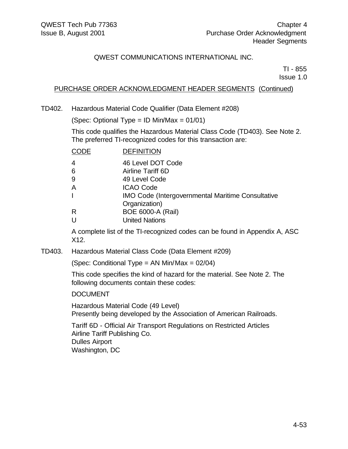TI - 855 Issue 1.0

## PURCHASE ORDER ACKNOWLEDGMENT HEADER SEGMENTS (Continued)

TD402. Hazardous Material Code Qualifier (Data Element #208)

(Spec: Optional Type =  $ID$  Min/Max = 01/01)

This code qualifies the Hazardous Material Class Code (TD403). See Note 2. The preferred TI-recognized codes for this transaction are:

| CODE | <b>DEFINITION</b>                                        |
|------|----------------------------------------------------------|
| 4    | 46 Level DOT Code                                        |
| 6    | Airline Tariff 6D                                        |
| 9    | 49 Level Code                                            |
| Α    | <b>ICAO Code</b>                                         |
|      | <b>IMO Code (Intergovernmental Maritime Consultative</b> |
|      | Organization)                                            |
| R    | <b>BOE 6000-A (Rail)</b>                                 |
| U    | <b>United Nations</b>                                    |

A complete list of the TI-recognized codes can be found in Appendix A, ASC X12.

TD403. Hazardous Material Class Code (Data Element #209)

(Spec: Conditional Type = AN Min/Max = 02/04)

This code specifies the kind of hazard for the material. See Note 2. The following documents contain these codes:

#### DOCUMENT

Hazardous Material Code (49 Level) Presently being developed by the Association of American Railroads.

Tariff 6D - Official Air Transport Regulations on Restricted Articles Airline Tariff Publishing Co. Dulles Airport Washington, DC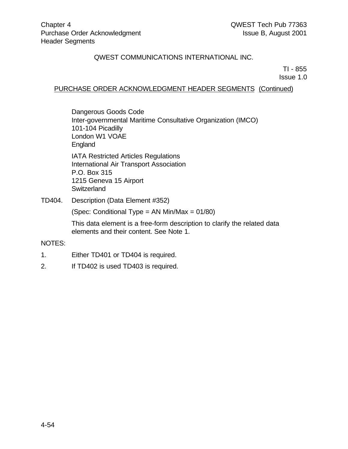TI - 855

Issue 1.0

## PURCHASE ORDER ACKNOWLEDGMENT HEADER SEGMENTS (Continued)

Dangerous Goods Code Inter-governmental Maritime Consultative Organization (IMCO) 101-104 Picadilly London W1 VOAE England IATA Restricted Articles Regulations International Air Transport Association P.O. Box 315 1215 Geneva 15 Airport **Switzerland** 

TD404. Description (Data Element #352)

(Spec: Conditional Type = AN Min/Max = 01/80)

This data element is a free-form description to clarify the related data elements and their content. See Note 1.

#### NOTES:

- 1. Either TD401 or TD404 is required.
- 2. If TD402 is used TD403 is required.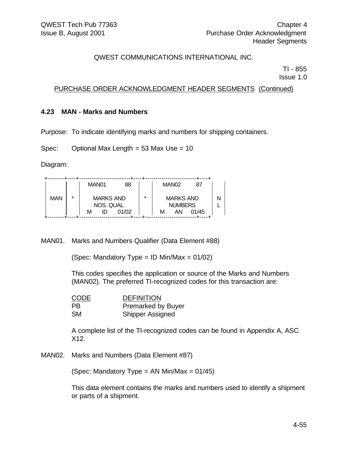TI - 855 Issue 1.0

### PURCHASE ORDER ACKNOWLEDGMENT HEADER SEGMENTS (Continued)

#### **4.23 MAN - Marks and Numbers**

Purpose: To indicate identifying marks and numbers for shipping containers.

Spec: Optional Max Length = 53 Max Use = 10

Diagram:

|            |         | MAN <sub>01</sub> |                                               | 88 |  |   | MAN <sub>02</sub>                        | 87    |  |
|------------|---------|-------------------|-----------------------------------------------|----|--|---|------------------------------------------|-------|--|
| <b>MAN</b> | $\star$ | м                 | <b>MARKS AND</b><br>NOS. QUAL.<br>01/02<br>ID |    |  | м | <b>MARKS AND</b><br><b>NUMBERS</b><br>AN | 01/45 |  |
|            |         |                   |                                               |    |  |   |                                          |       |  |

MAN01. Marks and Numbers Qualifier (Data Element #88)

(Spec: Mandatory Type = ID Min/Max =  $01/02$ )

This codes specifies the application or source of the Marks and Numbers (MAN02). The preferred TI-recognized codes for this transaction are:

| <b>CODE</b>    | <b>DEFINITION</b>         |
|----------------|---------------------------|
| P <sub>B</sub> | <b>Premarked by Buyer</b> |
| <b>SM</b>      | <b>Shipper Assigned</b>   |

A complete list of the TI-recognized codes can be found in Appendix A, ASC X12.

MAN02. Marks and Numbers (Data Element #87)

(Spec: Mandatory Type = AN Min/Max =  $01/45$ )

This data element contains the marks and numbers used to identify a shipment or parts of a shipment.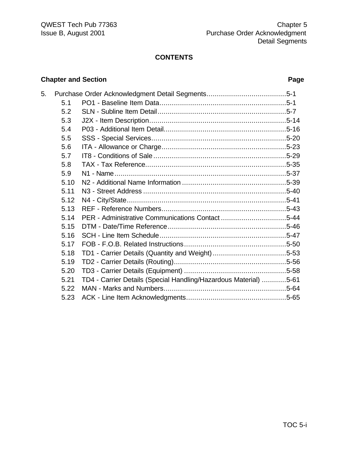#### **CONTENTS**

# 5. Purchase Order Acknowledgment Detail Segments.......................................5-1 5.1 PO1 - Baseline Item Data..............................................................5-1 5.2 SLN - Subline Item Detail...............................................................5-7 5.3 J2X - Item Description...................................................................5-14 5.4 P03 - Additional Item Detail............................................................5-16 5.5 SSS - Special Services..................................................................5-20 5.6 ITA - Allowance or Charge.............................................................5-23 5.7 IT8 - Conditions of Sale .................................................................5-29 5.8 TAX - Tax Reference.....................................................................5-35 5.9 N1 - Name....................................................................................5-37 5.10 N2 - Additional Name Information ...................................................5-39 5.11 N3 - Street Address ......................................................................5-40 5.12 N4 - City/State..............................................................................5-41 5.13 REF - Reference Numbers.............................................................5-43 5.14 PER - Administrative Communications Contact ................................5-44 5.15 DTM - Date/Time Reference..........................................................5-46 5.16 SCH - Line Item Schedule..............................................................5-47 5.17 FOB - F.O.B. Related Instructions..................................................5-50 5.18 TD1 - Carrier Details (Quantity and Weight)....................................5-53 5.19 TD2 - Carrier Details (Routing).......................................................5-56 5.20 TD3 - Carrier Details (Equipment) ..................................................5-58 5.21 TD4 - Carrier Details (Special Handling/Hazardous Material) ............5-61 5.22 MAN - Marks and Numbers............................................................5-64 5.23 ACK - Line Item Acknowledgments.................................................5-65

# TOC 5-i

#### **Chapter and Section Page**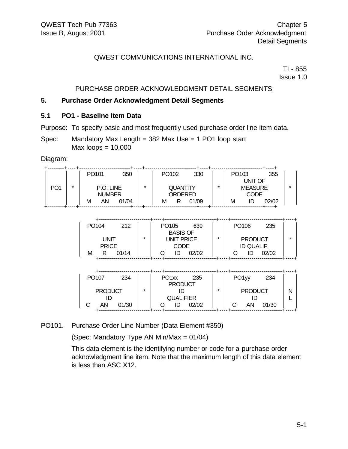TI - 855 Issue 1.0

### PURCHASE ORDER ACKNOWLEDGMENT DETAIL SEGMENTS

#### **5. Purchase Order Acknowledgment Detail Segments**

#### **5.1 PO1 - Baseline Item Data**

Purpose: To specify basic and most frequently used purchase order line item data.

Spec: Mandatory Max Length = 382 Max Use = 1 PO1 loop start  $Max$  loops = 10,000

Diagram:

|                 |         | PO <sub>101</sub> | 350   |         | PO <sub>102</sub> |                 | 330   |         | PO <sub>103</sub> |                | 355   |
|-----------------|---------|-------------------|-------|---------|-------------------|-----------------|-------|---------|-------------------|----------------|-------|
|                 |         |                   |       | $\star$ |                   |                 |       |         |                   | UNIT OF        |       |
| PO <sub>1</sub> | $\star$ | P.O. LINE         |       |         |                   | <b>QUANTITY</b> |       | $\star$ |                   | <b>MEASURE</b> |       |
|                 |         | <b>NUMBER</b>     |       |         | ORDERED           |                 |       |         | <b>CODE</b>       |                |       |
|                 |         | AN<br>М           | 01/04 |         | м                 | R               | 01/09 |         | М                 | ID             | 02/02 |

| PO <sub>104</sub> | 212     | PO <sub>105</sub>                              | 639   |  | PO <sub>106</sub> |            | 235   |  |
|-------------------|---------|------------------------------------------------|-------|--|-------------------|------------|-------|--|
|                   |         | <b>BASIS OF</b>                                |       |  |                   |            |       |  |
| UNIT              | $\star$ | <b>UNIT PRICE</b><br>$\star$<br><b>PRODUCT</b> |       |  |                   |            | *     |  |
| <b>PRICE</b>      |         | <b>CODE</b>                                    |       |  |                   | ID QUALIF. |       |  |
| М                 | 01/14   | ID                                             | 02/02 |  |                   |            | 02/02 |  |
|                   |         |                                                |       |  |                   |            |       |  |

| PO <sub>107</sub><br>234 |         | PO <sub>1xx</sub><br><b>PRODUCT</b> | 235   |         | PO <sub>1yy</sub> | 234   |  |
|--------------------------|---------|-------------------------------------|-------|---------|-------------------|-------|--|
| <b>PRODUCT</b>           | $\star$ |                                     |       | $\star$ | <b>PRODUCT</b>    |       |  |
|                          |         | <b>QUALIFIER</b>                    |       |         |                   |       |  |
| 01/30<br>ΑN              |         |                                     | 02/02 |         | AN                | 01/30 |  |

#### PO101. Purchase Order Line Number (Data Element #350)

(Spec: Mandatory Type AN Min/Max = 01/04)

This data element is the identifying number or code for a purchase order acknowledgment line item. Note that the maximum length of this data element is less than ASC X12.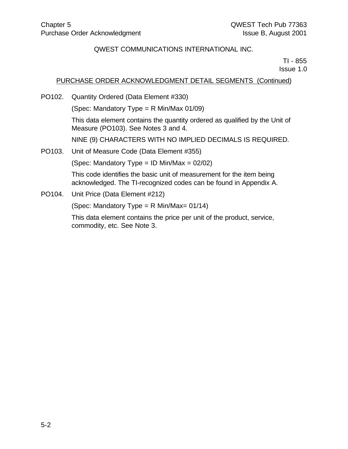TI - 855 Issue 1.0

### PURCHASE ORDER ACKNOWLEDGMENT DETAIL SEGMENTS (Continued)

PO102. Quantity Ordered (Data Element #330)

(Spec: Mandatory Type = R Min/Max 01/09)

This data element contains the quantity ordered as qualified by the Unit of Measure (PO103). See Notes 3 and 4.

NINE (9) CHARACTERS WITH NO IMPLIED DECIMALS IS REQUIRED.

PO103. Unit of Measure Code (Data Element #355)

(Spec: Mandatory Type = ID Min/Max =  $02/02$ )

This code identifies the basic unit of measurement for the item being acknowledged. The TI-recognized codes can be found in Appendix A.

PO104. Unit Price (Data Element #212)

(Spec: Mandatory Type = R Min/Max=  $01/14$ )

This data element contains the price per unit of the product, service, commodity, etc. See Note 3.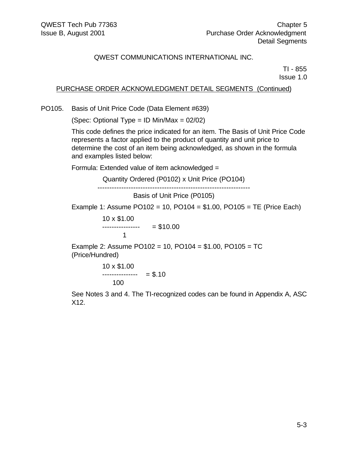TI - 855 Issue 1.0

## PURCHASE ORDER ACKNOWLEDGMENT DETAIL SEGMENTS (Continued)

PO105. Basis of Unit Price Code (Data Element #639)

(Spec: Optional Type = ID Min/Max = 02/02)

This code defines the price indicated for an item. The Basis of Unit Price Code represents a factor applied to the product of quantity and unit price to determine the cost of an item being acknowledged, as shown in the formula and examples listed below:

Formula: Extended value of item acknowledged =

Quantity Ordered (P0102) x Unit Price (PO104)

----------------------------------------------------------------

Basis of Unit Price (P0105)

Example 1: Assume PO102 = 10, PO104 =  $$1.00, PO105$  = TE (Price Each)

10 x \$1.00 ------------------ = \$10.00 1

Example 2: Assume PO102 = 10, PO104 = \$1.00, PO105 = TC (Price/Hundred)

$$
10 \times \$1.00
$$
  
-----  
100 = \$.10

See Notes 3 and 4. The TI-recognized codes can be found in Appendix A, ASC X12.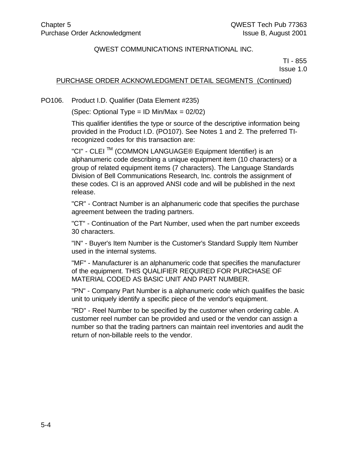TI - 855 Issue 1.0

### PURCHASE ORDER ACKNOWLEDGMENT DETAIL SEGMENTS (Continued)

PO106. Product I.D. Qualifier (Data Element #235)

(Spec: Optional Type = ID Min/Max = 02/02)

This qualifier identifies the type or source of the descriptive information being provided in the Product I.D. (PO107). See Notes 1 and 2. The preferred TIrecognized codes for this transaction are:

"CI" - CLEI<sup>™</sup> (COMMON LANGUAGE® Equipment Identifier) is an alphanumeric code describing a unique equipment item (10 characters) or a group of related equipment items (7 characters). The Language Standards Division of Bell Communications Research, Inc. controls the assignment of these codes. CI is an approved ANSI code and will be published in the next release.

"CR" - Contract Number is an alphanumeric code that specifies the purchase agreement between the trading partners.

"CT" - Continuation of the Part Number, used when the part number exceeds 30 characters.

"IN" - Buyer's Item Number is the Customer's Standard Supply Item Number used in the internal systems.

"MF" - Manufacturer is an alphanumeric code that specifies the manufacturer of the equipment. THIS QUALIFIER REQUIRED FOR PURCHASE OF MATERIAL CODED AS BASIC UNIT AND PART NUMBER.

"PN" - Company Part Number is a alphanumeric code which qualifies the basic unit to uniquely identify a specific piece of the vendor's equipment.

"RD" - Reel Number to be specified by the customer when ordering cable. A customer reel number can be provided and used or the vendor can assign a number so that the trading partners can maintain reel inventories and audit the return of non-billable reels to the vendor.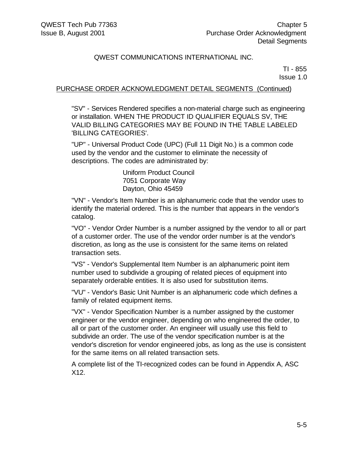TI - 855 Issue 1.0

### PURCHASE ORDER ACKNOWLEDGMENT DETAIL SEGMENTS (Continued)

"SV" - Services Rendered specifies a non-material charge such as engineering or installation. WHEN THE PRODUCT ID QUALIFIER EQUALS SV, THE VALID BILLING CATEGORIES MAY BE FOUND IN THE TABLE LABELED 'BILLING CATEGORIES'.

"UP" - Universal Product Code (UPC) (Full 11 Digit No.) is a common code used by the vendor and the customer to eliminate the necessity of descriptions. The codes are administrated by:

> Uniform Product Council 7051 Corporate Way Dayton, Ohio 45459

"VN" - Vendor's Item Number is an alphanumeric code that the vendor uses to identify the material ordered. This is the number that appears in the vendor's catalog.

"VO" - Vendor Order Number is a number assigned by the vendor to all or part of a customer order. The use of the vendor order number is at the vendor's discretion, as long as the use is consistent for the same items on related transaction sets.

"VS" - Vendor's Supplemental Item Number is an alphanumeric point item number used to subdivide a grouping of related pieces of equipment into separately orderable entities. It is also used for substitution items.

"VU" - Vendor's Basic Unit Number is an alphanumeric code which defines a family of related equipment items.

"VX" - Vendor Specification Number is a number assigned by the customer engineer or the vendor engineer, depending on who engineered the order, to all or part of the customer order. An engineer will usually use this field to subdivide an order. The use of the vendor specification number is at the vendor's discretion for vendor engineered jobs, as long as the use is consistent for the same items on all related transaction sets.

A complete list of the TI-recognized codes can be found in Appendix A, ASC X12.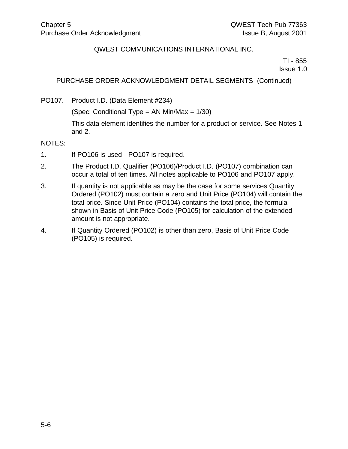TI - 855 Issue 1.0

## PURCHASE ORDER ACKNOWLEDGMENT DETAIL SEGMENTS (Continued)

PO107. Product I.D. (Data Element #234)

(Spec: Conditional Type = AN Min/Max = 1/30)

This data element identifies the number for a product or service. See Notes 1 and 2.

#### NOTES:

- 1. If PO106 is used PO107 is required.
- 2. The Product I.D. Qualifier (PO106)/Product I.D. (PO107) combination can occur a total of ten times. All notes applicable to PO106 and PO107 apply.
- 3. If quantity is not applicable as may be the case for some services Quantity Ordered (PO102) must contain a zero and Unit Price (PO104) will contain the total price. Since Unit Price (PO104) contains the total price, the formula shown in Basis of Unit Price Code (PO105) for calculation of the extended amount is not appropriate.
- 4. If Quantity Ordered (PO102) is other than zero, Basis of Unit Price Code (PO105) is required.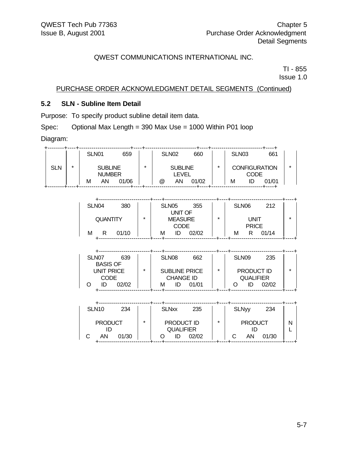TI - 855 Issue 1.0

### PURCHASE ORDER ACKNOWLEDGMENT DETAIL SEGMENTS (Continued)

# **5.2 SLN - Subline Item Detail**

Purpose: To specify product subline detail item data.

Spec: Optional Max Length = 390 Max Use = 1000 Within P01 loop

Diagram:

|     |         | SLN <sub>01</sub> | 659                             |         | SLN <sub>02</sub> |                         | 660   |   | SLN <sub>03</sub> |      | 661                  |  |
|-----|---------|-------------------|---------------------------------|---------|-------------------|-------------------------|-------|---|-------------------|------|----------------------|--|
| SLN | $\star$ |                   | <b>SUBLINE</b><br><b>NUMBER</b> | $\star$ |                   | <b>SUBLINE</b><br>LEVEL |       | * |                   | CODE | <b>CONFIGURATION</b> |  |
|     |         | AN<br>М           | 01/06                           |         | @                 | AN                      | 01/02 |   | М                 |      | 01/01                |  |

| SLN <sub>04</sub><br>380 |         | SLN <sub>05</sub><br>355<br>UNIT OF |         | SLN <sub>06</sub><br>212   |         |
|--------------------------|---------|-------------------------------------|---------|----------------------------|---------|
| <b>QUANTITY</b>          | $\star$ | <b>MEASURE</b>                      | $\star$ | <b>UNIT</b>                | $\star$ |
| 01/10<br>М<br>R          |         | <b>CODE</b><br>02/02<br>м<br>ID     |         | <b>PRICE</b><br>01/14<br>м |         |
|                          |         |                                     |         |                            |         |

| SLN <sub>07</sub><br>639<br><b>BASIS OF</b> |   | SLN <sub>08</sub><br>662                 |         | SLN <sub>09</sub>              | 235 |
|---------------------------------------------|---|------------------------------------------|---------|--------------------------------|-----|
| UNIT PRICE<br><b>CODE</b>                   | ÷ | <b>SUBLINE PRICE</b><br><b>CHANGE ID</b> | $\star$ | PRODUCT ID<br><b>QUALIFIER</b> | ×   |
| 02/02<br>חו                                 |   | 01/01<br>м                               |         | 02/02                          |     |

| SLN <sub>10</sub>    | 234   |         | <b>SLNxx</b> | 235                                     |         | <b>SLNyy</b>         | 234   |  |
|----------------------|-------|---------|--------------|-----------------------------------------|---------|----------------------|-------|--|
| <b>PRODUCT</b><br>AN | 01/30 | $\star$ |              | PRODUCT ID<br><b>QUALIFIER</b><br>02/02 | $\star$ | <b>PRODUCT</b><br>AN | 01/30 |  |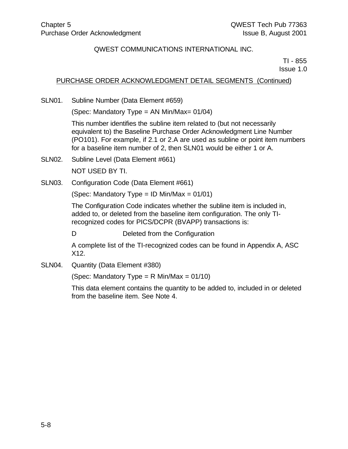TI - 855 Issue 1.0

## PURCHASE ORDER ACKNOWLEDGMENT DETAIL SEGMENTS (Continued)

SLN01. Subline Number (Data Element #659)

(Spec: Mandatory Type = AN Min/Max= 01/04)

This number identifies the subline item related to (but not necessarily equivalent to) the Baseline Purchase Order Acknowledgment Line Number (PO101). For example, if 2.1 or 2.A are used as subline or point item numbers for a baseline item number of 2, then SLN01 would be either 1 or A.

- SLN02. Subline Level (Data Element #661) NOT USED BY TI.
- SLN03. Configuration Code (Data Element #661)

(Spec: Mandatory Type = ID Min/Max =  $01/01$ )

The Configuration Code indicates whether the subline item is included in, added to, or deleted from the baseline item configuration. The only TIrecognized codes for PICS/DCPR (BVAPP) transactions is:

D Deleted from the Configuration

A complete list of the TI-recognized codes can be found in Appendix A, ASC X12.

SLN04. Quantity (Data Element #380)

(Spec: Mandatory Type = R Min/Max =  $01/10$ )

This data element contains the quantity to be added to, included in or deleted from the baseline item. See Note 4.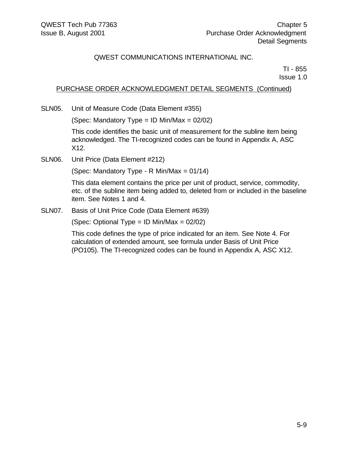TI - 855 Issue 1.0

## PURCHASE ORDER ACKNOWLEDGMENT DETAIL SEGMENTS (Continued)

SLN05. Unit of Measure Code (Data Element #355)

(Spec: Mandatory Type = ID Min/Max =  $02/02$ )

This code identifies the basic unit of measurement for the subline item being acknowledged. The TI-recognized codes can be found in Appendix A, ASC X12.

SLN06. Unit Price (Data Element #212)

(Spec: Mandatory Type - R Min/Max = 01/14)

This data element contains the price per unit of product, service, commodity, etc. of the subline item being added to, deleted from or included in the baseline item. See Notes 1 and 4.

SLN07. Basis of Unit Price Code (Data Element #639)

(Spec: Optional Type = ID Min/Max = 02/02)

This code defines the type of price indicated for an item. See Note 4. For calculation of extended amount, see formula under Basis of Unit Price (PO105). The TI-recognized codes can be found in Appendix A, ASC X12.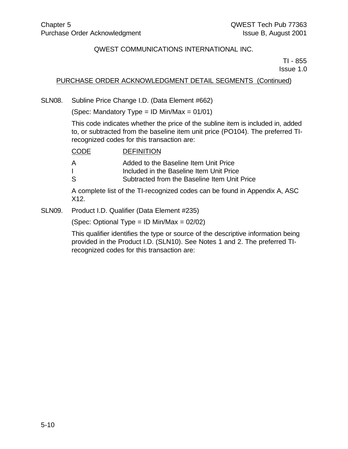TI - 855 Issue 1.0

# PURCHASE ORDER ACKNOWLEDGMENT DETAIL SEGMENTS (Continued)

SLN08. Subline Price Change I.D. (Data Element #662)

(Spec: Mandatory Type = ID Min/Max =  $01/01$ )

This code indicates whether the price of the subline item is included in, added to, or subtracted from the baseline item unit price (PO104). The preferred TIrecognized codes for this transaction are:

| CODE | <b>DEFINITION</b>                            |
|------|----------------------------------------------|
| А    | Added to the Baseline Item Unit Price        |
|      | Included in the Baseline Item Unit Price     |
| S    | Subtracted from the Baseline Item Unit Price |
|      |                                              |

A complete list of the TI-recognized codes can be found in Appendix A, ASC X12.

SLN09. Product I.D. Qualifier (Data Element #235)

(Spec: Optional Type = ID Min/Max = 02/02)

This qualifier identifies the type or source of the descriptive information being provided in the Product I.D. (SLN10). See Notes 1 and 2. The preferred TIrecognized codes for this transaction are: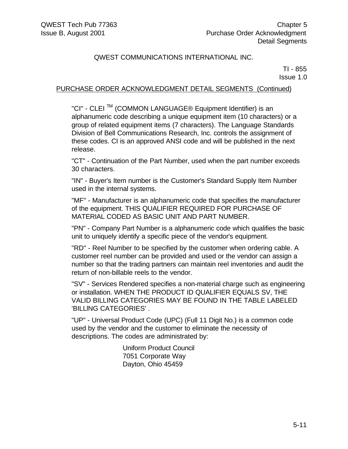TI - 855 Issue 1.0

## PURCHASE ORDER ACKNOWLEDGMENT DETAIL SEGMENTS (Continued)

"CI" - CLEI TM (COMMON LANGUAGE® Equipment Identifier) is an alphanumeric code describing a unique equipment item (10 characters) or a group of related equipment items (7 characters). The Language Standards Division of Bell Communications Research, Inc. controls the assignment of these codes. CI is an approved ANSI code and will be published in the next release.

"CT" - Continuation of the Part Number, used when the part number exceeds 30 characters.

"IN" - Buyer's Item number is the Customer's Standard Supply Item Number used in the internal systems.

"MF" - Manufacturer is an alphanumeric code that specifies the manufacturer of the equipment. THIS QUALIFIER REQUIRED FOR PURCHASE OF MATERIAL CODED AS BASIC UNIT AND PART NUMBER.

"PN" - Company Part Number is a alphanumeric code which qualifies the basic unit to uniquely identify a specific piece of the vendor's equipment.

"RD" - Reel Number to be specified by the customer when ordering cable. A customer reel number can be provided and used or the vendor can assign a number so that the trading partners can maintain reel inventories and audit the return of non-billable reels to the vendor.

"SV" - Services Rendered specifies a non-material charge such as engineering or installation. WHEN THE PRODUCT ID QUALIFIER EQUALS SV, THE VALID BILLING CATEGORIES MAY BE FOUND IN THE TABLE LABELED 'BILLlNG CATEGORIES' .

"UP" - Universal Product Code (UPC) (Full 11 Digit No.) is a common code used by the vendor and the customer to eliminate the necessity of descriptions. The codes are administrated by:

> Uniform Product Council 7051 Corporate Way Dayton, Ohio 45459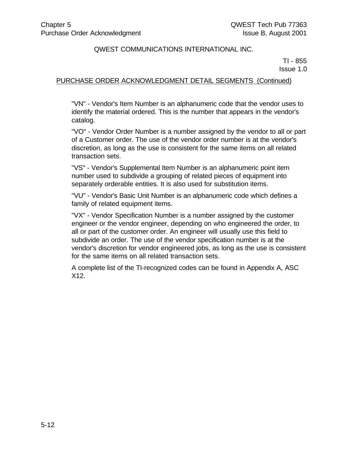TI - 855 Issue 1.0

#### PURCHASE ORDER ACKNOWLEDGMENT DETAIL SEGMENTS (Continued)

"VN" - Vendor's Item Number is an alphanumeric code that the vendor uses to identify the material ordered. This is the number that appears in the vendor's catalog.

"VO" - Vendor Order Number is a number assigned by the vendor to all or part of a Customer order. The use of the vendor order number is at the vendor's discretion, as long as the use is consistent for the same items on all related transaction sets.

"VS" - Vendor's Supplemental Item Number is an alphanumeric point item number used to subdivide a grouping of related pieces of equipment into separately orderable entities. It is also used for substitution items.

"VU" - Vendor's Basic Unit Number is an alphanumeric code which defines a family of related equipment items.

"VX" - Vendor Specification Number is a number assigned by the customer engineer or the vendor engineer, depending on who engineered the order, to all or part of the customer order. An engineer will usually use this field to subdivide an order. The use of the vendor specification number is at the vendor's discretion for vendor engineered jobs, as long as the use is consistent for the same items on all related transaction sets.

A complete list of the TI-recognized codes can be found in Appendix A, ASC X12.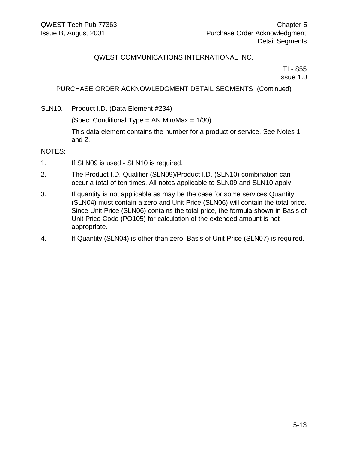TI - 855 Issue 1.0

## PURCHASE ORDER ACKNOWLEDGMENT DETAIL SEGMENTS (Continued)

SLN10. Product I.D. (Data Element #234)

(Spec: Conditional Type = AN Min/Max = 1/30)

This data element contains the number for a product or service. See Notes 1 and 2.

NOTES:

- 1. If SLN09 is used SLN10 is required.
- 2. The Product I.D. Qualifier (SLN09)/Product I.D. (SLN10) combination can occur a total of ten times. All notes applicable to SLN09 and SLN10 apply.
- 3. If quantity is not applicable as may be the case for some services Quantity (SLN04) must contain a zero and Unit Price (SLN06) will contain the total price. Since Unit Price (SLN06) contains the total price, the formula shown in Basis of Unit Price Code (PO105) for calculation of the extended amount is not appropriate.
- 4. If Quantity (SLN04) is other than zero, Basis of Unit Price (SLN07) is required.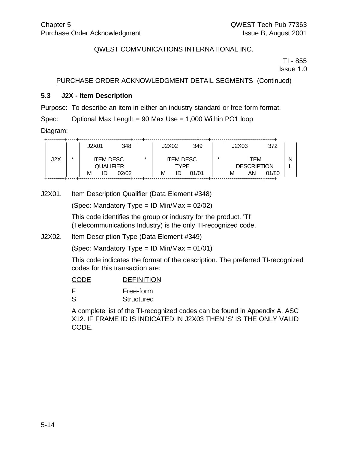TI - 855 Issue 1.0

PURCHASE ORDER ACKNOWLEDGMENT DETAIL SEGMENTS (Continued)

#### **5.3 J2X - Item Description**

Purpose: To describe an item in either an industry standard or free-form format.

Spec: Optional Max Length = 90 Max Use = 1,000 Within PO1 loop

Diagram:

|     |   | J2X01             | 348   |         | J2X02   | 349               |   | J2X03 |                    | 372   |   |
|-----|---|-------------------|-------|---------|---------|-------------------|---|-------|--------------------|-------|---|
|     |   |                   |       |         |         |                   |   |       |                    |       |   |
| J2X | ÷ | <b>ITEM DESC.</b> |       | $\star$ |         | <b>ITEM DESC.</b> | ÷ |       | ITEM               |       | Ν |
|     |   |                   |       |         |         |                   |   |       |                    |       |   |
|     |   | <b>QUALIFIER</b>  |       |         |         | TYPF              |   |       | <b>DESCRIPTION</b> |       |   |
|     |   | М<br>ID           | 02/02 |         | М<br>ID | 01/01             |   | М     | AN                 | 01/80 |   |
|     |   |                   |       |         |         |                   |   |       |                    |       |   |

J2X01. Item Description Qualifier (Data Element #348)

(Spec: Mandatory Type = ID Min/Max =  $02/02$ )

This code identifies the group or industry for the product. 'TI' (Telecommunications Industry) is the only TI-recognized code.

J2X02. Item Description Type (Data Element #349)

(Spec: Mandatory Type = ID Min/Max =  $01/01$ )

This code indicates the format of the description. The preferred TI-recognized codes for this transaction are:

| <b>CODE</b>  | <b>DEFINITION</b> |
|--------------|-------------------|
| E            | Free-form         |
| <sub>S</sub> | <b>Structured</b> |

A complete list of the TI-recognized codes can be found in Appendix A, ASC X12. IF FRAME ID IS INDICATED IN J2X03 THEN 'S' IS THE ONLY VALID CODE.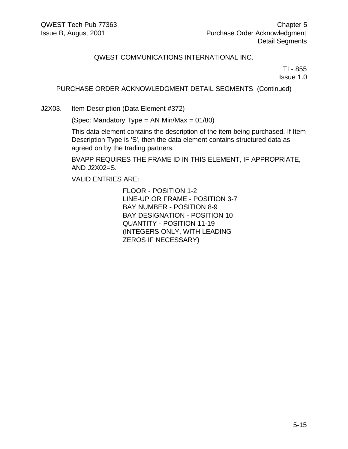TI - 855 Issue 1.0

### PURCHASE ORDER ACKNOWLEDGMENT DETAIL SEGMENTS (Continued)

J2X03. Item Description (Data Element #372)

(Spec: Mandatory Type = AN Min/Max = 01/80)

This data element contains the description of the item being purchased. If Item Description Type is 'S', then the data element contains structured data as agreed on by the trading partners.

BVAPP REQUIRES THE FRAME ID IN THIS ELEMENT, IF APPROPRIATE, AND J2X02=S.

VALID ENTRIES ARE:

FLOOR - POSITION 1-2 LINE-UP OR FRAME - POSITION 3-7 BAY NUMBER - POSITION 8-9 BAY DESIGNATION - POSITION 10 QUANTITY - POSITION 11-19 (INTEGERS ONLY, WITH LEADING ZEROS IF NECESSARY)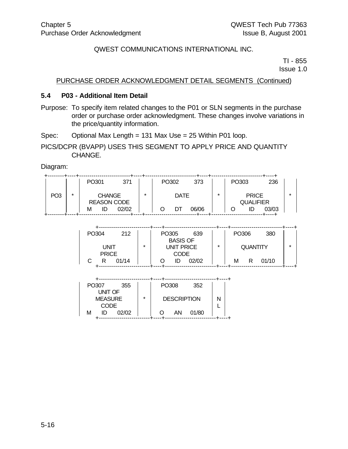TI - 855 Issue 1.0

#### PURCHASE ORDER ACKNOWLEDGMENT DETAIL SEGMENTS (Continued)

#### **5.4 P03 - Additional Item Detail**

- Purpose: To specify item related changes to the P01 or SLN segments in the purchase order or purchase order acknowledgment. These changes involve variations in the price/quantity information.
- Spec: Optional Max Length = 131 Max Use = 25 Within P01 loop.
- PICS/DCPR (BVAPP) USES THIS SEGMENT TO APPLY PRICE AND QUANTITY CHANGE.

Diagram:

|                 |         | PO301                               | 371   |         | PO302 |             | 373   |   | PO303 |                                  | 236   |   |
|-----------------|---------|-------------------------------------|-------|---------|-------|-------------|-------|---|-------|----------------------------------|-------|---|
| PO <sub>3</sub> | $\star$ | <b>CHANGE</b><br><b>REASON CODE</b> |       | $\star$ |       | <b>DATE</b> |       | * |       | <b>PRICE</b><br><b>QUALIFIER</b> |       | ÷ |
|                 |         | ID<br>м                             | 02/02 |         |       | DT          | 06/06 |   |       |                                  | 03/03 |   |

| PO304        | 212   |         | PO305 | <b>BASIS OF</b> | 639   |         | PO306 |                 | 380   |         |
|--------------|-------|---------|-------|-----------------|-------|---------|-------|-----------------|-------|---------|
| UNIT         |       | $\star$ |       | UNIT PRICE      |       | $\star$ |       | <b>QUANTITY</b> |       | $\star$ |
| <b>PRICE</b> | 01/14 |         |       | CODE            | 02/02 |         | м     |                 | 01/10 |         |

| PO307<br>355     |         | PO308              | 352   |  |
|------------------|---------|--------------------|-------|--|
| <b>UNIT OF</b>   |         |                    |       |  |
| <b>MEASURE</b>   | $\star$ | <b>DESCRIPTION</b> |       |  |
| <b>CODE</b>      |         |                    |       |  |
| 02/02<br>м<br>ID |         | ΑN                 | 01/80 |  |
|                  |         |                    |       |  |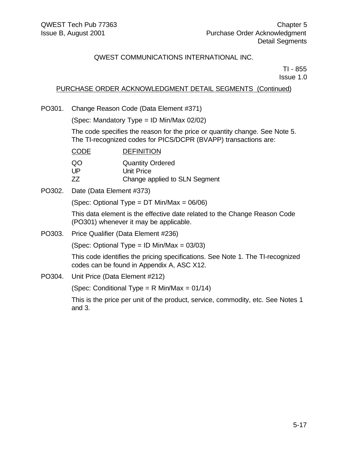TI - 855 Issue 1.0

## PURCHASE ORDER ACKNOWLEDGMENT DETAIL SEGMENTS (Continued)

PO301. Change Reason Code (Data Element #371)

(Spec: Mandatory Type = ID Min/Max 02/02)

The code specifies the reason for the price or quantity change. See Note 5. The TI-recognized codes for PICS/DCPR (BVAPP) transactions are:

| <b>CODE</b> | <b>DEFINITION</b>             |
|-------------|-------------------------------|
| QO.         | <b>Quantity Ordered</b>       |
| l JP        | Unit Price                    |
| 77          | Change applied to SLN Segment |

PO302. Date (Data Element #373)

(Spec: Optional Type = DT Min/Max = 06/06)

This data element is the effective date related to the Change Reason Code (PO301) whenever it may be applicable.

PO303. Price Qualifier (Data Element #236)

(Spec: Optional Type = ID Min/Max =  $03/03$ )

This code identifies the pricing specifications. See Note 1. The TI-recognized codes can be found in Appendix A, ASC X12.

PO304. Unit Price (Data Element #212)

(Spec: Conditional Type = R Min/Max =  $01/14$ )

This is the price per unit of the product, service, commodity, etc. See Notes 1 and 3.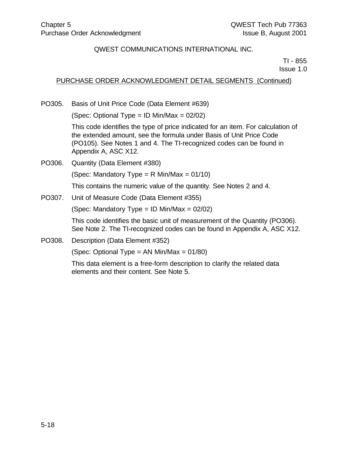TI - 855 Issue 1.0

### PURCHASE ORDER ACKNOWLEDGMENT DETAIL SEGMENTS (Continued)

PO305. Basis of Unit Price Code (Data Element #639)

(Spec: Optional Type = ID Min/Max =  $02/02$ )

This code identifies the type of price indicated for an item. For calculation of the extended amount, see the formula under Basis of Unit Price Code (PO105). See Notes 1 and 4. The TI-recognized codes can be found in Appendix A, ASC X12.

PO306. Quantity (Data Element #380) (Spec: Mandatory Type =  $R$  Min/Max = 01/10) This contains the numeric value of the quantity. See Notes 2 and 4. PO307. Unit of Measure Code (Data Element #355)

(Spec: Mandatory Type = ID Min/Max =  $02/02$ )

This code identifies the basic unit of measurement of the Quantity (PO306). See Note 2. The TI-recognized codes can be found in Appendix A, ASC X12.

PO308. Description (Data Element #352)

(Spec: Optional Type = AN Min/Max = 01/80)

This data element is a free-form description to clarify the related data elements and their content. See Note 5.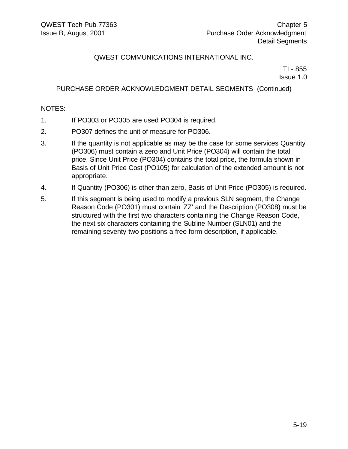TI - 855 Issue 1.0

### PURCHASE ORDER ACKNOWLEDGMENT DETAIL SEGMENTS (Continued)

#### NOTES:

- 1. If PO303 or PO305 are used PO304 is required.
- 2. PO307 defines the unit of measure for PO306.
- 3. If the quantity is not applicable as may be the case for some services Quantity (PO306) must contain a zero and Unit Price (PO304) will contain the total price. Since Unit Price (PO304) contains the total price, the formula shown in Basis of Unit Price Cost (PO105) for calculation of the extended amount is not appropriate.
- 4. If Quantity (PO306) is other than zero, Basis of Unit Price (PO305) is required.
- 5. If this segment is being used to modify a previous SLN segment, the Change Reason Code (PO301) must contain 'ZZ' and the Description (PO308) must be structured with the first two characters containing the Change Reason Code, the next six characters containing the Subline Number (SLN01) and the remaining seventy-two positions a free form description, if applicable.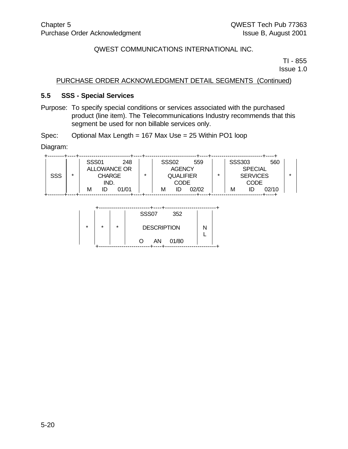TI - 855 Issue 1.0

### PURCHASE ORDER ACKNOWLEDGMENT DETAIL SEGMENTS (Continued)

#### **5.5 SSS - Special Services**

Purpose: To specify special conditions or services associated with the purchased product (line item). The Telecommunications Industry recommends that this segment be used for non billable services only.

Spec: Optional Max Length = 167 Max Use = 25 Within PO1 loop

Diagram:

|            |         | <b>SSS01</b>  | 248   |         | <b>SSS02</b> | 559              |   | <b>SSS303</b> |                 | 560   |  |
|------------|---------|---------------|-------|---------|--------------|------------------|---|---------------|-----------------|-------|--|
|            |         | ALLOWANCE OR  |       |         |              | <b>AGENCY</b>    |   |               | <b>SPECIAL</b>  |       |  |
| <b>SSS</b> | $\star$ | <b>CHARGE</b> |       | $\star$ |              | <b>QUALIFIER</b> | ÷ |               | <b>SERVICES</b> |       |  |
|            |         | IND.          |       |         |              | CODE             |   |               | <b>CODE</b>     |       |  |
|            |         | ID<br>М       | 01/01 |         | м            | 02/02<br>ID      |   | м             |                 | 02/10 |  |
|            |         |               |       |         |              |                  |   |               |                 |       |  |

|         |         |         | <b>SSS07</b><br>352 |  |
|---------|---------|---------|---------------------|--|
| $\star$ | $\star$ | $\star$ | <b>DESCRIPTION</b>  |  |
|         |         |         | AN<br>01/80<br>∩    |  |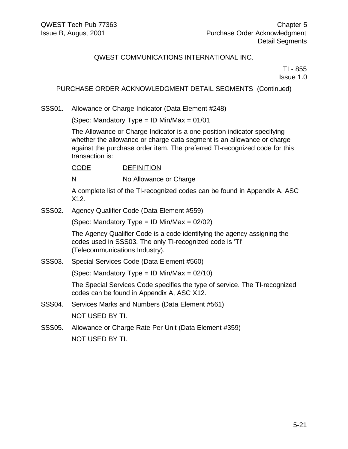TI - 855 Issue 1.0

## PURCHASE ORDER ACKNOWLEDGMENT DETAIL SEGMENTS (Continued)

SSS01. Allowance or Charge Indicator (Data Element #248)

(Spec: Mandatory Type = ID Min/Max =  $01/01$ 

The Allowance or Charge Indicator is a one-position indicator specifying whether the allowance or charge data segment is an allowance or charge against the purchase order item. The preferred TI-recognized code for this transaction is:

CODE DEFINITION

N No Allowance or Charge

A complete list of the TI-recognized codes can be found in Appendix A, ASC X12.

SSS02. Agency Qualifier Code (Data Element #559)

(Spec: Mandatory Type = ID Min/Max =  $02/02$ )

The Agency Qualifier Code is a code identifying the agency assigning the codes used in SSS03. The only TI-recognized code is 'TI' (Telecommunications Industry).

SSS03. Special Services Code (Data Element #560)

(Spec: Mandatory Type = ID Min/Max =  $02/10$ )

The Special Services Code specifies the type of service. The TI-recognized codes can be found in Appendix A, ASC X12.

- SSS04. Services Marks and Numbers (Data Element #561) NOT USED BY TI.
- SSS05. Allowance or Charge Rate Per Unit (Data Element #359) NOT USED BY TI.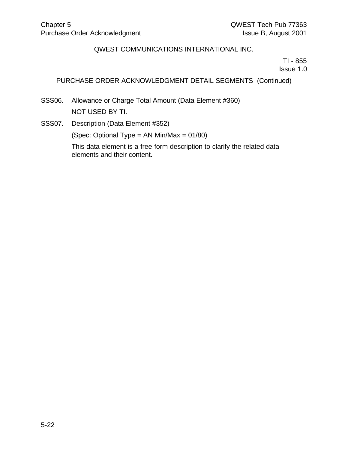TI - 855 Issue 1.0

# PURCHASE ORDER ACKNOWLEDGMENT DETAIL SEGMENTS (Continued)

- SSS06. Allowance or Charge Total Amount (Data Element #360) NOT USED BY TI.
- SSS07. Description (Data Element #352)

(Spec: Optional Type = AN Min/Max = 01/80)

This data element is a free-form description to clarify the related data elements and their content.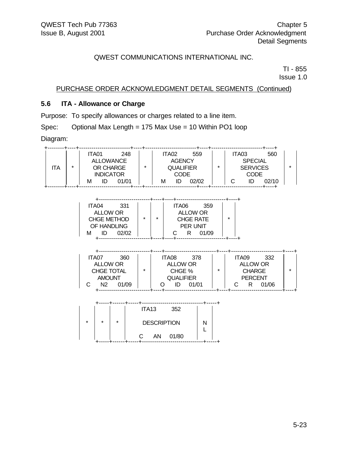TI - 855 Issue 1.0

PURCHASE ORDER ACKNOWLEDGMENT DETAIL SEGMENTS (Continued)

# **5.6 ITA - Allowance or Charge**

Purpose: To specify allowances or charges related to a line item.

Spec: Optional Max Length = 175 Max Use = 10 Within PO1 loop

Diagram:

| ITA.                                                                                                                                                                                                                                                                                               | $\star$            |  | <b>ITA01</b> 248<br><b>ALLOWANCE</b><br><b>INDICATOR</b><br>M ID 01/01 |  |                                               | <b>ITA02</b> 559<br>$\begin{array}{ c c c c c }\n\hline\n\text{LODE} & \text{LODE} \\ \text{M} & \text{ID} & \text{02/02} \\ \end{array}$ |               |  | ITA03 560<br>------------------+----+    |                               | $\star$ |
|----------------------------------------------------------------------------------------------------------------------------------------------------------------------------------------------------------------------------------------------------------------------------------------------------|--------------------|--|------------------------------------------------------------------------|--|-----------------------------------------------|-------------------------------------------------------------------------------------------------------------------------------------------|---------------|--|------------------------------------------|-------------------------------|---------|
| ITA04 331<br>ALLOW OR<br>CHGE METHOD $\left \begin{array}{ccc} \star & \star & \star \\ \star & \star & \star \\ \hline \end{array}\right $ TTA06 359<br>CHGE METHOD $\left \begin{array}{ccc} \star & \star & \star \\ \star & \star & \star \\ \hline \end{array}\right $ FER UNIT<br>M ID 02/02 |                    |  |                                                                        |  | <b>PER UNIT</b><br>C R 01/09                  |                                                                                                                                           | $\rightarrow$ |  |                                          |                               |         |
|                                                                                                                                                                                                                                                                                                    |                    |  | ITA07 360<br>ALLOW OR<br>CHGE TOTAL<br><b>AMOUNT</b><br>C N2 01/09     |  |                                               | ITA08 378<br>ALLOW OR ALLOW OR<br>CHGE %   *   CHARGE<br>QUALIFIER<br>O ID 01/01<br>-+---------------------------+-                       |               |  | ITA09 332<br><b>PERCENT</b><br>C R 01/06 | ---4------------------------- | $\star$ |
|                                                                                                                                                                                                                                                                                                    | $\star$<br>$\star$ |  |                                                                        |  | ITA13 352<br><b>DESCRIPTION</b><br>C AN 01/80 | N<br>L                                                                                                                                    |               |  |                                          |                               |         |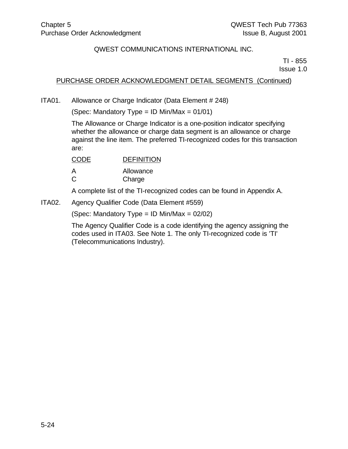TI - 855 Issue 1.0

### PURCHASE ORDER ACKNOWLEDGMENT DETAIL SEGMENTS (Continued)

ITA01. Allowance or Charge Indicator (Data Element # 248)

(Spec: Mandatory Type = ID Min/Max =  $01/01$ )

The Allowance or Charge Indicator is a one-position indicator specifying whether the allowance or charge data segment is an allowance or charge against the line item. The preferred TI-recognized codes for this transaction are:

| <b>CODE</b> | <b>DEFINITION</b> |
|-------------|-------------------|
| А           | Allowance         |
| C           | Charge            |

A complete list of the TI-recognized codes can be found in Appendix A.

ITA02. Agency Qualifier Code (Data Element #559)

(Spec: Mandatory Type = ID Min/Max =  $02/02$ )

The Agency Qualifier Code is a code identifying the agency assigning the codes used in ITA03. See Note 1. The only TI-recognized code is 'TI' (Telecommunications Industry).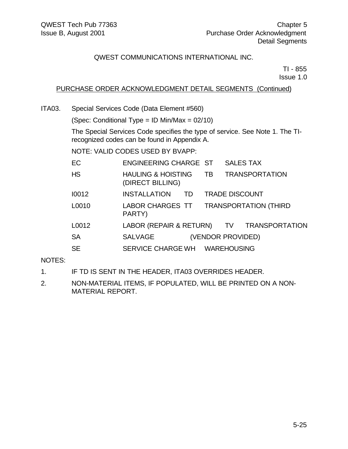TI - 855 Issue 1.0

## PURCHASE ORDER ACKNOWLEDGMENT DETAIL SEGMENTS (Continued)

ITA03. Special Services Code (Data Element #560)

(Spec: Conditional Type = ID Min/Max = 02/10)

The Special Services Code specifies the type of service. See Note 1. The TIrecognized codes can be found in Appendix A.

NOTE: VALID CODES USED BY BVAPP:

| EC        | ENGINEERING CHARGE ST                             |           | <b>SALES TAX</b>      |                       |  |
|-----------|---------------------------------------------------|-----------|-----------------------|-----------------------|--|
| <b>HS</b> | <b>HAULING &amp; HOISTING</b><br>(DIRECT BILLING) | <b>TB</b> |                       | <b>TRANSPORTATION</b> |  |
| 10012     | <b>INSTALLATION</b><br><b>TD</b>                  |           | <b>TRADE DISCOUNT</b> |                       |  |
| L0010     | LABOR CHARGES TT TRANSPORTATION (THIRD<br>PARTY)  |           |                       |                       |  |
| L0012     | LABOR (REPAIR & RETURN) TV TRANSPORTATION         |           |                       |                       |  |
| <b>SA</b> | <b>SALVAGE</b>                                    |           | (VENDOR PROVIDED)     |                       |  |
| <b>SE</b> | SERVICE CHARGE WH WAREHOUSING                     |           |                       |                       |  |

#### NOTES:

- 1. IF TD IS SENT IN THE HEADER, ITA03 OVERRIDES HEADER.
- 2. NON-MATERIAL ITEMS, IF POPULATED, WILL BE PRINTED ON A NON-MATERIAL REPORT.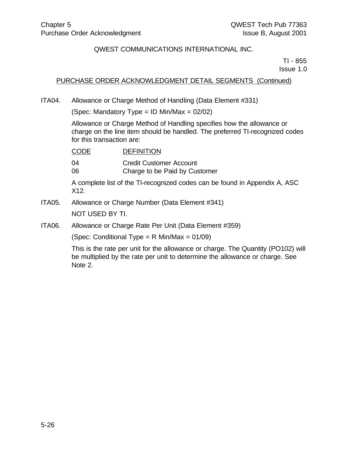TI - 855 Issue 1.0

#### PURCHASE ORDER ACKNOWLEDGMENT DETAIL SEGMENTS (Continued)

ITA04. Allowance or Charge Method of Handling (Data Element #331)

(Spec: Mandatory Type = ID Min/Max =  $02/02$ )

Allowance or Charge Method of Handling specifies how the allowance or charge on the line item should be handled. The preferred TI-recognized codes for this transaction are:

| CODE | <b>DEFINITION</b> |
|------|-------------------|
|      |                   |

04 Credit Customer Account

06 Charge to be Paid by Customer

A complete list of the TI-recognized codes can be found in Appendix A, ASC X12.

- ITA05. Allowance or Charge Number (Data Element #341) NOT USED BY TI.
- ITA06. Allowance or Charge Rate Per Unit (Data Element #359)

(Spec: Conditional Type =  $R$  Min/Max = 01/09)

This is the rate per unit for the allowance or charge. The Quantity (PO102) will be multiplied by the rate per unit to determine the allowance or charge. See Note 2.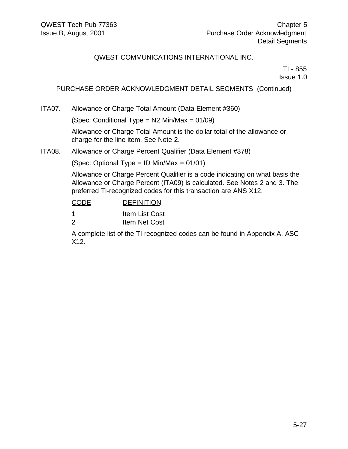TI - 855 Issue 1.0

# PURCHASE ORDER ACKNOWLEDGMENT DETAIL SEGMENTS (Continued)

ITA07. Allowance or Charge Total Amount (Data Element #360)

(Spec: Conditional Type = N2 Min/Max = 01/09)

Allowance or Charge Total Amount is the dollar total of the allowance or charge for the line item. See Note 2.

#### ITA08. Allowance or Charge Percent Qualifier (Data Element #378)

(Spec: Optional Type = ID Min/Max = 01/01)

Allowance or Charge Percent Qualifier is a code indicating on what basis the Allowance or Charge Percent (ITA09) is calculated. See Notes 2 and 3. The preferred TI-recognized codes for this transaction are ANS X12.

# CODE DEFINITION

| <b>Item List Cost</b> |
|-----------------------|
| Item Net Cost         |

A complete list of the TI-recognized codes can be found in Appendix A, ASC X12.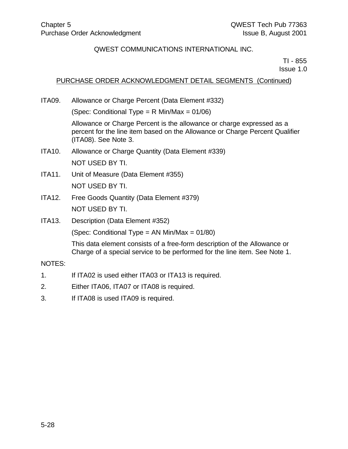TI - 855 Issue 1.0

### PURCHASE ORDER ACKNOWLEDGMENT DETAIL SEGMENTS (Continued)

ITA09. Allowance or Charge Percent (Data Element #332)

(Spec: Conditional Type = R Min/Max = 01/06)

Allowance or Charge Percent is the allowance or charge expressed as a percent for the line item based on the Allowance or Charge Percent Qualifier (ITA08). See Note 3.

- ITA10. Allowance or Charge Quantity (Data Element #339) NOT USED BY TI.
- ITA11. Unit of Measure (Data Element #355) NOT USED BY TI.
- ITA12. Free Goods Quantity (Data Element #379) NOT USED BY TI.
- ITA13. Description (Data Element #352)

(Spec: Conditional Type = AN Min/Max = 01/80)

This data element consists of a free-form description of the Allowance or Charge of a special service to be performed for the line item. See Note 1.

#### NOTES:

- 1. If ITA02 is used either ITA03 or ITA13 is required.
- 2. Either ITA06, ITA07 or ITA08 is required.
- 3. If ITA08 is used ITA09 is required.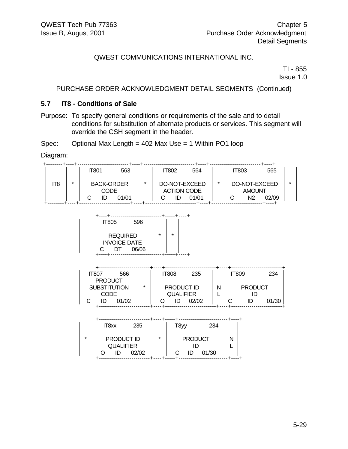TI - 855 Issue 1.0

#### PURCHASE ORDER ACKNOWLEDGMENT DETAIL SEGMENTS (Continued)

#### **5.7 IT8 - Conditions of Sale**

Purpose: To specify general conditions or requirements of the sale and to detail conditions for substitution of alternate products or services. This segment will override the CSH segment in the header.

Spec: Optional Max Length = 402 Max Use = 1 Within PO1 loop

Diagram:

|   | IT801 | 563   |                                  | IT802 | 564   |                                     |    | 565                                     |
|---|-------|-------|----------------------------------|-------|-------|-------------------------------------|----|-----------------------------------------|
|   |       |       |                                  |       |       |                                     |    |                                         |
| ÷ |       |       | ÷                                |       |       | ÷                                   |    |                                         |
|   |       |       |                                  |       |       |                                     |    |                                         |
|   | ID    | 01/01 |                                  |       | 01/01 |                                     | N2 | 02/09                                   |
|   |       |       | <b>BACK-ORDER</b><br><b>CODE</b> |       |       | DO-NOT-EXCEED<br><b>ACTION CODE</b> |    | IT803<br>DO-NOT-EXCEED<br><b>AMOUNT</b> |

| <b>IT805</b>                                 | 596   |         |         |  |
|----------------------------------------------|-------|---------|---------|--|
| <b>REQUIRED</b><br><b>INVOICE DATE</b><br>DТ | 06/06 | $\star$ | $\star$ |  |
|                                              |       |         |         |  |

| IT807               |  | 566   |         | IT808 |                  | 235        |   | <b>IT809</b> |                | 234   |
|---------------------|--|-------|---------|-------|------------------|------------|---|--------------|----------------|-------|
| <b>PRODUCT</b>      |  |       |         |       |                  |            |   |              |                |       |
| <b>SUBSTITUTION</b> |  |       | $\star$ |       |                  | PRODUCT ID | N |              | <b>PRODUCT</b> |       |
| <b>CODE</b>         |  |       |         |       | <b>QUALIFIER</b> |            |   |              |                |       |
|                     |  | 01/02 |         |       | ID               | 02/02      |   | ັ            |                | 01/30 |
|                     |  |       |         |       |                  |            |   |              |                |       |

|         | IT <sub>8</sub> xx             | 235   |         | IT <sub>8yy</sub> | 234   |  |
|---------|--------------------------------|-------|---------|-------------------|-------|--|
| $\star$ | PRODUCT ID<br><b>QUALIFIER</b> |       | $\star$ | <b>PRODUCT</b>    |       |  |
|         | ID                             | 02/02 |         | ID                | 01/30 |  |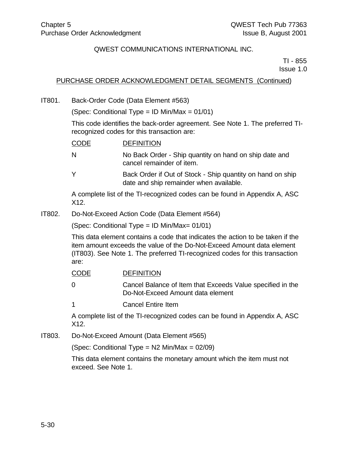TI - 855 Issue 1.0

### PURCHASE ORDER ACKNOWLEDGMENT DETAIL SEGMENTS (Continued)

IT801. Back-Order Code (Data Element #563)

(Spec: Conditional Type = ID Min/Max =  $01/01$ )

This code identifies the back-order agreement. See Note 1. The preferred TIrecognized codes for this transaction are:

| <b>CODE</b>  | <b>DEFINITION</b>                                                                                     |
|--------------|-------------------------------------------------------------------------------------------------------|
| <sup>N</sup> | No Back Order - Ship quantity on hand on ship date and<br>cancel remainder of item.                   |
| $\mathsf{Y}$ | Back Order if Out of Stock - Ship quantity on hand on ship<br>date and ship remainder when available. |
|              | A complete list of the TI-recognized codes can be found in Appendix A, ASC                            |

X12.

IT802. Do-Not-Exceed Action Code (Data Element #564)

(Spec: Conditional Type = ID Min/Max= 01/01)

This data element contains a code that indicates the action to be taken if the item amount exceeds the value of the Do-Not-Exceed Amount data element (IT803). See Note 1. The preferred TI-recognized codes for this transaction are:

| <b>CODE</b> | <b>DEFINITION</b> |
|-------------|-------------------|
|             |                   |

0 Cancel Balance of Item that Exceeds Value specified in the Do-Not-Exceed Amount data element

1 Cancel Entire Item

A complete list of the TI-recognized codes can be found in Appendix A, ASC X12.

IT803. Do-Not-Exceed Amount (Data Element #565)

(Spec: Conditional Type =  $N2$  Min/Max =  $02/09$ )

This data element contains the monetary amount which the item must not exceed. See Note 1.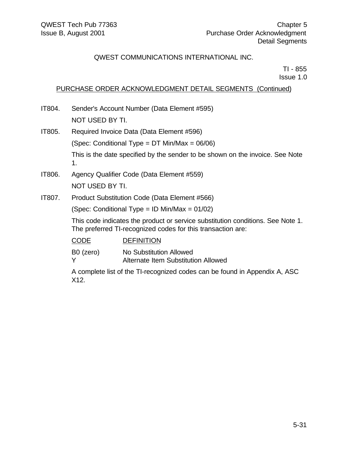TI - 855 Issue 1.0

# PURCHASE ORDER ACKNOWLEDGMENT DETAIL SEGMENTS (Continued)

- IT804. Sender's Account Number (Data Element #595) NOT USED BY TI.
- IT805. Required Invoice Data (Data Element #596) (Spec: Conditional Type = DT Min/Max = 06/06) This is the date specified by the sender to be shown on the invoice. See Note 1.
- IT806. Agency Qualifier Code (Data Element #559) NOT USED BY TI.
- IT807. Product Substitution Code (Data Element #566)

(Spec: Conditional Type = ID Min/Max = 01/02)

This code indicates the product or service substitution conditions. See Note 1. The preferred TI-recognized codes for this transaction are:

| CODE      | <b>DEFINITION</b>                   |
|-----------|-------------------------------------|
| B0 (zero) | No Substitution Allowed             |
| Y         | Alternate Item Substitution Allowed |

A complete list of the TI-recognized codes can be found in Appendix A, ASC X12.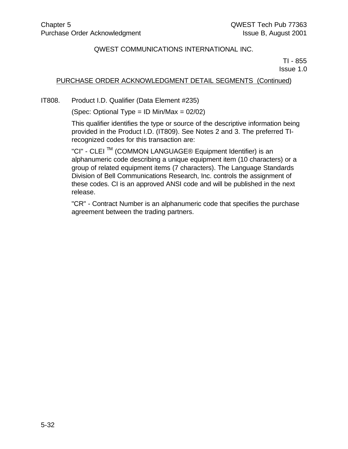TI - 855 Issue 1.0

### PURCHASE ORDER ACKNOWLEDGMENT DETAIL SEGMENTS (Continued)

IT808. Product I.D. Qualifier (Data Element #235)

(Spec: Optional Type = ID Min/Max = 02/02)

This qualifier identifies the type or source of the descriptive information being provided in the Product I.D. (IT809). See Notes 2 and 3. The preferred TIrecognized codes for this transaction are:

"CI" - CLEI TM (COMMON LANGUAGE® Equipment Identifier) is an alphanumeric code describing a unique equipment item (10 characters) or a group of related equipment items (7 characters). The Language Standards Division of Bell Communications Research, Inc. controls the assignment of these codes. CI is an approved ANSI code and will be published in the next release.

"CR" - Contract Number is an alphanumeric code that specifies the purchase agreement between the trading partners.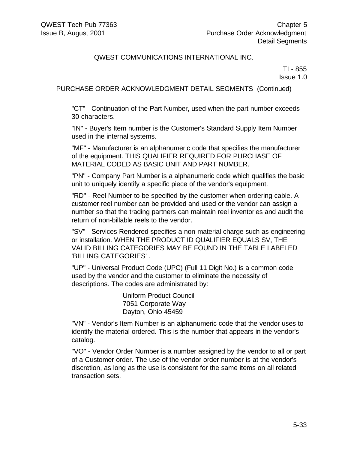TI - 855 Issue 1.0

### PURCHASE ORDER ACKNOWLEDGMENT DETAIL SEGMENTS (Continued)

"CT" - Continuation of the Part Number, used when the part number exceeds 30 characters.

"IN" - Buyer's Item number is the Customer's Standard Supply Item Number used in the internal systems.

"MF" - Manufacturer is an alphanumeric code that specifies the manufacturer of the equipment. THIS QUALIFIER REQUIRED FOR PURCHASE OF MATERIAL CODED AS BASIC UNIT AND PART NUMBER.

"PN" - Company Part Number is a alphanumeric code which qualifies the basic unit to uniquely identify a specific piece of the vendor's equipment.

"RD" - Reel Number to be specified by the customer when ordering cable. A customer reel number can be provided and used or the vendor can assign a number so that the trading partners can maintain reel inventories and audit the return of non-billable reels to the vendor.

"SV" - Services Rendered specifies a non-material charge such as engineering or installation. WHEN THE PRODUCT ID QUALIFIER EQUALS SV, THE VALID BILLING CATEGORIES MAY BE FOUND IN THE TABLE LABELED 'BILLING CATEGORIES' .

"UP" - Universal Product Code (UPC) (Full 11 Digit No.) is a common code used by the vendor and the customer to eliminate the necessity of descriptions. The codes are administrated by:

> Uniform Product Council 7051 Corporate Way Dayton, Ohio 45459

"VN" - Vendor's Item Number is an alphanumeric code that the vendor uses to identify the material ordered. This is the number that appears in the vendor's catalog.

"VO" - Vendor Order Number is a number assigned by the vendor to all or part of a Customer order. The use of the vendor order number is at the vendor's discretion, as long as the use is consistent for the same items on all related transaction sets.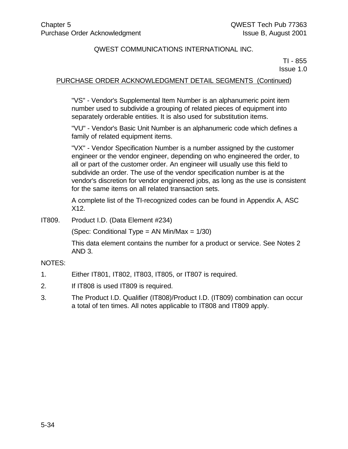TI - 855 Issue 1.0

#### PURCHASE ORDER ACKNOWLEDGMENT DETAIL SEGMENTS (Continued)

"VS" - Vendor's Supplemental Item Number is an alphanumeric point item number used to subdivide a grouping of related pieces of equipment into separately orderable entities. It is also used for substitution items.

"VU" - Vendor's Basic Unit Number is an alphanumeric code which defines a family of related equipment items.

"VX" - Vendor Specification Number is a number assigned by the customer engineer or the vendor engineer, depending on who engineered the order, to all or part of the customer order. An engineer will usually use this field to subdivide an order. The use of the vendor specification number is at the vendor's discretion for vendor engineered jobs, as long as the use is consistent for the same items on all related transaction sets.

A complete list of the TI-recognized codes can be found in Appendix A, ASC X12.

IT809. Product I.D. (Data Element #234)

(Spec: Conditional Type = AN Min/Max =  $1/30$ )

This data element contains the number for a product or service. See Notes 2 AND 3.

#### NOTES:

- 1. Either IT801, IT802, IT803, IT805, or IT807 is required.
- 2. If IT808 is used IT809 is required.
- 3. The Product I.D. Qualifier (IT808)/Product I.D. (IT809) combination can occur a total of ten times. All notes applicable to IT808 and IT809 apply.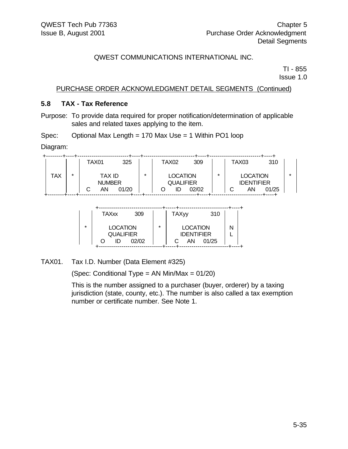TI - 855 Issue 1.0

# PURCHASE ORDER ACKNOWLEDGMENT DETAIL SEGMENTS (Continued)

#### **5.8 TAX - Tax Reference**

Purpose: To provide data required for proper notification/determination of applicable sales and related taxes applying to the item.

Spec: Optional Max Length = 170 Max Use = 1 Within PO1 loop

Diagram:

|     |   | TAX01 |                               | 325   |         | TAX02                               | 309   |   | <b>TAX03</b> |                                            | 310   |   |
|-----|---|-------|-------------------------------|-------|---------|-------------------------------------|-------|---|--------------|--------------------------------------------|-------|---|
| TAX | * |       | TAX ID<br><b>NUMBER</b><br>AN | 01/20 | $\star$ | <b>LOCATION</b><br><b>QUALIFIER</b> | 02/02 | ÷ |              | <b>LOCATION</b><br><b>IDENTIFIER</b><br>AN | 01/25 | * |

|         | <b>TAXxx</b>                        | 309   |         | <b>TAXyy</b>                         | 310   |   |  |
|---------|-------------------------------------|-------|---------|--------------------------------------|-------|---|--|
| $\star$ | <b>LOCATION</b><br><b>QUALIFIER</b> |       | $\star$ | <b>LOCATION</b><br><b>IDENTIFIER</b> |       | N |  |
|         | ID                                  | 02/02 |         | ΑN                                   | 01/25 |   |  |

TAX01. Tax I.D. Number (Data Element #325)

(Spec: Conditional Type = AN Min/Max = 01/20)

This is the number assigned to a purchaser (buyer, orderer) by a taxing jurisdiction (state, county, etc.). The number is also called a tax exemption number or certificate number. See Note 1.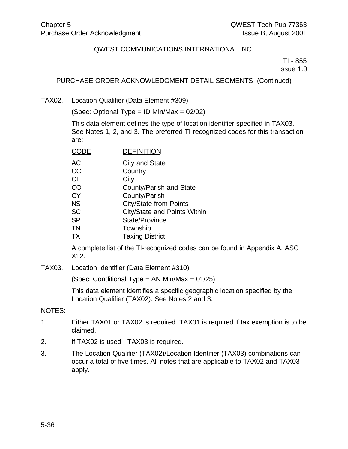TI - 855 Issue 1.0

#### PURCHASE ORDER ACKNOWLEDGMENT DETAIL SEGMENTS (Continued)

TAX02. Location Qualifier (Data Element #309)

(Spec: Optional Type = ID Min/Max = 02/02)

This data element defines the type of location identifier specified in TAX03. See Notes 1, 2, and 3. The preferred TI-recognized codes for this transaction are:

| CODE | <b>DEFINITION</b> |
|------|-------------------|
|      |                   |

| City and State |
|----------------|
|                |

- CC Country
- CI City
- CO County/Parish and State
- CY County/Parish
- NS City/State from Points
- SC **City/State and Points Within**
- SP State/Province
- TN Township
- TX Taxing District

A complete list of the TI-recognized codes can be found in Appendix A, ASC X12.

TAX03. Location Identifier (Data Element #310)

(Spec: Conditional Type = AN Min/Max =  $01/25$ )

This data element identifies a specific geographic location specified by the Location Qualifier (TAX02). See Notes 2 and 3.

#### NOTES:

- 1. Either TAX01 or TAX02 is required. TAX01 is required if tax exemption is to be claimed.
- 2. If TAX02 is used TAX03 is required.
- 3. The Location Qualifier (TAX02)/Location Identifier (TAX03) combinations can occur a total of five times. All notes that are applicable to TAX02 and TAX03 apply.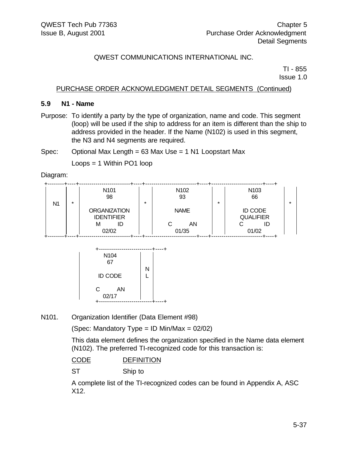TI - 855 Issue 1.0

#### PURCHASE ORDER ACKNOWLEDGMENT DETAIL SEGMENTS (Continued)

#### **5.9 N1 - Name**

Purpose: To identify a party by the type of organization, name and code. This segment (loop) will be used if the ship to address for an item is different than the ship to address provided in the header. If the Name (N102) is used in this segment, the N3 and N4 segments are required.

Spec: Optional Max Length = 63 Max Use = 1 N1 Loopstart Max

Loops = 1 Within PO1 loop

Diagram:

| N1 | $\star$ | N <sub>101</sub><br>98                              | $\star$ | N <sub>102</sub><br>93 | $\star$ | N <sub>103</sub><br>66                   |  |
|----|---------|-----------------------------------------------------|---------|------------------------|---------|------------------------------------------|--|
|    |         | <b>ORGANIZATION</b><br><b>IDENTIFIER</b><br>М<br>ID |         | <b>NAME</b><br>AN      |         | <b>ID CODE</b><br><b>QUALIFIER</b><br>ID |  |
|    |         | 02/02                                               |         | 01/35                  |         | 01/02                                    |  |



N101. Organization Identifier (Data Element #98)

(Spec: Mandatory Type = ID Min/Max =  $02/02$ )

This data element defines the organization specified in the Name data element (N102). The preferred TI-recognized code for this transaction is:

CODE DEFINITION

ST Ship to

A complete list of the TI-recognized codes can be found in Appendix A, ASC X12.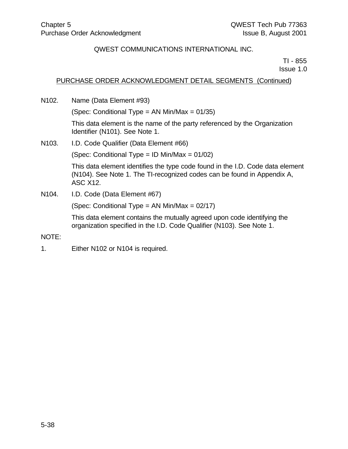TI - 855 Issue 1.0

### PURCHASE ORDER ACKNOWLEDGMENT DETAIL SEGMENTS (Continued)

N102. Name (Data Element #93)

(Spec: Conditional Type = AN Min/Max = 01/35)

This data element is the name of the party referenced by the Organization Identifier (N101). See Note 1.

N103. I.D. Code Qualifier (Data Element #66)

(Spec: Conditional Type = ID Min/Max = 01/02)

This data element identifies the type code found in the I.D. Code data element (N104). See Note 1. The TI-recognized codes can be found in Appendix A, ASC X12.

N104. I.D. Code (Data Element #67)

(Spec: Conditional Type = AN Min/Max =  $02/17$ )

This data element contains the mutually agreed upon code identifying the organization specified in the I.D. Code Qualifier (N103). See Note 1.

NOTE:

1. Either N102 or N104 is required.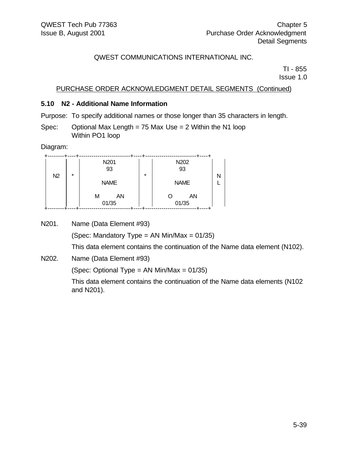TI - 855 Issue 1.0

### PURCHASE ORDER ACKNOWLEDGMENT DETAIL SEGMENTS (Continued)

#### **5.10 N2 - Additional Name Information**

Purpose: To specify additional names or those longer than 35 characters in length.

Spec: Optional Max Length = 75 Max Use =  $2$  Within the N1 loop Within PO1 loop

Diagram:

| $\star$<br>N2 |  | N201<br>93<br><b>NAME</b> | $\star$ | N202<br>93<br><b>NAME</b> | N |
|---------------|--|---------------------------|---------|---------------------------|---|
|               |  | ΑN<br>М<br>01/35          |         | AN<br>01/35               |   |

N201. Name (Data Element #93)

(Spec: Mandatory Type = AN Min/Max =  $01/35$ )

This data element contains the continuation of the Name data element (N102).

N202. Name (Data Element #93)

(Spec: Optional Type = AN Min/Max =  $01/35$ )

This data element contains the continuation of the Name data elements (N102 and N201).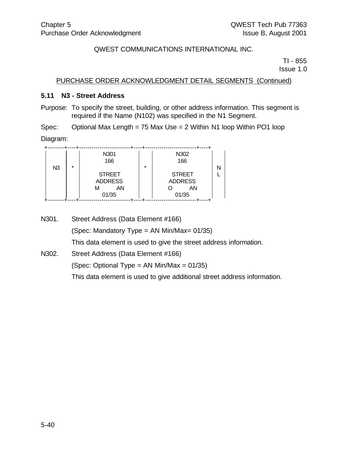TI - 855 Issue 1.0

# PURCHASE ORDER ACKNOWLEDGMENT DETAIL SEGMENTS (Continued)

#### **5.11 N3 - Street Address**

Purpose: To specify the street, building, or other address information. This segment is required if the Name (N102) was specified in the N1 Segment.

Spec: Optional Max Length = 75 Max Use = 2 Within N1 loop Within PO1 loop

Diagram:

|                | $\star$ | N301<br>166                                         | $\star$ | N302<br>166                                    |  |
|----------------|---------|-----------------------------------------------------|---------|------------------------------------------------|--|
| N <sub>3</sub> |         | <b>STREET</b><br><b>ADDRESS</b><br>AN<br>м<br>01/35 |         | <b>STREET</b><br><b>ADDRESS</b><br>ΑN<br>01/35 |  |

N301. Street Address (Data Element #166) (Spec: Mandatory Type = AN Min/Max= 01/35) This data element is used to give the street address information. N302. Street Address (Data Element #166) (Spec: Optional Type = AN Min/Max =  $01/35$ ) This data element is used to give additional street address information.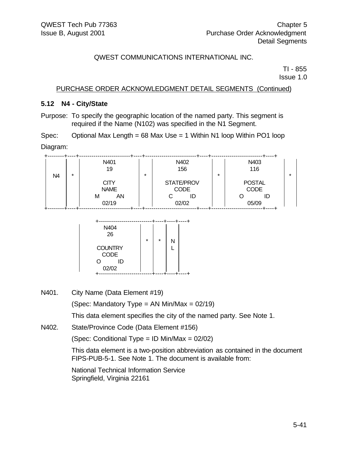TI - 855 Issue 1.0

PURCHASE ORDER ACKNOWLEDGMENT DETAIL SEGMENTS (Continued)

#### **5.12 N4 - City/State**

Purpose: To specify the geographic location of the named party. This segment is required if the Name (N102) was specified in the N1 Segment.

Spec: Optional Max Length = 68 Max Use = 1 Within N1 loop Within PO1 loop

Diagram:

|    | $\star$ | N401<br>19                 | $\star$ | N402<br>156               | $\star$ | N403<br>116                  | $\star$ |
|----|---------|----------------------------|---------|---------------------------|---------|------------------------------|---------|
| N4 |         | <b>CITY</b><br><b>NAME</b> |         | STATE/PROV<br><b>CODE</b> |         | <b>POSTAL</b><br><b>CODE</b> |         |
|    |         | AΝ<br>М<br>02/19           |         | ID<br>02/02               |         | 05/09                        |         |

| N404<br>26<br><b>COUNTRY</b><br><b>CODE</b><br>ID<br>O<br>02/02 | $\star$ | $\star$ | Ν |  |
|-----------------------------------------------------------------|---------|---------|---|--|
|                                                                 |         |         |   |  |

N401. City Name (Data Element #19)

(Spec: Mandatory Type = AN Min/Max =  $02/19$ )

This data element specifies the city of the named party. See Note 1.

N402. State/Province Code (Data Element #156)

(Spec: Conditional Type = ID Min/Max = 02/02)

This data element is a two-position abbreviation as contained in the document FIPS-PUB-5-1. See Note 1. The document is available from:

National Technical Information Service Springfield, Virginia 22161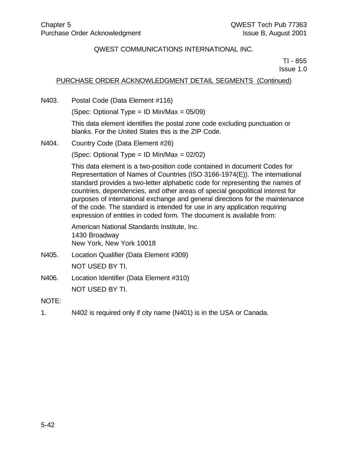TI - 855 Issue 1.0

# PURCHASE ORDER ACKNOWLEDGMENT DETAIL SEGMENTS (Continued)

N403. Postal Code (Data Element #116)

(Spec: Optional Type =  $ID$  Min/Max =  $05/09$ )

This data element identifies the postal zone code excluding punctuation or blanks. For the United States this is the ZIP Code.

N404. Country Code (Data Element #26)

(Spec: Optional Type = ID Min/Max = 02/02)

This data element is a two-position code contained in document Codes for Representation of Names of Countries (ISO 3166-1974(E)). The international standard provides a two-letter alphabetic code for representing the names of countries, dependencies, and other areas of special geopolitical interest for purposes of international exchange and general directions for the maintenance of the code. The standard is intended for use in any application requiring expression of entities in coded form. The document is available from:

American National Standards Institute, Inc. 1430 Broadway New York, New York 10018

- N405. Location Qualifier (Data Element #309) NOT USED BY TI.
- N406. Location Identifier (Data Element #310) NOT USED BY TI.

NOTE:

1. N402 is required only if city name (N401) is in the USA or Canada.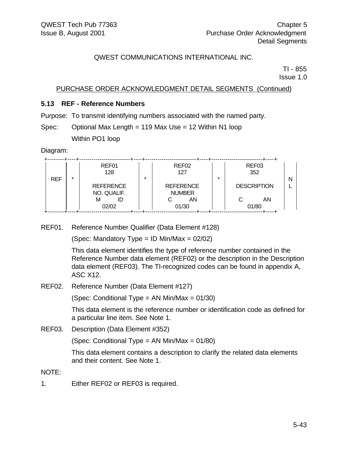TI - 855 Issue 1.0

### PURCHASE ORDER ACKNOWLEDGMENT DETAIL SEGMENTS (Continued)

#### **5.13 REF - Reference Numbers**

Purpose: To transmit identifying numbers associated with the named party.

Spec: Optional Max Length = 119 Max Use = 12 Within N1 loop

Within PO1 loop

Diagram:

|            |         | REF01            |         | REF <sub>02</sub> |         | REF03              |  |
|------------|---------|------------------|---------|-------------------|---------|--------------------|--|
|            |         | 128              |         | 127               |         | 352                |  |
| <b>REF</b> | $\star$ |                  | $\star$ |                   | $\star$ |                    |  |
|            |         | <b>REFERENCE</b> |         | <b>REFERENCE</b>  |         | <b>DESCRIPTION</b> |  |
|            |         | NO. QUALIF.      |         | <b>NUMBER</b>     |         |                    |  |
|            |         | М<br>ID          |         | AN                |         | AN                 |  |
|            |         | 02/02            |         | 01/30             |         | 01/80              |  |

REF01. Reference Number Qualifier (Data Element #128)

(Spec: Mandatory Type = ID Min/Max =  $02/02$ )

This data element identifies the type of reference number contained in the Reference Number data element (REF02) or the description in the Description data element (REF03). The TI-recognized codes can be found in appendix A, ASC X12.

REF02. Reference Number (Data Element #127)

(Spec: Conditional Type = AN Min/Max = 01/30)

This data element is the reference number or identification code as defined for a particular line item. See Note 1.

REF03. Description (Data Element #352)

(Spec: Conditional Type = AN Min/Max = 01/80)

This data element contains a description to clarify the related data elements and their content. See Note 1.

NOTE:

1. Either REF02 or REF03 is required.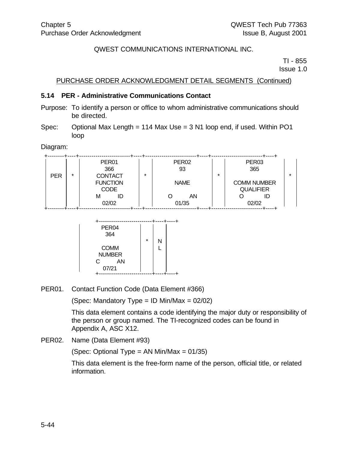TI - 855 Issue 1.0

#### PURCHASE ORDER ACKNOWLEDGMENT DETAIL SEGMENTS (Continued)

#### **5.14 PER - Administrative Communications Contact**

- Purpose: To identify a person or office to whom administrative communications should be directed.
- Spec: Optional Max Length = 114 Max Use = 3 N1 loop end, if used. Within PO1 loop

#### Diagram:

|            |         | PER <sub>01</sub><br>366                         | PER <sub>02</sub><br>93 |         | PER <sub>03</sub><br>365               | $\star$ |
|------------|---------|--------------------------------------------------|-------------------------|---------|----------------------------------------|---------|
| <b>PER</b> | $\star$ | <b>CONTACT</b><br><b>FUNCTION</b><br><b>CODE</b> | $\star$<br><b>NAME</b>  | $\star$ | <b>COMM NUMBER</b><br><b>QUALIFIER</b> |         |
|            |         | ID<br>м<br>02/02                                 | AN<br>01/35             |         | ID<br>02/02                            |         |



PER01. Contact Function Code (Data Element #366)

(Spec: Mandatory Type = ID Min/Max =  $02/02$ )

This data element contains a code identifying the major duty or responsibility of the person or group named. The TI-recognized codes can be found in Appendix A, ASC X12.

PER02. Name (Data Element #93)

(Spec: Optional Type = AN Min/Max = 01/35)

This data element is the free-form name of the person, official title, or related information.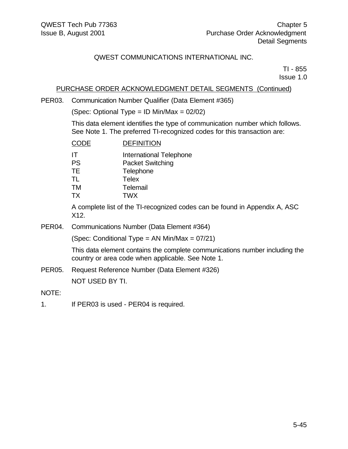TI - 855 Issue 1.0

### PURCHASE ORDER ACKNOWLEDGMENT DETAIL SEGMENTS (Continued)

PER03. Communication Number Qualifier (Data Element #365)

(Spec: Optional Type = ID Min/Max = 02/02)

This data element identifies the type of communication number which follows. See Note 1. The preferred TI-recognized codes for this transaction are:

| <b>CODE</b> | <b>DEFINITION</b>       |
|-------------|-------------------------|
| IT          | International Telephone |
| <b>PS</b>   | <b>Packet Switching</b> |
| <b>TE</b>   | Telephone               |
| TL          | <b>Telex</b>            |
| <b>TM</b>   | Telemail                |
| <b>TX</b>   | <b>TWX</b>              |

A complete list of the TI-recognized codes can be found in Appendix A, ASC X12.

PER04. Communications Number (Data Element #364)

(Spec: Conditional Type = AN Min/Max = 07/21)

This data element contains the complete communications number including the country or area code when applicable. See Note 1.

PER05. Request Reference Number (Data Element #326) NOT USED BY TI.

NOTE:

1. If PER03 is used - PER04 is required.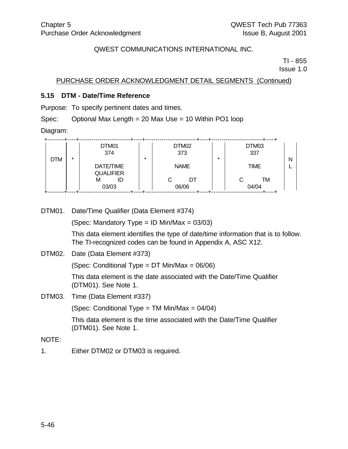TI - 855 Issue 1.0

PURCHASE ORDER ACKNOWLEDGMENT DETAIL SEGMENTS (Continued)

#### **5.15 DTM - Date/Time Reference**

Purpose: To specify pertinent dates and times.

Spec: Optional Max Length = 20 Max Use = 10 Within PO1 loop

Diagram:

|            |         | DTM01<br>374                  |         | DTM02<br>373 | $\star$ | DTM03<br>337     |  |
|------------|---------|-------------------------------|---------|--------------|---------|------------------|--|
| <b>DTM</b> | $\star$ | DATE/TIME<br><b>QUALIFIER</b> | $\star$ | <b>NAME</b>  |         | N<br><b>TIME</b> |  |
|            |         | M<br>ID<br>03/03              |         | DT<br>06/06  |         | TM<br>04/04      |  |

DTM01. Date/Time Qualifier (Data Element #374)

(Spec: Mandatory Type = ID Min/Max =  $03/03$ )

This data element identifies the type of date/time information that is to follow. The TI-recognized codes can be found in Appendix A, ASC X12.

DTM02. Date (Data Element #373)

(Spec: Conditional Type = DT Min/Max = 06/06)

This data element is the date associated with the Date/Time Qualifier (DTM01). See Note 1.

DTM03. Time (Data Element #337)

(Spec: Conditional Type = TM Min/Max = 04/04)

This data element is the time associated with the Date/Time Qualifier (DTM01). See Note 1.

NOTE:

1. Either DTM02 or DTM03 is required.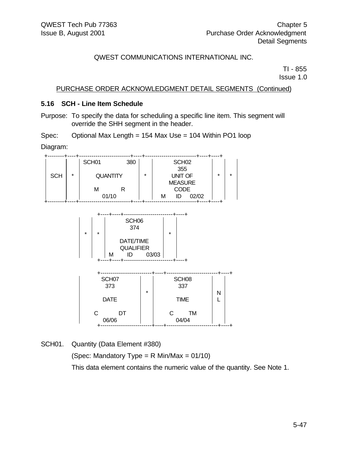TI - 855 Issue 1.0

PURCHASE ORDER ACKNOWLEDGMENT DETAIL SEGMENTS (Continued)

#### **5.16 SCH - Line Item Schedule**

Purpose: To specify the data for scheduling a specific line item. This segment will override the SHH segment in the header.

Spec: Optional Max Length = 154 Max Use = 104 Within PO1 loop

Diagram:

|            |         | SCH <sub>01</sub> | 380 |         |   | SCH <sub>02</sub> |       |         |         |
|------------|---------|-------------------|-----|---------|---|-------------------|-------|---------|---------|
|            |         |                   |     |         |   | 355               |       |         |         |
| <b>SCH</b> | $\star$ | <b>QUANTITY</b>   |     | $\star$ |   | <b>UNIT OF</b>    |       | $\star$ | $\star$ |
|            |         |                   |     |         |   | <b>MEASURE</b>    |       |         |         |
|            |         | М                 |     |         |   | <b>CODE</b>       |       |         |         |
|            |         | 01/10             |     |         | м | ID                | 02/02 |         |         |

|         |         |   | SCH <sub>06</sub><br>374 |       |         |  |
|---------|---------|---|--------------------------|-------|---------|--|
| $\star$ | $\star$ |   |                          |       | $\star$ |  |
|         |         |   | DATE/TIME                |       |         |  |
|         |         |   | <b>QUALIFIER</b>         |       |         |  |
|         |         | м | ID                       | 03/03 |         |  |
|         |         |   |                          |       |         |  |

| SCH07<br>373<br><b>DATE</b> | $\star$ | SCH <sub>08</sub><br>337<br><b>TIME</b> | N |  |
|-----------------------------|---------|-----------------------------------------|---|--|
| C<br>DT<br>06/06            |         | TM<br>04/04                             |   |  |

SCH01. Quantity (Data Element #380)

(Spec: Mandatory Type =  $R$  Min/Max = 01/10) This data element contains the numeric value of the quantity. See Note 1.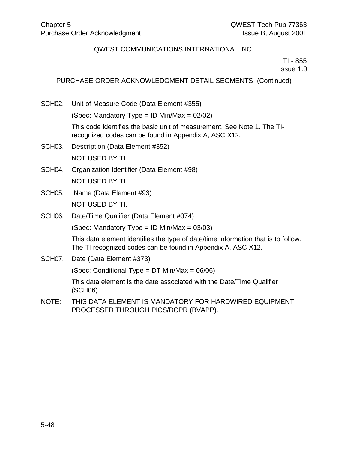TI - 855 Issue 1.0

## PURCHASE ORDER ACKNOWLEDGMENT DETAIL SEGMENTS (Continued)

- SCH02. Unit of Measure Code (Data Element #355) (Spec: Mandatory Type = ID Min/Max =  $02/02$ ) This code identifies the basic unit of measurement. See Note 1. The TIrecognized codes can be found in Appendix A, ASC X12. SCH03. Description (Data Element #352) NOT USED BY TI. SCH04. Organization Identifier (Data Element #98) NOT USED BY TI. SCH05. Name (Data Element #93) NOT USED BY TI. SCH06. Date/Time Qualifier (Data Element #374) (Spec: Mandatory Type = ID Min/Max =  $03/03$ ) This data element identifies the type of date/time information that is to follow. The TI-recognized codes can be found in Appendix A, ASC X12. SCH07. Date (Data Element #373) (Spec: Conditional Type = DT Min/Max = 06/06) This data element is the date associated with the Date/Time Qualifier (SCH06).
- NOTE: THIS DATA ELEMENT IS MANDATORY FOR HARDWIRED EQUIPMENT PROCESSED THROUGH PICS/DCPR (BVAPP).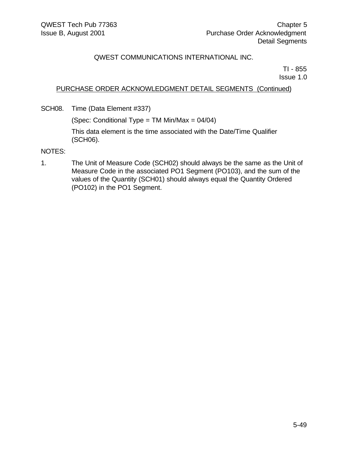TI - 855 Issue 1.0

# PURCHASE ORDER ACKNOWLEDGMENT DETAIL SEGMENTS (Continued)

SCH08. Time (Data Element #337)

(Spec: Conditional Type = TM Min/Max = 04/04)

This data element is the time associated with the Date/Time Qualifier (SCH06).

NOTES:

1. The Unit of Measure Code (SCH02) should always be the same as the Unit of Measure Code in the associated PO1 Segment (PO103), and the sum of the values of the Quantity (SCH01) should always equal the Quantity Ordered (PO102) in the PO1 Segment.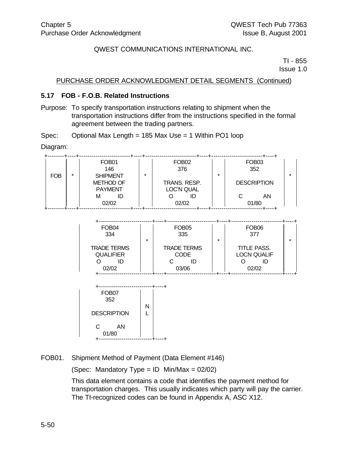TI - 855 Issue 1.0

### PURCHASE ORDER ACKNOWLEDGMENT DETAIL SEGMENTS (Continued)

#### **5.17 FOB - F.O.B. Related Instructions**

Purpose: To specify transportation instructions relating to shipment when the transportation instructions differ from the instructions specified in the formal agreement between the trading partners.

Spec: 
$$
Optional Max Length = 185 Max Use = 1 Within PO1 loop
$$

Diagram:

|            |         | FOB <sub>01</sub><br>146                              |         | FOB <sub>02</sub><br>376   |         | FOB <sub>03</sub><br>352 |   |
|------------|---------|-------------------------------------------------------|---------|----------------------------|---------|--------------------------|---|
| <b>FOB</b> | $\star$ | <b>SHIPMENT</b><br><b>METHOD OF</b><br><b>PAYMENT</b> | $\star$ | TRANS. RESP.<br>LOC'N QUAL | $\star$ | <b>DESCRIPTION</b>       | ÷ |
|            |         | м<br>02/02                                            |         | ID<br>02/02                |         | ΑN<br>01/80              |   |

| FOB <sub>04</sub><br>334                        | FOB <sub>05</sub><br>335<br>$\star$              | FOB <sub>06</sub><br>377<br>$\star$              | $\star$ |
|-------------------------------------------------|--------------------------------------------------|--------------------------------------------------|---------|
| <b>TRADE TERMS</b><br><b>QUALIFIER</b><br>02/02 | <b>TRADE TERMS</b><br><b>CODE</b><br>ID<br>03/06 | TITLE PASS.<br><b>LOCN QUALIF</b><br>ID<br>02/02 |         |

| FOB <sub>07</sub><br>352 | N |  |
|--------------------------|---|--|
| <b>DESCRIPTION</b>       |   |  |
| C<br>ΑN<br>01/80         |   |  |

FOB01. Shipment Method of Payment (Data Element #146)

(Spec: Mandatory Type = ID Min/Max = 02/02)

This data element contains a code that identifies the payment method for transportation charges. This usually indicates which party will pay the carrier. The TI-recognized codes can be found in Appendix A, ASC X12.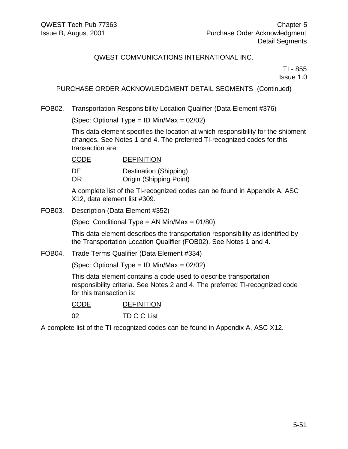TI - 855 Issue 1.0

# PURCHASE ORDER ACKNOWLEDGMENT DETAIL SEGMENTS (Continued)

FOB02. Transportation Responsibility Location Qualifier (Data Element #376)

(Spec: Optional Type = ID Min/Max = 02/02)

This data element specifies the location at which responsibility for the shipment changes. See Notes 1 and 4. The preferred TI-recognized codes for this transaction are:

CODE DEFINITION DE Destination (Shipping) OR Origin (Shipping Point)

A complete list of the TI-recognized codes can be found in Appendix A, ASC X12, data element list #309.

FOB03. Description (Data Element #352)

(Spec: Conditional Type = AN Min/Max = 01/80)

This data element describes the transportation responsibility as identified by the Transportation Location Qualifier (FOB02). See Notes 1 and 4.

FOB04. Trade Terms Qualifier (Data Element #334)

(Spec: Optional Type = ID Min/Max = 02/02)

This data element contains a code used to describe transportation responsibility criteria. See Notes 2 and 4. The preferred TI-recognized code for this transaction is:

| <b>CODE</b> | <b>DEFINITION</b> |
|-------------|-------------------|
|             |                   |

02 TD C C List

A complete list of the TI-recognized codes can be found in Appendix A, ASC X12.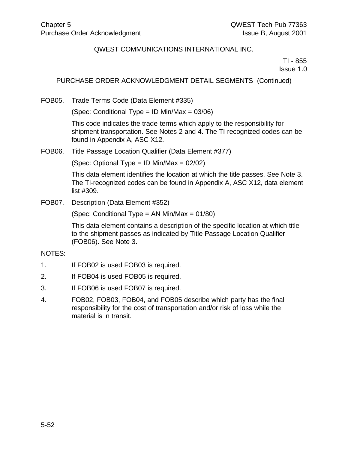TI - 855 Issue 1.0

### PURCHASE ORDER ACKNOWLEDGMENT DETAIL SEGMENTS (Continued)

FOB05. Trade Terms Code (Data Element #335)

(Spec: Conditional Type = ID Min/Max =  $03/06$ )

This code indicates the trade terms which apply to the responsibility for shipment transportation. See Notes 2 and 4. The TI-recognized codes can be found in Appendix A, ASC X12.

FOB06. Title Passage Location Qualifier (Data Element #377)

(Spec: Optional Type = ID Min/Max = 02/02)

This data element identifies the location at which the title passes. See Note 3. The TI-recognized codes can be found in Appendix A, ASC X12, data element list #309.

FOB07. Description (Data Element #352)

(Spec: Conditional Type = AN Min/Max =  $01/80$ )

This data element contains a description of the specific location at which title to the shipment passes as indicated by Title Passage Location Qualifier (FOB06). See Note 3.

#### NOTES:

- 1. If FOB02 is used FOB03 is required.
- 2. If FOB04 is used FOB05 is required.
- 3. If FOB06 is used FOB07 is required.
- 4. FOB02, FOB03, FOB04, and FOB05 describe which party has the final responsibility for the cost of transportation and/or risk of loss while the material is in transit.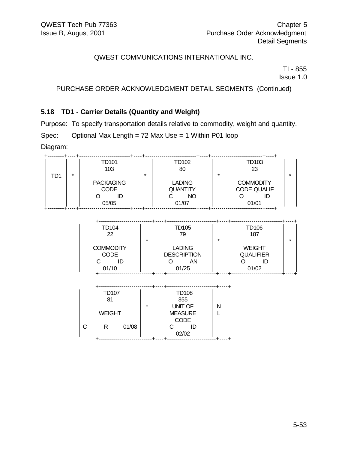TI - 855 Issue 1.0

### PURCHASE ORDER ACKNOWLEDGMENT DETAIL SEGMENTS (Continued)

#### **5.18 TD1 - Carrier Details (Quantity and Weight)**

Purpose: To specify transportation details relative to commodity, weight and quantity.

Spec: Optional Max Length = 72 Max Use = 1 Within P01 loop

Diagram:

|     | $\star$ | TD101<br>103                    | TD102<br>80<br>$\star$                        | $\star$ | TD103<br>23                                  | $\star$ |
|-----|---------|---------------------------------|-----------------------------------------------|---------|----------------------------------------------|---------|
| TD1 |         | <b>PACKAGING</b><br><b>CODE</b> | <b>LADING</b><br><b>QUANTITY</b><br><b>NO</b> |         | <b>COMMODITY</b><br><b>CODE QUALIF</b><br>ID |         |
|     |         | 05/05                           | 01/07                                         |         | 01/01                                        |         |

| TD104<br>22      | <b>TD105</b><br>79<br>$\star$ | TD106<br>187<br>$\star$ | $\star$ |
|------------------|-------------------------------|-------------------------|---------|
| <b>COMMODITY</b> | <b>LADING</b>                 | <b>WEIGHT</b>           |         |
| <b>CODE</b>      | <b>DESCRIPTION</b>            | <b>QUALIFIER</b>        |         |
| ID               | ΑN                            | ID                      |         |
| 01/10            | 01/25                         | 01/02                   |         |

|   | <b>TD107</b><br>81<br><b>WEIGHT</b> |       | $\star$ | <b>TD108</b><br>355<br>UNIT OF<br><b>MEASURE</b> | N |
|---|-------------------------------------|-------|---------|--------------------------------------------------|---|
| С | R                                   | 01/08 |         | CODE<br>ID<br>02/02                              |   |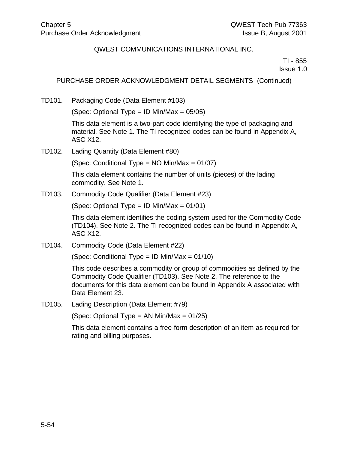TI - 855 Issue 1.0

### PURCHASE ORDER ACKNOWLEDGMENT DETAIL SEGMENTS (Continued)

TD101. Packaging Code (Data Element #103)

(Spec: Optional Type = ID Min/Max =  $05/05$ )

This data element is a two-part code identifying the type of packaging and material. See Note 1. The TI-recognized codes can be found in Appendix A, ASC X12.

TD102. Lading Quantity (Data Element #80)

(Spec: Conditional Type = NO Min/Max = 01/07)

This data element contains the number of units (pieces) of the lading commodity. See Note 1.

TD103. Commodity Code Qualifier (Data Element #23)

(Spec: Optional Type = ID Min/Max = 01/01)

This data element identifies the coding system used for the Commodity Code (TD104). See Note 2. The TI-recognized codes can be found in Appendix A, ASC X12.

TD104. Commodity Code (Data Element #22)

(Spec: Conditional Type = ID Min/Max =  $01/10$ )

This code describes a commodity or group of commodities as defined by the Commodity Code Qualifier (TD103). See Note 2. The reference to the documents for this data element can be found in Appendix A associated with Data Element 23.

TD105. Lading Description (Data Element #79)

(Spec: Optional Type = AN Min/Max =  $01/25$ )

This data element contains a free-form description of an item as required for rating and billing purposes.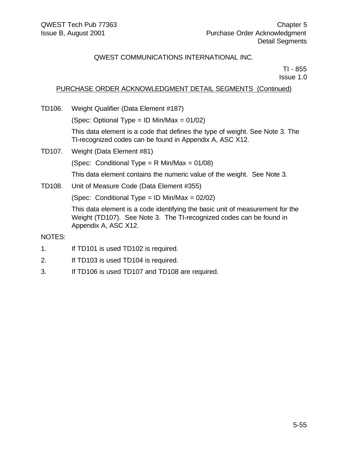TI - 855 Issue 1.0

# PURCHASE ORDER ACKNOWLEDGMENT DETAIL SEGMENTS (Continued)

TD106. Weight Qualifier (Data Element #187)

(Spec: Optional Type = ID Min/Max =  $01/02$ )

This data element is a code that defines the type of weight. See Note 3. The TI-recognized codes can be found in Appendix A, ASC X12.

TD107. Weight (Data Element #81)

(Spec: Conditional Type = R Min/Max = 01/08)

This data element contains the numeric value of the weight. See Note 3.

TD108. Unit of Measure Code (Data Element #355)

(Spec: Conditional Type = ID Min/Max =  $02/02$ )

This data element is a code identifying the basic unit of measurement for the Weight (TD107). See Note 3. The TI-recognized codes can be found in Appendix A, ASC X12.

#### NOTES:

- 1. If TD101 is used TD102 is required.
- 2. If TD103 is used TD104 is required.
- 3. If TD106 is used TD107 and TD108 are required.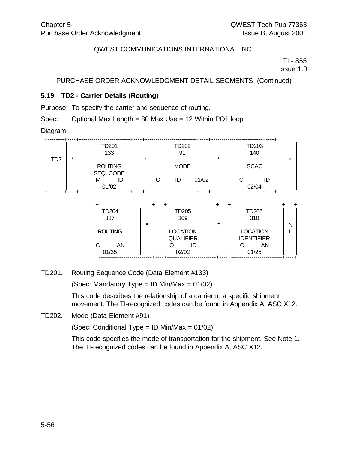TI - 855 Issue 1.0

PURCHASE ORDER ACKNOWLEDGMENT DETAIL SEGMENTS (Continued)

### **5.19 TD2 - Carrier Details (Routing)**

Purpose: To specify the carrier and sequence of routing.

Spec: Optional Max Length = 80 Max Use = 12 Within PO1 loop

Diagram:

|     |         | TD201<br>133                |         |   | TD202<br>91 |       |         |   | TD203<br>140 |   |
|-----|---------|-----------------------------|---------|---|-------------|-------|---------|---|--------------|---|
| TD2 | $\star$ | <b>ROUTING</b><br>SEQ. CODE | $\star$ |   | <b>MODE</b> |       | $\star$ |   | <b>SCAC</b>  | * |
|     |         | м<br>ID<br>01/02            |         | С | ID          | 01/02 |         | C | ID<br>02/04  |   |

| <b>TD204</b><br>387<br>$\star$ | TD205<br>309                              | $\star$ | <b>TD206</b><br>310                        | Ν |
|--------------------------------|-------------------------------------------|---------|--------------------------------------------|---|
| <b>ROUTING</b><br>C<br>AN      | <b>LOCATION</b><br><b>QUALIFIER</b><br>ID |         | <b>LOCATION</b><br><b>IDENTIFIER</b><br>ΑN |   |
| 01/35                          | 02/02                                     |         | 01/25                                      |   |

TD201. Routing Sequence Code (Data Element #133)

(Spec: Mandatory Type = ID Min/Max =  $01/02$ )

This code describes the relationship of a carrier to a specific shipment movement. The TI-recognized codes can be found in Appendix A, ASC X12.

TD202. Mode (Data Element #91)

(Spec: Conditional Type = ID Min/Max = 01/02)

This code specifies the mode of transportation for the shipment. See Note 1. The TI-recognized codes can be found in Appendix A, ASC X12.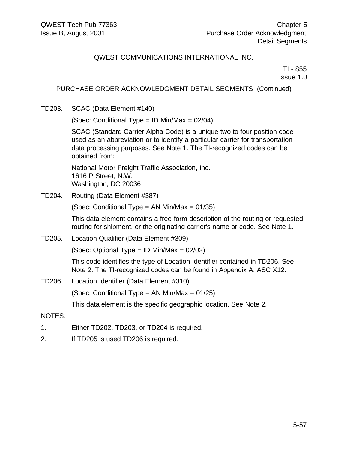TI - 855 Issue 1.0

# PURCHASE ORDER ACKNOWLEDGMENT DETAIL SEGMENTS (Continued)

TD203. SCAC (Data Element #140)

(Spec: Conditional Type = ID Min/Max =  $02/04$ )

SCAC (Standard Carrier Alpha Code) is a unique two to four position code used as an abbreviation or to identify a particular carrier for transportation data processing purposes. See Note 1. The TI-recognized codes can be obtained from:

National Motor Freight Traffic Association, Inc. 1616 P Street, N.W. Washington, DC 20036

TD204. Routing (Data Element #387)

(Spec: Conditional Type = AN Min/Max = 01/35)

This data element contains a free-form description of the routing or requested routing for shipment, or the originating carrier's name or code. See Note 1.

TD205. Location Qualifier (Data Element #309)

(Spec: Optional Type = ID Min/Max = 02/02)

This code identifies the type of Location Identifier contained in TD206. See Note 2. The TI-recognized codes can be found in Appendix A, ASC X12.

TD206. Location Identifier (Data Element #310)

(Spec: Conditional Type = AN Min/Max = 01/25)

This data element is the specific geographic location. See Note 2.

#### NOTES:

- 1. Either TD202, TD203, or TD204 is required.
- 2. If TD205 is used TD206 is required.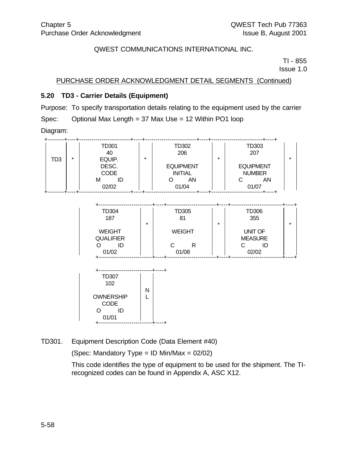TI - 855 Issue 1.0

PURCHASE ORDER ACKNOWLEDGMENT DETAIL SEGMENTS (Continued)

# **5.20 TD3 - Carrier Details (Equipment)**

Purpose: To specify transportation details relating to the equipment used by the carrier Spec: Optional Max Length = 37 Max Use = 12 Within PO1 loop Diagram:

|     |         | TD301<br>40          |         | TD302<br>206                       |         | TD303<br>207                      |  |
|-----|---------|----------------------|---------|------------------------------------|---------|-----------------------------------|--|
| TD3 | $\star$ | EQUIP.               | $\star$ |                                    | $\star$ |                                   |  |
|     |         | DESC.<br><b>CODE</b> |         | <b>EQUIPMENT</b><br><b>INITIAL</b> |         | <b>EQUIPMENT</b><br><b>NUMBER</b> |  |
|     |         | M<br>02/02           |         | AN<br>01/04                        |         | ΑN<br>01/07                       |  |

| TD304<br>187<br>$\star$                          | TD305<br>81                      | $\star$ | TD306<br>355                                    | $\star$ |
|--------------------------------------------------|----------------------------------|---------|-------------------------------------------------|---------|
| <b>WEIGHT</b><br><b>QUALIFIER</b><br>ID<br>01/02 | <b>WEIGHT</b><br>C<br>R<br>01/08 |         | <b>UNIT OF</b><br><b>MEASURE</b><br>ID<br>02/02 |         |



TD301. Equipment Description Code (Data Element #40)

(Spec: Mandatory Type = ID Min/Max =  $02/02$ )

This code identifies the type of equipment to be used for the shipment. The TIrecognized codes can be found in Appendix A, ASC X12.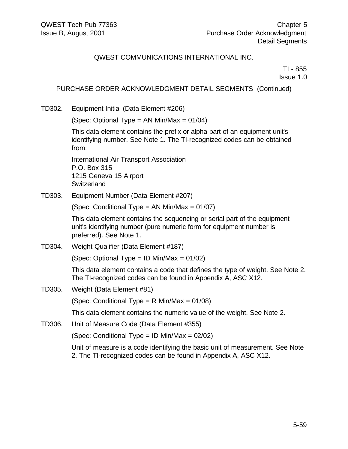TI - 855 Issue 1.0

### PURCHASE ORDER ACKNOWLEDGMENT DETAIL SEGMENTS (Continued)

TD302. Equipment Initial (Data Element #206)

(Spec: Optional Type = AN Min/Max =  $01/04$ )

This data element contains the prefix or alpha part of an equipment unit's identifying number. See Note 1. The TI-recognized codes can be obtained from:

International Air Transport Association P.O. Box 315 1215 Geneva 15 Airport **Switzerland** 

TD303. Equipment Number (Data Element #207)

(Spec: Conditional Type = AN Min/Max = 01/07)

This data element contains the sequencing or serial part of the equipment unit's identifying number (pure numeric form for equipment number is preferred). See Note 1.

TD304. Weight Qualifier (Data Element #187)

(Spec: Optional Type = ID Min/Max = 01/02)

This data element contains a code that defines the type of weight. See Note 2. The TI-recognized codes can be found in Appendix A, ASC X12.

TD305. Weight (Data Element #81)

(Spec: Conditional Type = R Min/Max = 01/08)

This data element contains the numeric value of the weight. See Note 2.

TD306. Unit of Measure Code (Data Element #355)

(Spec: Conditional Type = ID Min/Max = 02/02)

Unit of measure is a code identifying the basic unit of measurement. See Note 2. The TI-recognized codes can be found in Appendix A, ASC X12.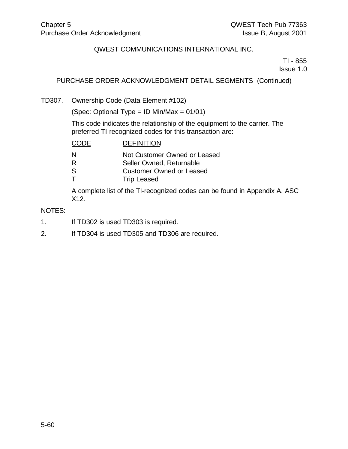TI - 855 Issue 1.0

# PURCHASE ORDER ACKNOWLEDGMENT DETAIL SEGMENTS (Continued)

TD307. Ownership Code (Data Element #102)

(Spec: Optional Type = ID Min/Max =  $01/01$ )

This code indicates the relationship of the equipment to the carrier. The preferred TI-recognized codes for this transaction are:

| CODE | <b>DEFINITION</b>               |
|------|---------------------------------|
| N    | Not Customer Owned or Leased    |
| R    | Seller Owned, Returnable        |
| S    | <b>Customer Owned or Leased</b> |
|      | <b>Trip Leased</b>              |
|      | .                               |

A complete list of the TI-recognized codes can be found in Appendix A, ASC X12.

#### NOTES:

- 1. If TD302 is used TD303 is required.
- 2. If TD304 is used TD305 and TD306 are required.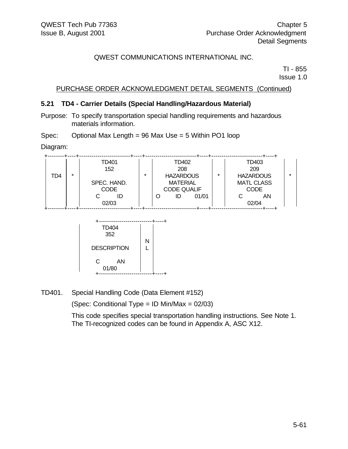TI - 855 Issue 1.0

### PURCHASE ORDER ACKNOWLEDGMENT DETAIL SEGMENTS (Continued)

#### **5.21 TD4 - Carrier Details (Special Handling/Hazardous Material)**

Purpose: To specify transportation special handling requirements and hazardous materials information.

Spec: Optional Max Length = 96 Max Use = 5 Within PO1 loop

Diagram:

|     |         | TD401       |         |                    | TD402                       |                   |                  | TD403 |  |
|-----|---------|-------------|---------|--------------------|-----------------------------|-------------------|------------------|-------|--|
|     |         | 152         |         |                    | 208                         |                   |                  | 209   |  |
| TD4 | $\star$ |             | $\star$ |                    | $\star$<br><b>HAZARDOUS</b> |                   | <b>HAZARDOUS</b> |       |  |
|     |         | SPEC. HAND. |         | <b>MATERIAL</b>    |                             | <b>MATL CLASS</b> |                  |       |  |
|     |         | <b>CODE</b> |         | <b>CODE QUALIF</b> |                             | <b>CODE</b>       |                  |       |  |
|     |         | ID          |         |                    | ID                          | 01/01             |                  | ΑN    |  |
|     |         | 02/03       |         |                    |                             |                   | 02/04            |       |  |
|     |         |             |         |                    |                             |                   |                  |       |  |



TD401. Special Handling Code (Data Element #152)

(Spec: Conditional Type = ID Min/Max = 02/03)

This code specifies special transportation handling instructions. See Note 1. The TI-recognized codes can be found in Appendix A, ASC X12.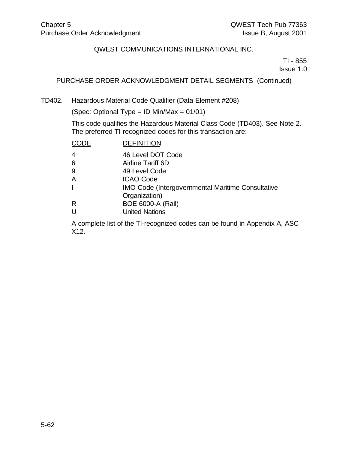TI - 855 Issue 1.0

# PURCHASE ORDER ACKNOWLEDGMENT DETAIL SEGMENTS (Continued)

TD402. Hazardous Material Code Qualifier (Data Element #208)

(Spec: Optional Type = ID Min/Max = 01/01)

This code qualifies the Hazardous Material Class Code (TD403). See Note 2. The preferred TI-recognized codes for this transaction are:

| CODE                                                     | <b>DEFINITION</b>        |  |  |  |  |  |  |
|----------------------------------------------------------|--------------------------|--|--|--|--|--|--|
| 4                                                        | 46 Level DOT Code        |  |  |  |  |  |  |
| 6                                                        | Airline Tariff 6D        |  |  |  |  |  |  |
| 9                                                        | 49 Level Code            |  |  |  |  |  |  |
| А                                                        | <b>ICAO Code</b>         |  |  |  |  |  |  |
| <b>IMO Code (Intergovernmental Maritime Consultative</b> |                          |  |  |  |  |  |  |
|                                                          | Organization)            |  |  |  |  |  |  |
| R                                                        | <b>BOE 6000-A (Rail)</b> |  |  |  |  |  |  |
| U                                                        | <b>United Nations</b>    |  |  |  |  |  |  |
|                                                          |                          |  |  |  |  |  |  |

A complete list of the TI-recognized codes can be found in Appendix A, ASC X12.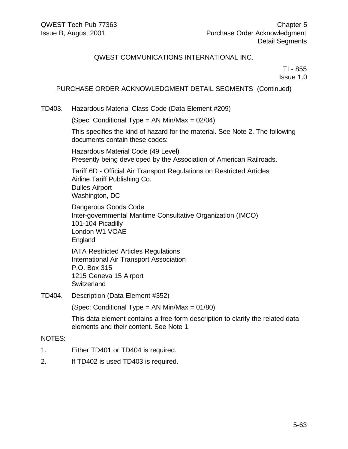TI - 855 Issue 1.0

## PURCHASE ORDER ACKNOWLEDGMENT DETAIL SEGMENTS (Continued)

TD403. Hazardous Material Class Code (Data Element #209)

(Spec: Conditional Type = AN Min/Max = 02/04)

This specifies the kind of hazard for the material. See Note 2. The following documents contain these codes:

Hazardous Material Code (49 Level) Presently being developed by the Association of American Railroads.

Tariff 6D - Official Air Transport Regulations on Restricted Articles Airline Tariff Publishing Co. Dulles Airport Washington, DC

Dangerous Goods Code Inter-governmental Maritime Consultative Organization (IMCO) 101-104 Picadilly London W1 VOAE England

IATA Restricted Articles Regulations International Air Transport Association P.O. Box 315 1215 Geneva 15 Airport **Switzerland** 

TD404. Description (Data Element #352)

(Spec: Conditional Type = AN Min/Max = 01/80)

This data element contains a free-form description to clarify the related data elements and their content. See Note 1.

#### NOTES:

- 1. Either TD401 or TD404 is required.
- 2. If TD402 is used TD403 is required.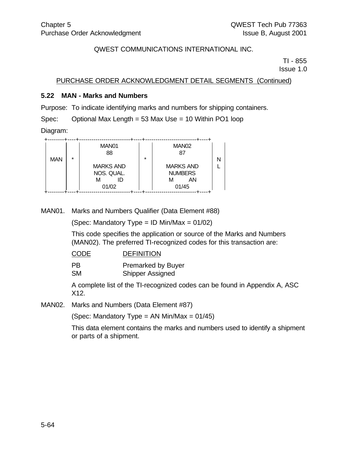TI - 855 Issue 1.0

PURCHASE ORDER ACKNOWLEDGMENT DETAIL SEGMENTS (Continued)

## **5.22 MAN - Marks and Numbers**

Purpose: To indicate identifying marks and numbers for shipping containers.

Spec: Optional Max Length = 53 Max Use = 10 Within PO1 loop

Diagram:

|            |         | MAN01<br>88                    |         | MAN <sub>02</sub><br>87            |  |
|------------|---------|--------------------------------|---------|------------------------------------|--|
| <b>MAN</b> | $\star$ |                                | $\star$ |                                    |  |
|            |         | <b>MARKS AND</b><br>NOS. QUAL. |         | <b>MARKS AND</b><br><b>NUMBERS</b> |  |
|            |         | ID<br>м                        |         | ΑN<br>м                            |  |
|            |         | 01/02                          |         | 01/45                              |  |

MAN01. Marks and Numbers Qualifier (Data Element #88)

(Spec: Mandatory Type = ID Min/Max =  $01/02$ )

This code specifies the application or source of the Marks and Numbers (MAN02). The preferred TI-recognized codes for this transaction are:

## CODE DEFINITION

PB Premarked by Buyer

SM Shipper Assigned

A complete list of the TI-recognized codes can be found in Appendix A, ASC X12.

MAN02. Marks and Numbers (Data Element #87)

(Spec: Mandatory Type = AN Min/Max =  $01/45$ )

This data element contains the marks and numbers used to identify a shipment or parts of a shipment.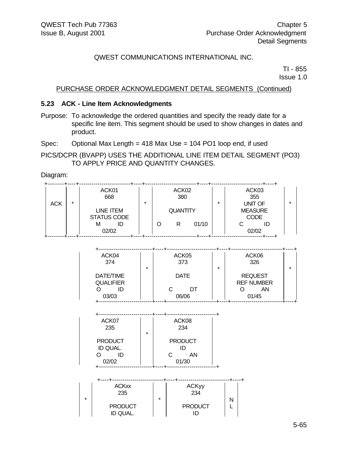TI - 855 Issue 1.0

## PURCHASE ORDER ACKNOWLEDGMENT DETAIL SEGMENTS (Continued)

## **5.23 ACK - Line Item Acknowledgments**

Purpose: To acknowledge the ordered quantities and specify the ready date for a specific line item. This segment should be used to show changes in dates and product.

Spec: Optional Max Length = 418 Max Use = 104 PO1 loop end, if used

PICS/DCPR (BVAPP) USES THE ADDITIONAL LINE ITEM DETAIL SEGMENT (PO3) TO APPLY PRICE AND QUANTITY CHANGES.

Diagram:

|     |         | ACK01<br>668                    |         |   | ACK02<br>380    |       |          | ACK03<br>355                                    |  |
|-----|---------|---------------------------------|---------|---|-----------------|-------|----------|-------------------------------------------------|--|
| ACK | $\star$ | LINE ITEM<br><b>STATUS CODE</b> | $\star$ |   | <b>QUANTITY</b> |       | $^\star$ | <b>UNIT OF</b><br><b>MEASURE</b><br><b>CODE</b> |  |
|     |         | M<br>02/02                      |         | O | R               | 01/10 |          | ID<br>02/02                                     |  |

| ACK04<br>374                  | ACK05<br>373     | ACK06<br>326                        |         |
|-------------------------------|------------------|-------------------------------------|---------|
| $\star$                       |                  | $\star$                             | $\star$ |
| DATE/TIME<br><b>QUALIFIER</b> | <b>DATE</b>      | <b>REQUEST</b><br><b>REF NUMBER</b> |         |
| ID<br>03/03                   | DT<br>C<br>06/06 | ΑN<br>01/45                         |         |
|                               |                  |                                     |         |

| ACK07<br>235   |         |    | ACK08<br>234   |
|----------------|---------|----|----------------|
|                | $\star$ |    |                |
| <b>PRODUCT</b> |         |    | <b>PRODUCT</b> |
| ID QUAL.       |         |    | ID             |
|                |         | C. | AΝ             |
| 02/02          |         |    | 01/30          |

| $\star$ | <b>ACKxx</b><br>235        | $\star$ | <b>ACKyy</b><br>234 |  |
|---------|----------------------------|---------|---------------------|--|
|         | <b>PRODUCT</b><br>ID QUAL. |         | <b>PRODUCT</b>      |  |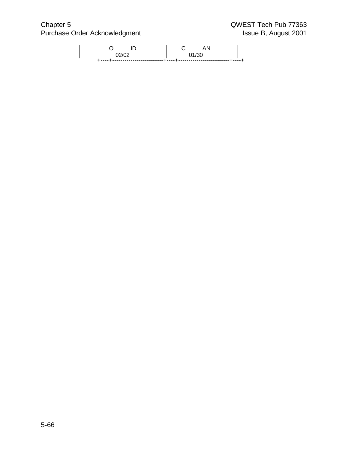Chapter 5 QWEST Tech Pub 77363 Purchase Order Acknowledgment **Issue B, August 2001** 

|  | <b></b> . |  | ------<br>------- |
|--|-----------|--|-------------------|
|  |           |  |                   |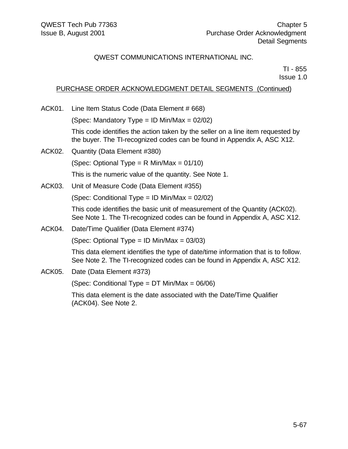TI - 855 Issue 1.0

## PURCHASE ORDER ACKNOWLEDGMENT DETAIL SEGMENTS (Continued)

ACK01. Line Item Status Code (Data Element # 668) (Spec: Mandatory Type = ID Min/Max =  $02/02$ ) This code identifies the action taken by the seller on a line item requested by the buyer. The TI-recognized codes can be found in Appendix A, ASC X12. ACK02. Quantity (Data Element #380) (Spec: Optional Type =  $R$  Min/Max = 01/10) This is the numeric value of the quantity. See Note 1. ACK03. Unit of Measure Code (Data Element #355) (Spec: Conditional Type = ID Min/Max =  $02/02$ ) This code identifies the basic unit of measurement of the Quantity (ACK02). See Note 1. The TI-recognized codes can be found in Appendix A, ASC X12. ACK04. Date/Time Qualifier (Data Element #374) (Spec: Optional Type =  $ID$  Min/Max =  $03/03$ ) This data element identifies the type of date/time information that is to follow. See Note 2. The TI-recognized codes can be found in Appendix A, ASC X12. ACK05. Date (Data Element #373) (Spec: Conditional Type = DT Min/Max = 06/06)

This data element is the date associated with the Date/Time Qualifier (ACK04). See Note 2.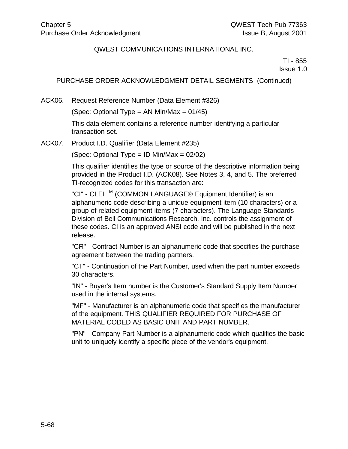TI - 855 Issue 1.0

## PURCHASE ORDER ACKNOWLEDGMENT DETAIL SEGMENTS (Continued)

ACK06. Request Reference Number (Data Element #326)

(Spec: Optional Type = AN Min/Max =  $01/45$ )

This data element contains a reference number identifying a particular transaction set.

ACK07. Product I.D. Qualifier (Data Element #235)

(Spec: Optional Type = ID Min/Max = 02/02)

This qualifier identifies the type or source of the descriptive information being provided in the Product I.D. (ACK08). See Notes 3, 4, and 5. The preferred TI-recognized codes for this transaction are:

"CI" - CLEI TM (COMMON LANGUAGE® Equipment Identifier) is an alphanumeric code describing a unique equipment item (10 characters) or a group of related equipment items (7 characters). The Language Standards Division of Bell Communications Research, Inc. controls the assignment of these codes. CI is an approved ANSI code and will be published in the next release.

"CR" - Contract Number is an alphanumeric code that specifies the purchase agreement between the trading partners.

"CT" - Continuation of the Part Number, used when the part number exceeds 30 characters.

"IN" - Buyer's Item number is the Customer's Standard Supply Item Number used in the internal systems.

"MF" - Manufacturer is an alphanumeric code that specifies the manufacturer of the equipment. THIS QUALIFIER REQUIRED FOR PURCHASE OF MATERIAL CODED AS BASIC UNIT AND PART NUMBER.

"PN" - Company Part Number is a alphanumeric code which qualifies the basic unit to uniquely identify a specific piece of the vendor's equipment.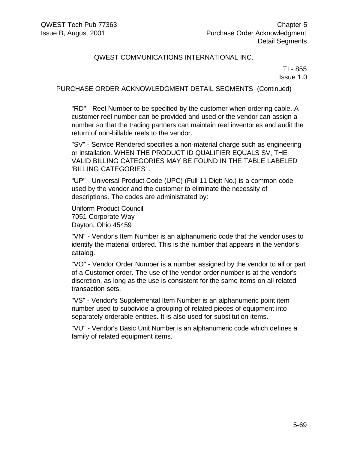TI - 855 Issue 1.0

## PURCHASE ORDER ACKNOWLEDGMENT DETAIL SEGMENTS (Continued)

"RD" - Reel Number to be specified by the customer when ordering cable. A customer reel number can be provided and used or the vendor can assign a number so that the trading partners can maintain reel inventories and audit the return of non-billable reels to the vendor.

"SV" - Service Rendered specifies a non-material charge such as engineering or installation. WHEN THE PRODUCT ID QUALIFIER EQUALS SV, THE VALID BILLING CATEGORIES MAY BE FOUND IN THE TABLE LABELED 'BILLING CATEGORIES' .

"UP" - Universal Product Code (UPC) (Full 11 Digit No.) is a common code used by the vendor and the customer to eliminate the necessity of descriptions. The codes are administrated by:

Uniform Product Council 7051 Corporate Way Dayton, Ohio 45459

"VN" - Vendor's Item Number is an alphanumeric code that the vendor uses to identify the material ordered. This is the number that appears in the vendor's catalog.

"VO" - Vendor Order Number is a number assigned by the vendor to all or part of a Customer order. The use of the vendor order number is at the vendor's discretion, as long as the use is consistent for the same items on all related transaction sets.

"VS" - Vendor's Supplemental Item Number is an alphanumeric point item number used to subdivide a grouping of related pieces of equipment into separately orderable entities. It is also used for substitution items.

"VU" - Vendor's Basic Unit Number is an alphanumeric code which defines a family of related equipment items.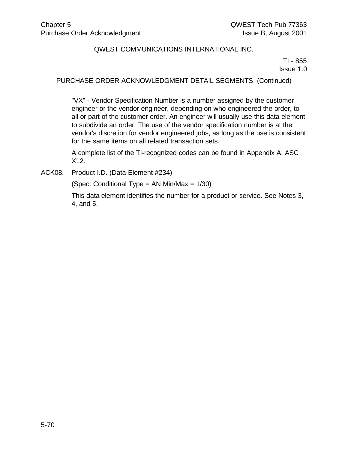TI - 855 Issue 1.0

## PURCHASE ORDER ACKNOWLEDGMENT DETAIL SEGMENTS (Continued)

"VX" - Vendor Specification Number is a number assigned by the customer engineer or the vendor engineer, depending on who engineered the order, to all or part of the customer order. An engineer will usually use this data element to subdivide an order. The use of the vendor specification number is at the vendor's discretion for vendor engineered jobs, as long as the use is consistent for the same items on all related transaction sets.

A complete list of the TI-recognized codes can be found in Appendix A, ASC X12.

ACK08. Product I.D. (Data Element #234)

(Spec: Conditional Type = AN Min/Max = 1/30)

This data element identifies the number for a product or service. See Notes 3, 4, and 5.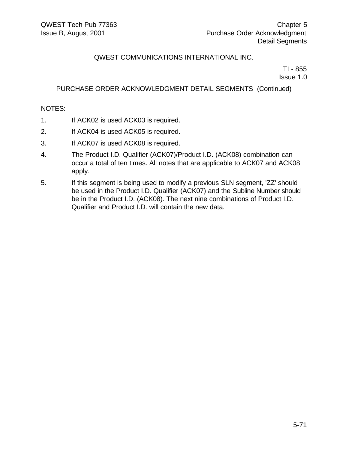TI - 855 Issue 1.0

## PURCHASE ORDER ACKNOWLEDGMENT DETAIL SEGMENTS (Continued)

### NOTES:

- 1. If ACK02 is used ACK03 is required.
- 2. If ACK04 is used ACK05 is required.
- 3. If ACK07 is used ACK08 is required.
- 4. The Product I.D. Qualifier (ACK07)/Product I.D. (ACK08) combination can occur a total of ten times. All notes that are applicable to ACK07 and ACK08 apply.
- 5. If this segment is being used to modify a previous SLN segment, 'ZZ' should be used in the Product I.D. Qualifier (ACK07) and the Subline Number should be in the Product I.D. (ACK08). The next nine combinations of Product I.D. Qualifier and Product I.D. will contain the new data.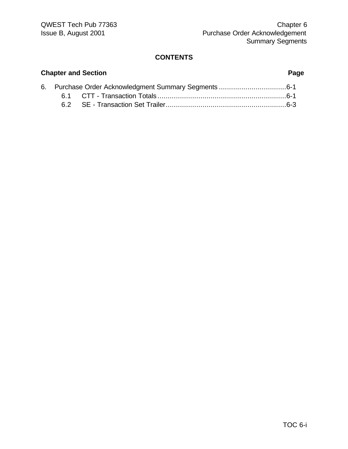## **CONTENTS**

# 6. Purchase Order Acknowledgment Summary Segments .................................6-1 6.1 CTT - Transaction Totals ...............................................................6-1 6.2 SE - Transaction Set Trailer...........................................................6-3

## **Chapter and Section Page**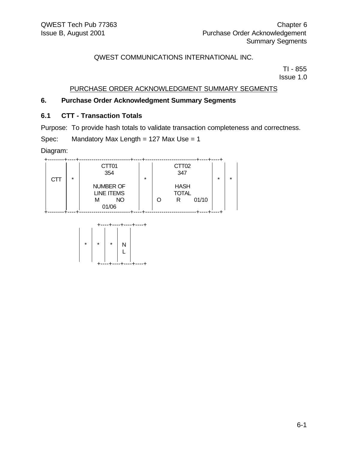TI - 855 Issue 1.0

## PURCHASE ORDER ACKNOWLEDGMENT SUMMARY SEGMENTS

## **6. Purchase Order Acknowledgment Summary Segments**

## **6.1 CTT - Transaction Totals**

Purpose: To provide hash totals to validate transaction completeness and correctness.

Spec: Mandatory Max Length =  $127$  Max Use =  $1$ 

Diagram:



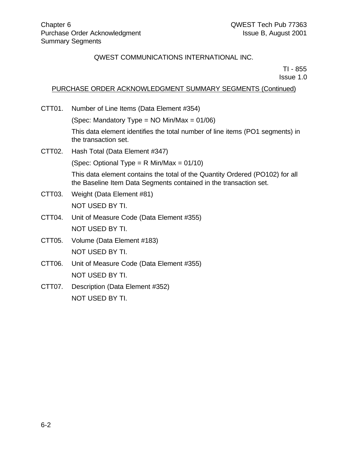TI - 855

Issue 1.0

## PURCHASE ORDER ACKNOWLEDGMENT SUMMARY SEGMENTS (Continued)

CTT01. Number of Line Items (Data Element #354)

(Spec: Mandatory Type = NO Min/Max = 01/06)

This data element identifies the total number of line items (PO1 segments) in the transaction set.

CTT02. Hash Total (Data Element #347)

(Spec: Optional Type =  $R$  Min/Max = 01/10)

This data element contains the total of the Quantity Ordered (PO102) for all the Baseline Item Data Segments contained in the transaction set.

- CTT03. Weight (Data Element #81) NOT USED BY TI.
- CTT04. Unit of Measure Code (Data Element #355) NOT USED BY TI.
- CTT05. Volume (Data Element #183) NOT USED BY TI.
- CTT06. Unit of Measure Code (Data Element #355) NOT USED BY TI.
- CTT07. Description (Data Element #352) NOT USED BY TI.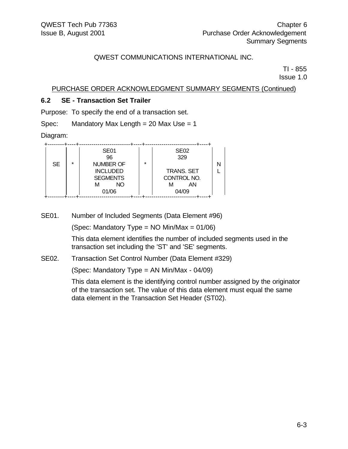TI - 855

Issue 1.0

PURCHASE ORDER ACKNOWLEDGMENT SUMMARY SEGMENTS (Continued)

## **6.2 SE - Transaction Set Trailer**

Purpose: To specify the end of a transaction set.

Spec: Mandatory Max Length =  $20$  Max Use =  $1$ 

Diagram:

|           |         | SE <sub>01</sub> |         | <b>SE02</b>       |  |
|-----------|---------|------------------|---------|-------------------|--|
|           |         | 96               |         | 329               |  |
| <b>SE</b> | $\star$ | <b>NUMBER OF</b> | $\star$ |                   |  |
|           |         | <b>INCLUDED</b>  |         | <b>TRANS. SET</b> |  |
|           |         | <b>SEGMENTS</b>  |         | CONTROL NO.       |  |
|           |         | NΟ<br>м          |         | ΑN<br>м           |  |
|           |         | 01/06            |         | 04/09             |  |
|           |         |                  |         |                   |  |

SE01. Number of Included Segments (Data Element #96)

(Spec: Mandatory Type =  $NO$  Min/Max =  $01/06$ )

This data element identifies the number of included segments used in the transaction set including the 'ST' and 'SE' segments.

## SE02. Transaction Set Control Number (Data Element #329)

(Spec: Mandatory Type = AN Min/Max - 04/09)

This data element is the identifying control number assigned by the originator of the transaction set. The value of this data element must equal the same data element in the Transaction Set Header (ST02).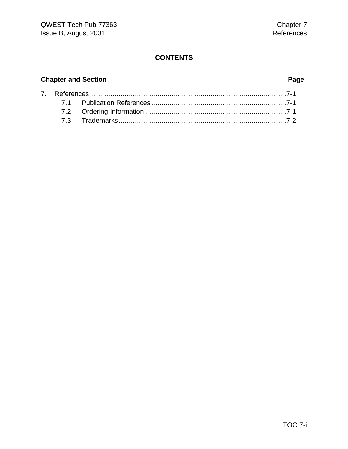# **CONTENTS**

# **Chapter and Section Page**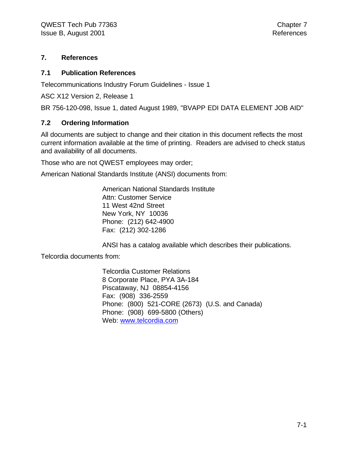## **7. References**

## **7.1 Publication References**

Telecommunications Industry Forum Guidelines - Issue 1

ASC X12 Version 2, Release 1

BR 756-120-098, Issue 1, dated August 1989, "BVAPP EDI DATA ELEMENT JOB AID"

## **7.2 Ordering Information**

All documents are subject to change and their citation in this document reflects the most current information available at the time of printing. Readers are advised to check status and availability of all documents.

Those who are not QWEST employees may order;

American National Standards Institute (ANSI) documents from:

American National Standards Institute Attn: Customer Service 11 West 42nd Street New York, NY 10036 Phone: (212) 642-4900 Fax: (212) 302-1286

ANSI has a catalog available which describes their publications.

Telcordia documents from:

Telcordia Customer Relations 8 Corporate Place, PYA 3A-184 Piscataway, NJ 08854-4156 Fax: (908) 336-2559 Phone: (800) 521-CORE (2673) (U.S. and Canada) Phone: (908) 699-5800 (Others) Web: www.telcordia.com